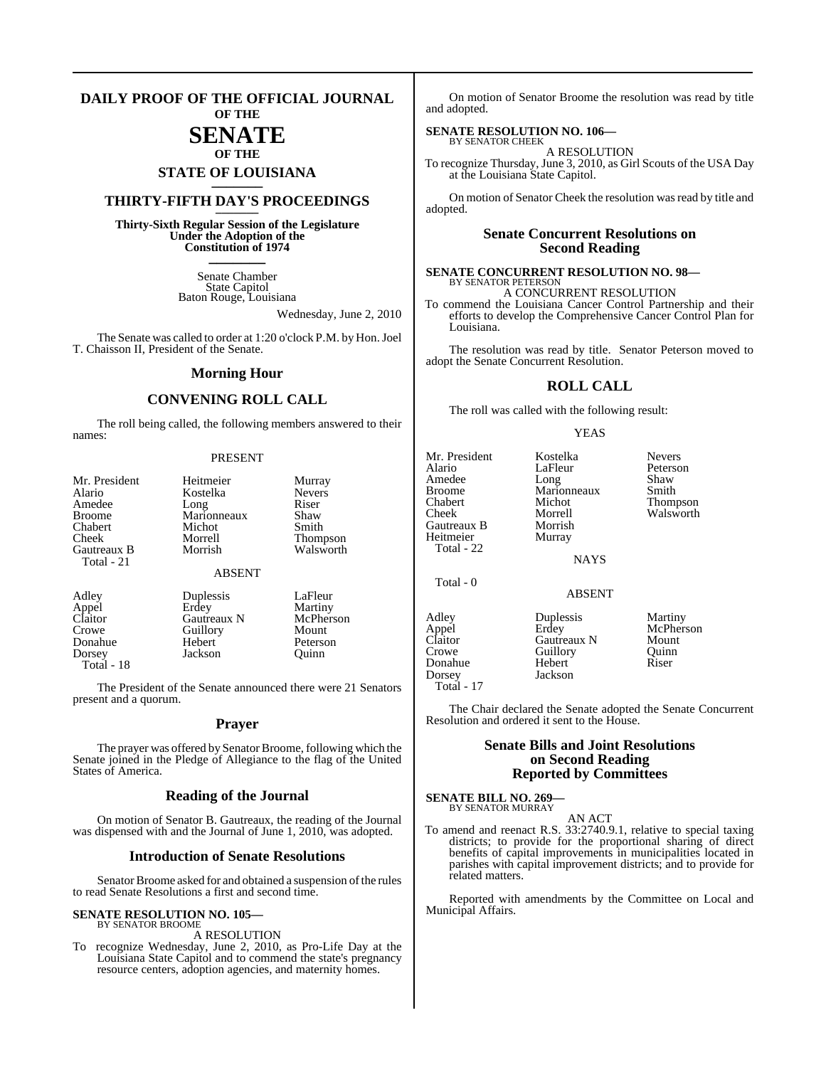#### **DAILY PROOF OF THE OFFICIAL JOURNAL OF THE**

### **SENATE OF THE**

## **STATE OF LOUISIANA \_\_\_\_\_\_\_**

### **THIRTY-FIFTH DAY'S PROCEEDINGS \_\_\_\_\_\_\_**

**Thirty-Sixth Regular Session of the Legislature Under the Adoption of the Constitution of 1974 \_\_\_\_\_\_\_**

> Senate Chamber State Capitol Baton Rouge, Louisiana

> > Wednesday, June 2, 2010

The Senate was called to order at 1:20 o'clock P.M. by Hon.Joel T. Chaisson II, President of the Senate.

#### **Morning Hour**

### **CONVENING ROLL CALL**

The roll being called, the following members answered to their names:

#### PRESENT

| Mr. President<br>Alario<br>Amedee<br><b>Broome</b><br>Chabert<br>Cheek<br>Gautreaux B<br>Total - 21 | Heitmeier<br>Kostelka<br>Long<br>Marionneaux<br>Michot<br>Morrell<br>Morrish | Murray<br><b>Nevers</b><br>Riser<br>Shaw<br>Smith<br><b>Thompson</b><br>Walsworth |
|-----------------------------------------------------------------------------------------------------|------------------------------------------------------------------------------|-----------------------------------------------------------------------------------|
|                                                                                                     | <b>ABSENT</b>                                                                |                                                                                   |
| Adley<br>Appel<br>Claitor<br>Crowe<br>Donahue                                                       | Duplessis<br>Erdey<br>Gautreaux N<br>Guillory<br>Hebert                      | LaFleur<br>Martiny<br>McPherson<br>Mount<br>Peterson                              |

Dorsey Jackson Quinn Total - 18

The President of the Senate announced there were 21 Senators present and a quorum.

#### **Prayer**

The prayer was offered by Senator Broome, following which the Senate joined in the Pledge of Allegiance to the flag of the United States of America.

#### **Reading of the Journal**

On motion of Senator B. Gautreaux, the reading of the Journal was dispensed with and the Journal of June 1, 2010, was adopted.

#### **Introduction of Senate Resolutions**

Senator Broome asked for and obtained a suspension of the rules to read Senate Resolutions a first and second time.

### **SENATE RESOLUTION NO. 105—** BY SENATOR BROOME

A RESOLUTION

To recognize Wednesday, June 2, 2010, as Pro-Life Day at the Louisiana State Capitol and to commend the state's pregnancy resource centers, adoption agencies, and maternity homes.

On motion of Senator Broome the resolution was read by title and adopted.

### **SENATE RESOLUTION NO. 106—**

BY SENATOR CHEEK A RESOLUTION

To recognize Thursday, June 3, 2010, as Girl Scouts of the USA Day at the Louisiana State Capitol.

On motion of Senator Cheek the resolution was read by title and adopted.

#### **Senate Concurrent Resolutions on Second Reading**

### **SENATE CONCURRENT RESOLUTION NO. 98—** BY SENATOR PETERSON

A CONCURRENT RESOLUTION

To commend the Louisiana Cancer Control Partnership and their efforts to develop the Comprehensive Cancer Control Plan for Louisiana.

The resolution was read by title. Senator Peterson moved to adopt the Senate Concurrent Resolution.

#### **ROLL CALL**

The roll was called with the following result:

#### YEAS

| Mr. President<br>Alario<br>Amedee<br><b>Broome</b><br>Chabert<br>Cheek<br>Gautreaux B<br>Heitmeier<br>Total - 22 | Kostelka<br>LaFleur<br>Long<br>Marionneaux<br>Michot<br>Morrell<br>Morrish<br>Murray<br><b>NAYS</b> | <b>Nevers</b><br>Peterson<br>Shaw<br>Smith<br>Thompson<br>Walsworth |
|------------------------------------------------------------------------------------------------------------------|-----------------------------------------------------------------------------------------------------|---------------------------------------------------------------------|
| Total - 0                                                                                                        | <b>ABSENT</b>                                                                                       |                                                                     |
| Adley<br>Appel<br>Claitor<br>Crowe<br>Donahue<br>Dorsey<br>$\overline{\phantom{0}}$                              | Duplessis<br>Erdey<br>Gautreaux N<br>Guillory<br>Hebert<br>Jackson                                  | Martiny<br>McPherson<br>Mount<br>Quinn<br>Riser                     |

Total - 17

The Chair declared the Senate adopted the Senate Concurrent Resolution and ordered it sent to the House.

### **Senate Bills and Joint Resolutions on Second Reading Reported by Committees**

## **SENATE BILL NO. 269—** BY SENATOR MURRAY

AN ACT

To amend and reenact R.S. 33:2740.9.1, relative to special taxing districts; to provide for the proportional sharing of direct benefits of capital improvements in municipalities located in parishes with capital improvement districts; and to provide for related matters.

Reported with amendments by the Committee on Local and Municipal Affairs.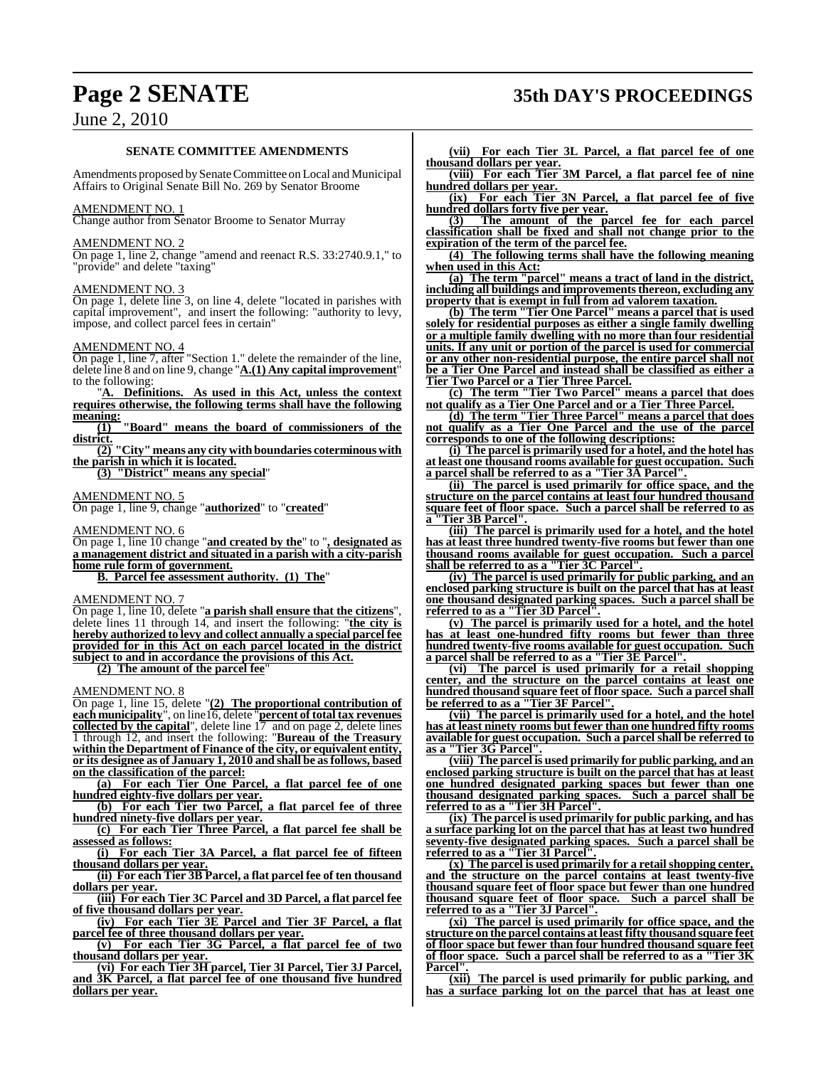## **Page 2 SENATE 35th DAY'S PROCEEDINGS**

### June 2, 2010

#### **SENATE COMMITTEE AMENDMENTS**

Amendments proposed by Senate Committee on Local and Municipal Affairs to Original Senate Bill No. 269 by Senator Broome

#### AMENDMENT NO. 1

Change author from Senator Broome to Senator Murray

#### AMENDMENT NO. 2

On page 1, line 2, change "amend and reenact R.S. 33:2740.9.1," to "provide" and delete "taxing"

### AMENDMENT NO. 3

On page 1, delete line 3, on line 4, delete "located in parishes with capital improvement", and insert the following: "authority to levy, impose, and collect parcel fees in certain"

#### AMENDMENT NO. 4

On page 1, line 7, after "Section 1." delete the remainder of the line, delete line 8 and on line 9, change "**A.(1) Any capital improvement**" to the following:

"**A. Definitions. As used in this Act, unless the context requires otherwise, the following terms shall have the following meaning:**

**(1) "Board" means the board of commissioners of the district. (2) "City" means any city with boundaries coterminous with**

**the parish in which it is located.**

**(3) "District" means any special**"

#### AMENDMENT NO. 5

On page 1, line 9, change "**authorized**" to "**created**"

AMENDMENT NO. 6

On page 1, line 10 change "**and created by the**" to "**, designated as a management district and situated in a parish with a city-parish home rule form of government.**

**B. Parcel fee assessment authority. (1) The**"

AMENDMENT NO. 7

On page 1, line 10, delete "**a parish shall ensure that the citizens**", delete lines 11 through 14, and insert the following: "**the city is hereby authorized to levy and collect annually a special parcel fee provided for in this Act on each parcel located in the district subject to and in accordance the provisions of this Act.**

**(2) The amount of the parcel fee**"

#### AMENDMENT NO. 8

On page 1, line 15, delete "**(2) The proportional contribution of each municipality**", on line16, delete "**percent of total tax revenues collected by the capital**", delete line 17 and on page 2, delete lines 1 through 12, and insert the following: "**Bureau of the Treasury within the Department of Finance of the city, or equivalent entity, or its designee as of January 1, 2010 and shall be asfollows, based on the classification of the parcel:**

**(a) For each Tier One Parcel, a flat parcel fee of one hundred eighty-five dollars per year.**

**(b) For each Tier two Parcel, a flat parcel fee of three hundred ninety-five dollars per year.**

**(c) For each Tier Three Parcel, a flat parcel fee shall be assessed as follows:**

**(i) For each Tier 3A Parcel, a flat parcel fee of fifteen thousand dollars per year.**

**(ii) For each Tier 3B Parcel, a flat parcel fee of ten thousand dollars per year.**

**(iii) For each Tier 3C Parcel and 3D Parcel, a flat parcel fee of five thousand dollars per year.**

**(iv) For each Tier 3E Parcel and Tier 3F Parcel, a flat parcel fee of three thousand dollars per year.**

**(v) For each Tier 3G Parcel, a flat parcel fee of two thousand dollars per year.** 

**(vi) For each Tier 3H parcel, Tier 3I Parcel, Tier 3J Parcel, and 3K Parcel, a flat parcel fee of one thousand five hundred dollars per year.**

**(vii) For each Tier 3L Parcel, a flat parcel fee of one thousand dollars per year.**

**(viii) For each Tier 3M Parcel, a flat parcel fee of nine hundred dollars per year.** 

**(ix) For each Tier 3N Parcel, a flat parcel fee of five hundred dollars forty five per year.**

**(3) The amount of the parcel fee for each parcel classification shall be fixed and shall not change prior to the expiration of the term of the parcel fee.**

**(4) The following terms shall have the following meaning when used in this Act:**

**(a) The term "parcel" means a tract of land in the district, including all buildings and improvementsthereon, excluding any property that is exempt in full from ad valorem taxation.**

**(b) The term "Tier One Parcel" means a parcel that is used solely for residential purposes as either a single family dwelling or a multiple family dwelling with no more than four residential units. If any unit or portion of the parcel is used for commercial or any other non-residential purpose, the entire parcel shall not be a Tier One Parcel and instead shall be classified as either a Tier Two Parcel or a Tier Three Parcel.**

**(c) The term "Tier Two Parcel" means a parcel that does not qualify as a Tier One Parcel and or a Tier Three Parcel.**

**(d) The term "Tier Three Parcel" means a parcel that does not qualify as a Tier One Parcel and the use of the parcel corresponds to one of the following descriptions:**

**(i) The parcel is primarily used for a hotel, and the hotel has at least one thousand rooms available for guest occupation. Such a parcel shall be referred to as a "Tier 3A Parcel".**

**(ii) The parcel is used primarily for office space, and the structure on the parcel contains at least four hundred thousand square feet of floor space. Such a parcel shall be referred to as a "Tier 3B Parcel".**

**(iii) The parcel is primarily used for a hotel, and the hotel has at least three hundred twenty-five rooms but fewer than one thousand rooms available for guest occupation. Such a parcel shall be referred to as a "Tier 3C Parcel".**

**(iv) The parcel is used primarily for public parking, and an enclosed parking structure is built on the parcel that has at least one thousand designated parking spaces. Such a parcel shall be referred to as a "Tier 3D Parcel".**

**(v) The parcel is primarily used for a hotel, and the hotel has at least one-hundred fifty rooms but fewer than three hundred twenty-five rooms available for guest occupation. Such a parcel shall be referred to as a "Tier 3E Parcel".**

**(vi) The parcel is used primarily for a retail shopping center, and the structure on the parcel contains at least one hundred thousand square feet of floor space. Such a parcel shall be referred to as a "Tier 3F Parcel".**

**(vii) The parcel is primarily used for a hotel, and the hotel has at least ninety rooms but fewer than one hundred fifty rooms available for guest occupation. Such a parcel shall be referred to as a "Tier 3G Parcel".**

**(viii) The parcel is used primarily for public parking, and an enclosed parking structure is built on the parcel that has at least one hundred designated parking spaces but fewer than one thousand designated parking spaces. Such a parcel shall be referred to as a "Tier 3H Parcel".**

**(ix) The parcel is used primarily for public parking, and has a surface parking lot on the parcel that has at least two hundred seventy-five designated parking spaces. Such a parcel shall be referred to as a "Tier 3I Parcel".**

**(x) The parcel is used primarily for a retail shopping center, and the structure on the parcel contains at least twenty-five thousand square feet of floor space but fewer than one hundred thousand square feet of floor space. Such a parcel shall be referred to as a "Tier 3J Parcel".**

**(xi) The parcel is used primarily for office space, and the structure on the parcel contains at least fifty thousand square feet of floor space but fewer than four hundred thousand square feet of floor space. Such a parcel shall be referred to as a "Tier 3K Parcel".**

**(xii) The parcel is used primarily for public parking, and has a surface parking lot on the parcel that has at least one**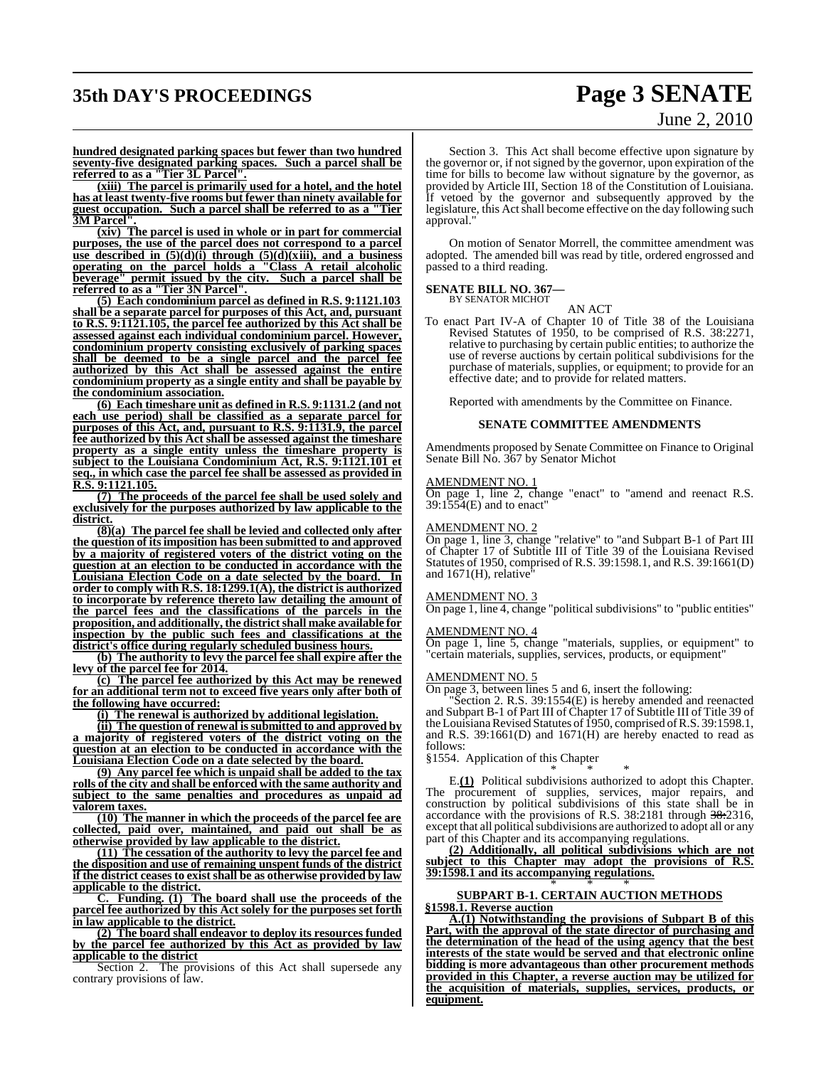## **35th DAY'S PROCEEDINGS Page 3 SENATE**

# June 2, 2010

**hundred designated parking spaces but fewer than two hundred seventy-five designated parking spaces. Such a parcel shall be referred to as a "Tier 3L Parcel".**

**(xiii) The parcel is primarily used for a hotel, and the hotel has at least twenty-five rooms but fewer than ninety available for guest occupation. Such a parcel shall be referred to as a "Tier**  $\overline{\textbf{3M}}$  Parcel

**(xiv) The parcel is used in whole or in part for commercial purposes, the use of the parcel does not correspond to a parcel use described in (5)(d)(i) through (5)(d)(xiii), and a business operating on the parcel holds a "Class A retail alcoholic beverage" permit issued by the city. Such a parcel shall be referred to as a "Tier 3N Parcel".**

**(5) Each condominium parcel as defined in R.S. 9:1121.103 shall be a separate parcel for purposes of this Act, and, pursuant to R.S. 9:1121.105, the parcel fee authorized by this Act shall be assessed against each individual condominium parcel. However, condominium property consisting exclusively of parking spaces shall be deemed to be a single parcel and the parcel fee authorized by this Act shall be assessed against the entire condominium property as a single entity and shall be payable by the condominium association.**

**(6) Each timeshare unit as defined in R.S. 9:1131.2 (and not each use period) shall be classified as a separate parcel for purposes of this Act, and, pursuant to R.S. 9:1131.9, the parcel fee authorized by this Act shall be assessed against the timeshare property as a single entity unless the timeshare property is subject to the Louisiana Condominium Act, R.S. 9:1121.101 et seq., in which case the parcel fee shall be assessed as provided in R.S. 9:1121.105.**

**(7) The proceeds of the parcel fee shall be used solely and exclusively for the purposes authorized by law applicable to the district.**

**(8)(a) The parcel fee shall be levied and collected only after the question of itsimposition has been submitted to and approved by a majority of registered voters of the district voting on the question at an election to be conducted in accordance with the Louisiana Election Code on a date selected by the board. In order to comply with R.S. 18:1299.1(A), the district is authorized to incorporate by reference thereto law detailing the amount of the parcel fees and the classifications of the parcels in the proposition, and additionally, the districtshall make available for inspection by the public such fees and classifications at the district's office during regularly scheduled business hours.**

**(b) The authority to levy the parcel fee shall expire after the levy of the parcel fee for 2014.**

**(c) The parcel fee authorized by this Act may be renewed for an additional term not to exceed five years only after both of the following have occurred:**

**(i) The renewal is authorized by additional legislation.**

**(ii) The question of renewal is submitted to and approved by a majority of registered voters of the district voting on the question at an election to be conducted in accordance with the Louisiana Election Code on a date selected by the board.**

**(9) Any parcel fee which is unpaid shall be added to the tax rolls of the city and shall be enforced with the same authority and subject to the same penalties and procedures as unpaid ad valorem taxes.**

**(10) The manner in which the proceeds of the parcel fee are collected, paid over, maintained, and paid out shall be as otherwise provided by law applicable to the district.**

**(11) The cessation of the authority to levy the parcel fee and the disposition and use of remaining unspent funds of the district if the district ceases to exist shall be as otherwise provided by law applicable to the district.**

**C. Funding. (1) The board shall use the proceeds of the parcel fee authorized by this Act solely for the purposes set forth in law applicable to the district.**

**(2) The board shall endeavor to deploy its resources funded by the parcel fee authorized by this Act as provided by law applicable to the district**

Section 2. The provisions of this Act shall supersede any contrary provisions of law.

Section 3. This Act shall become effective upon signature by the governor or, if not signed by the governor, upon expiration of the time for bills to become law without signature by the governor, as provided by Article III, Section 18 of the Constitution of Louisiana. If vetoed by the governor and subsequently approved by the legislature, this Act shall become effective on the day following such approval."

On motion of Senator Morrell, the committee amendment was adopted. The amended bill was read by title, ordered engrossed and passed to a third reading.

## **SENATE BILL NO. 367—** BY SENATOR MICHOT

AN ACT

To enact Part IV-A of Chapter 10 of Title 38 of the Louisiana Revised Statutes of 1950, to be comprised of R.S. 38:2271, relative to purchasing by certain public entities; to authorize the use of reverse auctions by certain political subdivisions for the purchase of materials, supplies, or equipment; to provide for an effective date; and to provide for related matters.

Reported with amendments by the Committee on Finance.

#### **SENATE COMMITTEE AMENDMENTS**

Amendments proposed by Senate Committee on Finance to Original Senate Bill No. 367 by Senator Michot

#### AMENDMENT NO. 1

On page 1, line 2, change "enact" to "amend and reenact R.S. 39:1554(E) and to enact"

#### AMENDMENT NO. 2

On page 1, line 3, change "relative" to "and Subpart B-1 of Part III of Chapter 17 of Subtitle III of Title 39 of the Louisiana Revised Statutes of 1950, comprised of R.S. 39:1598.1, and R.S. 39:1661(D) and 1671(H), relative

#### AMENDMENT NO. 3

On page 1, line 4, change "political subdivisions" to "public entities"

#### AMENDMENT NO. 4

On page 1, line 5, change "materials, supplies, or equipment" to "certain materials, supplies, services, products, or equipment"

#### AMENDMENT NO. 5

On page 3, between lines 5 and 6, insert the following:

"Section 2. R.S. 39:1554(E) is hereby amended and reenacted and Subpart B-1 of Part III of Chapter 17 of Subtitle III of Title 39 of theLouisianaRevised Statutes of 1950, comprised ofR.S. 39:1598.1, and R.S. 39:1661(D) and 1671(H) are hereby enacted to read as follows:

§1554. Application of this Chapter

\* \* \* E.**(1)** Political subdivisions authorized to adopt this Chapter. The procurement of supplies, services, major repairs, and construction by political subdivisions of this state shall be in accordance with the provisions of R.S. 38:2181 through 38:2316, except that all political subdivisions are authorized to adopt all or any part of this Chapter and its accompanying regulations.

**(2) Additionally, all political subdivisions which are not subject to this Chapter may adopt the provisions of R.S. 39:1598.1 and its accompanying regulations.** \* \* \*

#### **SUBPART B-1. CERTAIN AUCTION METHODS §1598.1. Reverse auction**

**A.(1) Notwithstanding the provisions of Subpart B of this Part, with the approval of the state director of purchasing and the determination of the head of the using agency that the best interests of the state would be served and that electronic online bidding is more advantageous than other procurement methods provided in this Chapter, a reverse auction may be utilized for the acquisition of materials, supplies, services, products, or equipment.**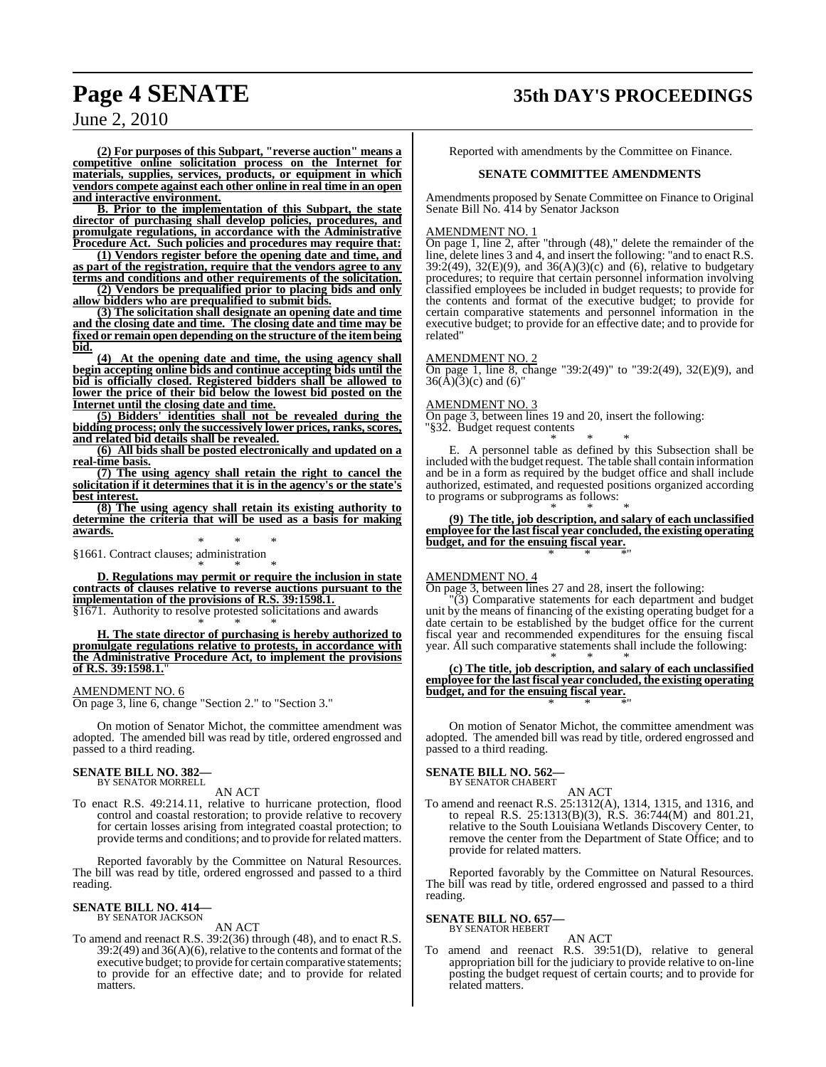## **Page 4 SENATE 35th DAY'S PROCEEDINGS**

June 2, 2010

**(2) For purposes of this Subpart, "reverse auction" means a competitive online solicitation process on the Internet for materials, supplies, services, products, or equipment in which vendors compete against each other online in real time in an open and interactive environment.**

**B. Prior to the implementation of this Subpart, the state director of purchasing shall develop policies, procedures, and promulgate regulations, in accordance with the Administrative Procedure Act. Such policies and procedures may require that:**

**(1) Vendors register before the opening date and time, and as part of the registration, require that the vendors agree to any terms and conditions and other requirements of the solicitation. (2) Vendors be prequalified prior to placing bids and only**

**allow bidders who are prequalified to submit bids. (3) The solicitation shall designate an opening date and time and the closing date and time. The closing date and time may be**

**fixed or remain open depending on the structure of the item being bid.**

**(4) At the opening date and time, the using agency shall begin accepting online bids and continue accepting bids until the bid is officially closed. Registered bidders shall be allowed to lower the price of their bid below the lowest bid posted on the Internet until the closing date and time.**

**(5) Bidders' identities shall not be revealed during the bidding process; only the successively lower prices, ranks,scores, and related bid details shall be revealed.**

**(6) All bids shall be posted electronically and updated on a real-time basis.**

**(7) The using agency shall retain the right to cancel the solicitation if it determines that it is in the agency's or the state's best interest.**

**(8) The using agency shall retain its existing authority to determine the criteria that will be used as a basis for making awards.**

\* \* \* §1661. Contract clauses; administration

\* \* \* **D. Regulations may permit or require the inclusion in state contracts of clauses relative to reverse auctions pursuant to the implementation of the provisions of R.S. 39:1598.1.**

§1671. Authority to resolve protested solicitations and awards \* \* \*

**H. The state director of purchasing is hereby authorized to promulgate regulations relative to protests, in accordance with the Administrative Procedure Act, to implement the provisions of R.S. 39:1598.1.**"

#### AMENDMENT NO. 6

On page 3, line 6, change "Section 2." to "Section 3."

On motion of Senator Michot, the committee amendment was adopted. The amended bill was read by title, ordered engrossed and passed to a third reading.

#### **SENATE BILL NO. 382—** BY SENATOR MORRELL

AN ACT

To enact R.S. 49:214.11, relative to hurricane protection, flood control and coastal restoration; to provide relative to recovery for certain losses arising from integrated coastal protection; to provide terms and conditions; and to provide for related matters.

Reported favorably by the Committee on Natural Resources. The bill was read by title, ordered engrossed and passed to a third reading.

#### **SENATE BILL NO. 414—** BY SENATOR JACKSON

AN ACT

To amend and reenact R.S. 39:2(36) through (48), and to enact R.S. 39:2(49) and 36(A)(6), relative to the contents and format of the executive budget; to provide for certain comparative statements; to provide for an effective date; and to provide for related matters.

Reported with amendments by the Committee on Finance.

#### **SENATE COMMITTEE AMENDMENTS**

Amendments proposed by Senate Committee on Finance to Original Senate Bill No. 414 by Senator Jackson

#### AMENDMENT NO. 1

On page 1, line 2, after "through (48)," delete the remainder of the line, delete lines 3 and 4, and insert the following: "and to enact R.S. 39:2(49), 32(E)(9), and 36(A)(3)(c) and (6), relative to budgetary procedures; to require that certain personnel information involving classified employees be included in budget requests; to provide for the contents and format of the executive budget; to provide for certain comparative statements and personnel information in the executive budget; to provide for an effective date; and to provide for related"

#### AMENDMENT NO. 2

On page 1, line 8, change "39:2(49)" to "39:2(49), 32(E)(9), and  $36(\text{\AA})(3)(c)$  and  $(6)$ "

#### AMENDMENT NO. 3

On page 3, between lines 19 and 20, insert the following: "§32. Budget request contents

\* \* \* E. A personnel table as defined by this Subsection shall be included with the budget request. The table shall contain information and be in a form as required by the budget office and shall include authorized, estimated, and requested positions organized according to programs or subprograms as follows:

\* \* \* **(9) The title, job description, and salary of each unclassified employee for the last fiscal year concluded, the existing operating budget, and for the ensuing fiscal year.** \* \* \*"

#### AMENDMENT NO. 4

On page 3, between lines 27 and 28, insert the following:

"(3) Comparative statements for each department and budget unit by the means of financing of the existing operating budget for a date certain to be established by the budget office for the current fiscal year and recommended expenditures for the ensuing fiscal year. All such comparative statements shall include the following:

\* \* \* **(c) The title, job description, and salary of each unclassified employee for the last fiscal year concluded, the existing operating budget, and for the ensuing fiscal year.** \* \* \*"

On motion of Senator Michot, the committee amendment was adopted. The amended bill was read by title, ordered engrossed and passed to a third reading.

#### **SENATE BILL NO. 562—**

BY SENATOR CHABERT AN ACT

To amend and reenact R.S. 25:1312(A), 1314, 1315, and 1316, and to repeal R.S. 25:1313(B)(3), R.S. 36:744(M) and 801.21, relative to the South Louisiana Wetlands Discovery Center, to remove the center from the Department of State Office; and to provide for related matters.

Reported favorably by the Committee on Natural Resources. The bill was read by title, ordered engrossed and passed to a third reading.

#### **SENATE BILL NO. 657—** BY SENATOR HEBERT

AN ACT

To amend and reenact R.S. 39:51(D), relative to general appropriation bill for the judiciary to provide relative to on-line posting the budget request of certain courts; and to provide for related matters.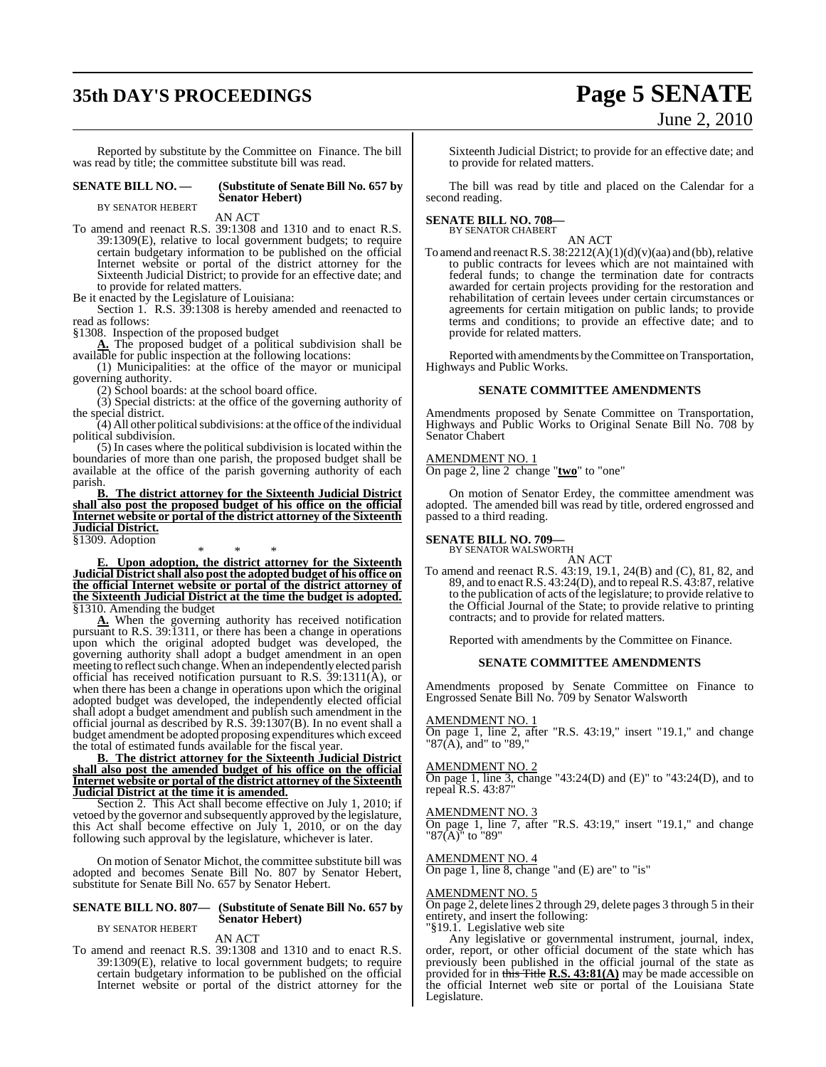## **35th DAY'S PROCEEDINGS Page 5 SENATE**

# June 2, 2010

Reported by substitute by the Committee on Finance. The bill was read by title; the committee substitute bill was read.

#### **SENATE BILL NO. — (Substitute of Senate Bill No. 657 by Senator Hebert)**

BY SENATOR HEBERT

AN ACT

To amend and reenact R.S. 39:1308 and 1310 and to enact R.S. 39:1309(E), relative to local government budgets; to require certain budgetary information to be published on the official Internet website or portal of the district attorney for the Sixteenth Judicial District; to provide for an effective date; and to provide for related matters.

Be it enacted by the Legislature of Louisiana:

Section 1. R.S. 39:1308 is hereby amended and reenacted to read as follows:

§1308. Inspection of the proposed budget

**A.** The proposed budget of a political subdivision shall be available for public inspection at the following locations:

(1) Municipalities: at the office of the mayor or municipal governing authority.

(2) School boards: at the school board office.

(3) Special districts: at the office of the governing authority of the special district.

 $(4)$  All other political subdivisions: at the office of the individual political subdivision.

(5) In cases where the political subdivision is located within the boundaries of more than one parish, the proposed budget shall be available at the office of the parish governing authority of each parish.

**B. The district attorney for the Sixteenth Judicial District shall also post the proposed budget of his office on the official Internet website or portal of the district attorney of the Sixteenth Judicial District.** §1309. Adoption

\* \* \* **E. Upon adoption, the district attorney for the Sixteenth Judicial Districtshall also post the adopted budget of his office on the official Internet website or portal of the district attorney of the Sixteenth Judicial District at the time the budget is adopted.** §1310. Amending the budget

**A.** When the governing authority has received notification pursuant to R.S. 39:1311, or there has been a change in operations upon which the original adopted budget was developed, the governing authority shall adopt a budget amendment in an open meeting to reflect such change. When an independently elected parish official has received notification pursuant to R.S.  $39:1311(\hat{A})$ , or when there has been a change in operations upon which the original adopted budget was developed, the independently elected official shall adopt a budget amendment and publish such amendment in the official journal as described by R.S. 39:1307(B). In no event shall a budget amendment be adopted proposing expenditures which exceed the total of estimated funds available for the fiscal year.

**B. The district attorney for the Sixteenth Judicial District shall also post the amended budget of his office on the official Internet website or portal of the district attorney of the Sixteenth Judicial District at the time it is amended.**

Section 2. This Act shall become effective on July 1, 2010; if vetoed by the governor and subsequently approved by the legislature, this Act shall become effective on July 1, 2010, or on the day following such approval by the legislature, whichever is later.

On motion of Senator Michot, the committee substitute bill was adopted and becomes Senate Bill No. 807 by Senator Hebert, substitute for Senate Bill No. 657 by Senator Hebert.

#### **SENATE BILL NO. 807— (Substitute of Senate Bill No. 657 by Senator Hebert)** BY SENATOR HEBERT

AN ACT

To amend and reenact R.S. 39:1308 and 1310 and to enact R.S. 39:1309(E), relative to local government budgets; to require certain budgetary information to be published on the official Internet website or portal of the district attorney for the

Sixteenth Judicial District; to provide for an effective date; and to provide for related matters.

The bill was read by title and placed on the Calendar for a second reading.

#### **SENATE BILL NO. 708—** BY SENATOR CHABERT

AN ACT

To amend and reenact R.S.  $38:2212(A)(1)(d)(v)(aa)$  and (bb), relative to public contracts for levees which are not maintained with federal funds; to change the termination date for contracts awarded for certain projects providing for the restoration and rehabilitation of certain levees under certain circumstances or agreements for certain mitigation on public lands; to provide terms and conditions; to provide an effective date; and to provide for related matters.

Reported with amendments by the Committee on Transportation, Highways and Public Works.

#### **SENATE COMMITTEE AMENDMENTS**

Amendments proposed by Senate Committee on Transportation, Highways and Public Works to Original Senate Bill No. 708 by Senator Chabert

#### AMENDMENT NO. 1

On page 2, line 2 change "**two**" to "one"

On motion of Senator Erdey, the committee amendment was adopted. The amended bill was read by title, ordered engrossed and passed to a third reading.

#### **SENATE BILL NO. 709—**

BY SENATOR WALSWORTH AN ACT

To amend and reenact R.S. 43:19, 19.1, 24(B) and (C), 81, 82, and 89, and to enactR.S. 43:24(D), and to repeal R.S. 43:87, relative to the publication of acts of the legislature; to provide relative to the Official Journal of the State; to provide relative to printing contracts; and to provide for related matters.

Reported with amendments by the Committee on Finance.

#### **SENATE COMMITTEE AMENDMENTS**

Amendments proposed by Senate Committee on Finance to Engrossed Senate Bill No. 709 by Senator Walsworth

#### AMENDMENT NO. 1

On page 1, line 2, after "R.S. 43:19," insert "19.1," and change "87(A), and" to "89,"

#### AMENDMENT NO. 2

On page 1, line 3, change "43:24(D) and  $(E)$ " to "43:24(D), and to repeal R.S. 43:87

#### AMENDMENT NO. 3

On page 1, line 7, after "R.S. 43:19," insert "19.1," and change "87(A)" to "89"

#### AMENDMENT NO. 4

On page 1, line  $\overline{8}$ , change "and  $\overline{E}$ ) are" to "is"

#### AMENDMENT NO. 5

On page 2, delete lines 2 through 29, delete pages 3 through 5 in their entirety, and insert the following:

"§19.1. Legislative web site

Any legislative or governmental instrument, journal, index, order, report, or other official document of the state which has previously been published in the official journal of the state as provided for in this Title **R.S. 43:81(A)** may be made accessible on the official Internet web site or portal of the Louisiana State Legislature.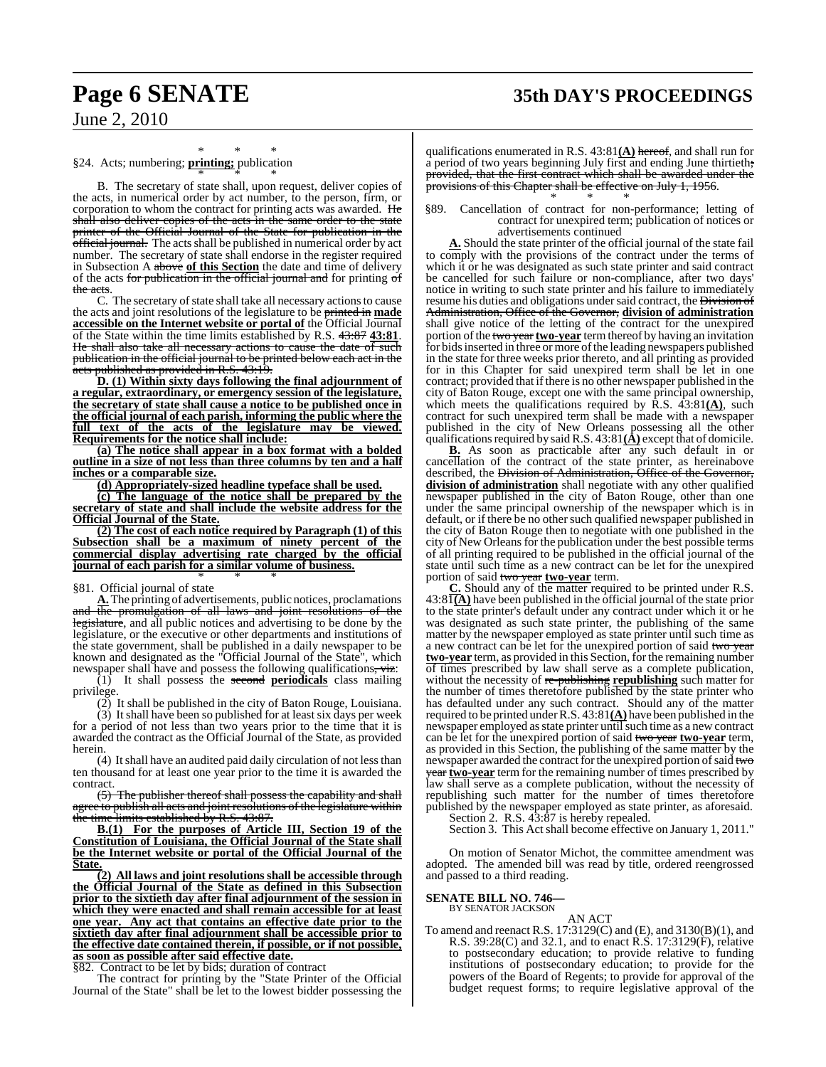## **Page 6 SENATE 35th DAY'S PROCEEDINGS**

June 2, 2010

#### \* \* \* §24. Acts; numbering; **printing;** publication

\* \* \* B. The secretary of state shall, upon request, deliver copies of the acts, in numerical order by act number, to the person, firm, or corporation to whom the contract for printing acts was awarded. He shall also deliver copies of the acts in the same order to the state printer of the Official Journal of the State for publication in the official journal. The acts shall be published in numerical order by act number. The secretary of state shall endorse in the register required in Subsection A above **of this Section** the date and time of delivery of the acts for publication in the official journal and for printing of the acts.

C. The secretary of state shall take all necessary actions to cause the acts and joint resolutions of the legislature to be printed in **made accessible on the Internet website or portal of** the Official Journal of the State within the time limits established by R.S. 43:87 **43:81**. He shall also take all necessary actions to cause the date of such publication in the official journal to be printed below each act in the acts published as provided in R.S. 43:19.

**D. (1) Within sixty days following the final adjournment of a regular, extraordinary, or emergency session of the legislature, the secretary of state shall cause a notice to be published once in the official journal of each parish, informing the public where the full text of the acts of the legislature may be viewed. Requirements for the notice shall include:**

**(a) The notice shall appear in a box format with a bolded outline in a size of not less than three columns by ten and a half inches or a comparable size.**

**(d) Appropriately-sized headline typeface shall be used.**

**(c) The language of the notice shall be prepared by the secretary of state and shall include the website address for the Official Journal of the State.**

**(2) The cost of each notice required by Paragraph (1) of this Subsection shall be a maximum of ninety percent of the commercial display advertising rate charged by the official journal of each parish for a similar volume of business.** \* \* \*

#### §81. Official journal of state

**A.**The printing of advertisements, public notices, proclamations the promulgation of all laws and joint resolutions of the legislature, and all public notices and advertising to be done by the legislature, or the executive or other departments and institutions of the state government, shall be published in a daily newspaper to be known and designated as the "Official Journal of the State", which newspaper shall have and possess the following qualifications, viz:

(1) It shall possess the second **periodicals** class mailing privilege.

(2) It shall be published in the city of Baton Rouge, Louisiana. (3) It shall have been so published for at least six days per week for a period of not less than two years prior to the time that it is awarded the contract as the Official Journal of the State, as provided herein.

(4) It shall have an audited paid daily circulation of not less than ten thousand for at least one year prior to the time it is awarded the contract.

(5) The publisher thereof shall possess the capability and shall e to publish all acts and joint resolutions of the legislature within the time limits established by R.S. 43:87.

**B.(1) For the purposes of Article III, Section 19 of the Constitution of Louisiana, the Official Journal of the State shall be the Internet website or portal of the Official Journal of the State.**

**(2) All laws and joint resolutions shall be accessible through the Official Journal of the State as defined in this Subsection prior to the sixtieth day after final adjournment of the session in which they were enacted and shall remain accessible for at least one year. Any act that contains an effective date prior to the sixtieth day after final adjournment shall be accessible prior to the effective date contained therein, if possible, or if not possible, as soon as possible after said effective date.**

§82. Contract to be let by bids; duration of contract

The contract for printing by the "State Printer of the Official Journal of the State" shall be let to the lowest bidder possessing the

qualifications enumerated in R.S. 43:81**(A)** hereof, and shall run for a period of two years beginning July first and ending June thirtieth; provided, that the first contract which shall be awarded under the provisions of this Chapter shall be effective on July 1, 1956. \* \* \*

§89. Cancellation of contract for non-performance; letting of contract for unexpired term; publication of notices or advertisements continued

**A.** Should the state printer of the official journal of the state fail to comply with the provisions of the contract under the terms of which it or he was designated as such state printer and said contract be cancelled for such failure or non-compliance, after two days' notice in writing to such state printer and his failure to immediately resume his duties and obligations under said contract, the Division of Administration, Office of the Governor, **division of administration** shall give notice of the letting of the contract for the unexpired portion of the two year two-year term thereof by having an invitation for bids inserted in three or more of the leading newspapers published in the state for three weeks prior thereto, and all printing as provided for in this Chapter for said unexpired term shall be let in one contract; provided that if there is no other newspaper published in the city of Baton Rouge, except one with the same principal ownership, which meets the qualifications required by  $\hat{R}$ .S.  $43:81(\underline{A})$ , such contract for such unexpired term shall be made with a newspaper published in the city of New Orleans possessing all the other qualifications required by said R.S.  $43:81(\hat{\bf A})$  except that of domicile.

**B.** As soon as practicable after any such default in or cancellation of the contract of the state printer, as hereinabove described, the <del>Division of Administration, Office of the Governor,</del> **division of administration** shall negotiate with any other qualified newspaper published in the city of Baton Rouge, other than one under the same principal ownership of the newspaper which is in default, or if there be no other such qualified newspaper published in the city of Baton Rouge then to negotiate with one published in the city of New Orleans for the publication under the best possible terms of all printing required to be published in the official journal of the state until such time as a new contract can be let for the unexpired portion of said two year **two-year** term.

**C.** Should any of the matter required to be printed under R.S. 43:81**(A)** have been published in the official journal of the state prior to the state printer's default under any contract under which it or he was designated as such state printer, the publishing of the same matter by the newspaper employed as state printer until such time as a new contract can be let for the unexpired portion of said two year **two-year** term, as provided in this Section, for the remaining number of times prescribed by law shall serve as a complete publication, without the necessity of re-publishing **republishing** such matter for the number of times theretofore published by the state printer who has defaulted under any such contract. Should any of the matter required to be printed underR.S. 43:81**(A)** have been published in the newspaper employed as state printer until such time as a new contract can be let for the unexpired portion of said two year **two-year** term, as provided in this Section, the publishing of the same matter by the newspaper awarded the contract for the unexpired portion of said two year **two-year** term for the remaining number of times prescribed by law shall serve as a complete publication, without the necessity of republishing such matter for the number of times theretofore published by the newspaper employed as state printer, as aforesaid.

Section 2. R.S.  $43:\overline{87}$  is hereby repealed.

Section 3. This Act shall become effective on January 1, 2011."

On motion of Senator Michot, the committee amendment was adopted. The amended bill was read by title, ordered reengrossed and passed to a third reading.

#### **SENATE BILL NO. 746—**

BY SENATOR JACKSON

AN ACT

To amend and reenact R.S. 17:3129(C) and (E), and 3130(B)(1), and R.S. 39:28(C) and 32.1, and to enact R.S. 17:3129(F), relative to postsecondary education; to provide relative to funding institutions of postsecondary education; to provide for the powers of the Board of Regents; to provide for approval of the budget request forms; to require legislative approval of the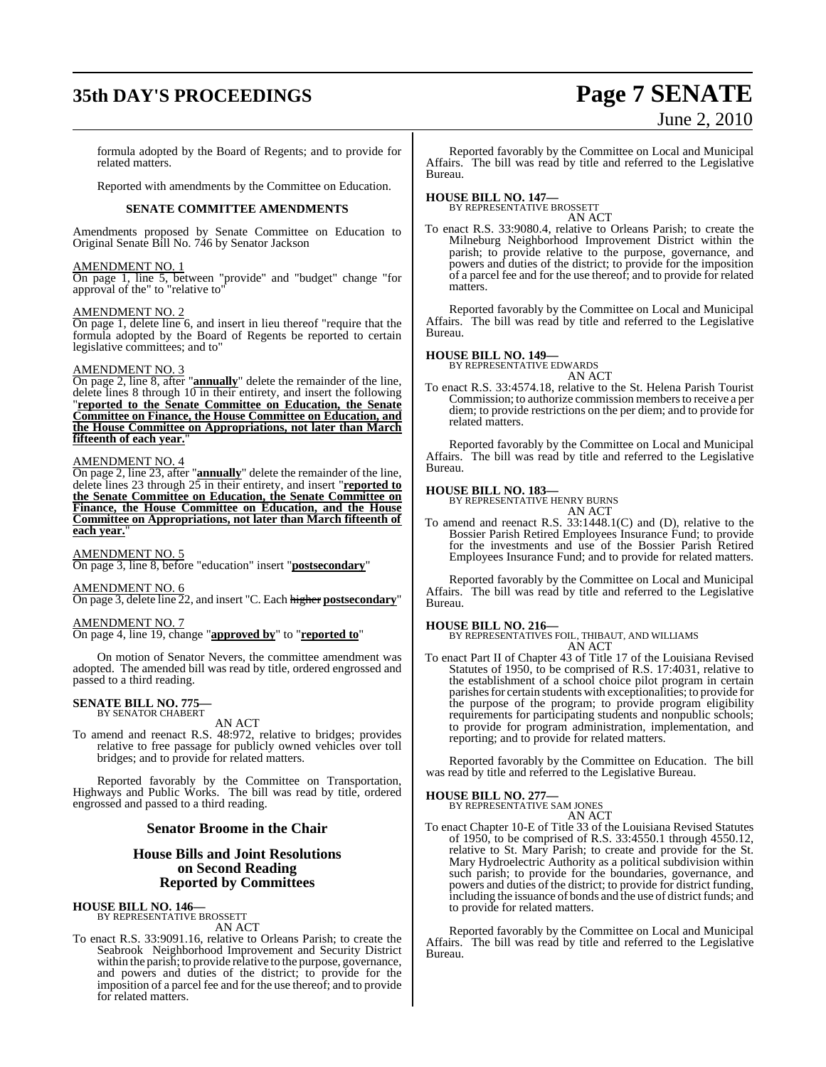## **35th DAY'S PROCEEDINGS Page 7 SENATE**

# June 2, 2010

formula adopted by the Board of Regents; and to provide for related matters.

Reported with amendments by the Committee on Education.

#### **SENATE COMMITTEE AMENDMENTS**

Amendments proposed by Senate Committee on Education to Original Senate Bill No. 746 by Senator Jackson

#### AMENDMENT NO. 1

On page 1, line 5, between "provide" and "budget" change "for approval of the" to "relative to"

#### AMENDMENT NO. 2

On page 1, delete line 6, and insert in lieu thereof "require that the formula adopted by the Board of Regents be reported to certain legislative committees; and to"

#### AMENDMENT NO. 3

On page 2, line 8, after "**annually**" delete the remainder of the line, delete lines 8 through 10 in their entirety, and insert the following "**reported to the Senate Committee on Education, the Senate Committee on Finance, the House Committee on Education, and the House Committee on Appropriations, not later than March fifteenth of each year.**"

#### AMENDMENT NO. 4

On page 2, line 23, after "**annually**" delete the remainder of the line, delete lines 23 through 25 in their entirety, and insert "**reported to the Senate Committee on Education, the Senate Committee on Finance, the House Committee on Education, and the House Committee on Appropriations, not later than March fifteenth of** each year.

AMENDMENT NO. 5 On page 3, line 8, before "education" insert "**postsecondary**"

#### AMENDMENT NO. 6

On page 3, delete line 22, and insert "C. Each higher **postsecondary**"

#### AMENDMENT NO. 7

On page 4, line 19, change "**approved by**" to "**reported to**"

On motion of Senator Nevers, the committee amendment was adopted. The amended bill was read by title, ordered engrossed and passed to a third reading.

## **SENATE BILL NO. 775—** BY SENATOR CHABERT

AN ACT

To amend and reenact R.S. 48:972, relative to bridges; provides relative to free passage for publicly owned vehicles over toll bridges; and to provide for related matters.

Reported favorably by the Committee on Transportation, Highways and Public Works. The bill was read by title, ordered engrossed and passed to a third reading.

#### **Senator Broome in the Chair**

### **House Bills and Joint Resolutions on Second Reading Reported by Committees**

**HOUSE BILL NO. 146—** BY REPRESENTATIVE BROSSETT

AN ACT To enact R.S. 33:9091.16, relative to Orleans Parish; to create the Seabrook Neighborhood Improvement and Security District within the parish; to provide relative to the purpose, governance, and powers and duties of the district; to provide for the imposition of a parcel fee and for the use thereof; and to provide for related matters.

Reported favorably by the Committee on Local and Municipal Affairs. The bill was read by title and referred to the Legislative Bureau.

**HOUSE BILL NO. 147—** BY REPRESENTATIVE BROSSETT AN ACT

To enact R.S. 33:9080.4, relative to Orleans Parish; to create the Milneburg Neighborhood Improvement District within the parish; to provide relative to the purpose, governance, and powers and duties of the district; to provide for the imposition of a parcel fee and for the use thereof; and to provide for related matters.

Reported favorably by the Committee on Local and Municipal Affairs. The bill was read by title and referred to the Legislative Bureau.

#### **HOUSE BILL NO. 149—**

BY REPRESENTATIVE EDWARDS AN ACT

To enact R.S. 33:4574.18, relative to the St. Helena Parish Tourist Commission; to authorize commission members to receive a per diem; to provide restrictions on the per diem; and to provide for related matters.

Reported favorably by the Committee on Local and Municipal Affairs. The bill was read by title and referred to the Legislative Bureau.

#### **HOUSE BILL NO. 183—**

BY REPRESENTATIVE HENRY BURNS

- AN ACT
- To amend and reenact R.S. 33:1448.1(C) and (D), relative to the Bossier Parish Retired Employees Insurance Fund; to provide for the investments and use of the Bossier Parish Retired Employees Insurance Fund; and to provide for related matters.

Reported favorably by the Committee on Local and Municipal Affairs. The bill was read by title and referred to the Legislative Bureau.

#### **HOUSE BILL NO. 216—**

BY REPRESENTATIVES FOIL, THIBAUT, AND WILLIAMS AN ACT

To enact Part II of Chapter 43 of Title 17 of the Louisiana Revised Statutes of 1950, to be comprised of R.S. 17:4031, relative to the establishment of a school choice pilot program in certain parishes for certain students with exceptionalities; to provide for the purpose of the program; to provide program eligibility requirements for participating students and nonpublic schools; to provide for program administration, implementation, and reporting; and to provide for related matters.

Reported favorably by the Committee on Education. The bill was read by title and referred to the Legislative Bureau.

#### **HOUSE BILL NO. 277—**

BY REPRESENTATIVE SAM JONES AN ACT

To enact Chapter 10-E of Title 33 of the Louisiana Revised Statutes of 1950, to be comprised of R.S. 33:4550.1 through 4550.12, relative to St. Mary Parish; to create and provide for the St. Mary Hydroelectric Authority as a political subdivision within such parish; to provide for the boundaries, governance, and powers and duties of the district; to provide for district funding, including the issuance of bonds and the use of district funds; and to provide for related matters.

Reported favorably by the Committee on Local and Municipal Affairs. The bill was read by title and referred to the Legislative Bureau.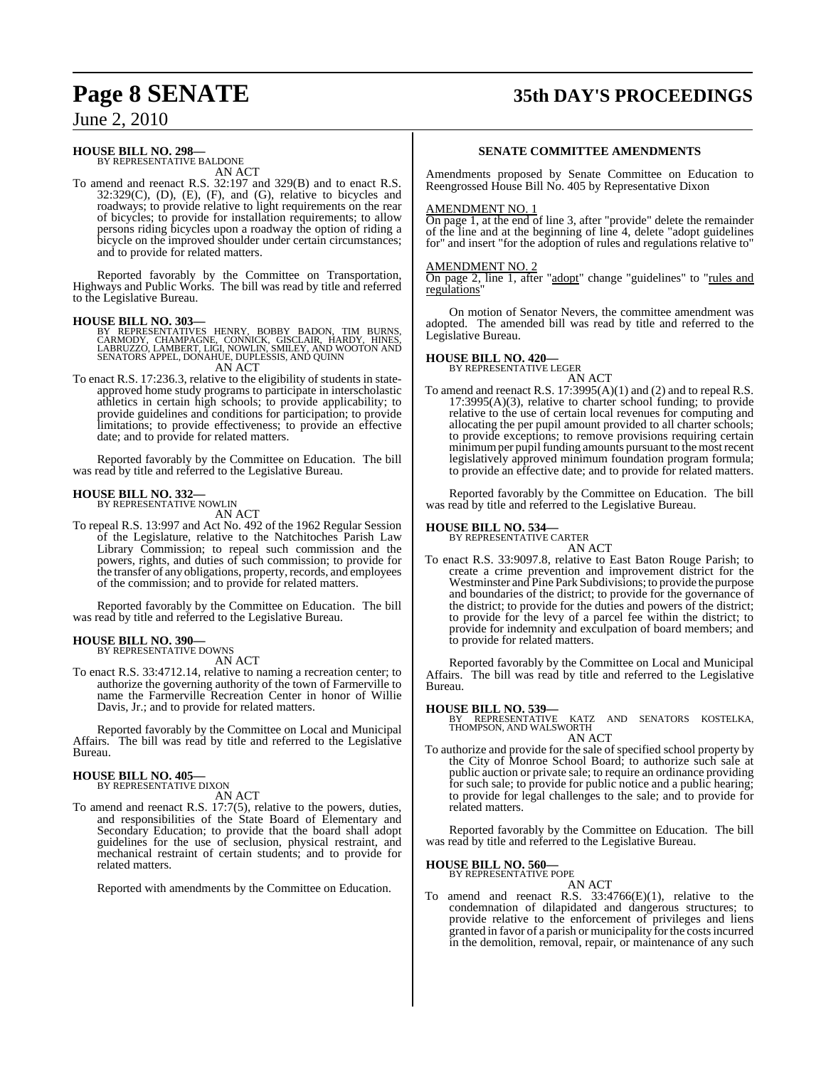## **Page 8 SENATE 35th DAY'S PROCEEDINGS**

June 2, 2010

### **HOUSE BILL NO. 298—**

BY REPRESENTATIVE BALDONE AN ACT

To amend and reenact R.S. 32:197 and 329(B) and to enact R.S.  $32:329(C)$ ,  $(D)$ ,  $(E)$ ,  $(F)$ , and  $(G)$ , relative to bicycles and roadways; to provide relative to light requirements on the rear of bicycles; to provide for installation requirements; to allow persons riding bicycles upon a roadway the option of riding a bicycle on the improved shoulder under certain circumstances; and to provide for related matters.

Reported favorably by the Committee on Transportation, Highways and Public Works. The bill was read by title and referred to the Legislative Bureau.

#### **HOUSE BILL NO. 303—**

- BY REPRESENTATIVES HENRY, BOBBY BADON, TIM BURNS,<br>CARMODY, CHAMPAGNE, CONNICK, GISCLAIR, HARDY, HINES,<br>LABRUZZO, LAMBERT,LIGI,NOWLIN,SMILEY,AND WOOTON AND SENATORS APPEL, DONAHUE, DUPLESSIS, AND QUINN AN ACT
- To enact R.S. 17:236.3, relative to the eligibility of students in stateapproved home study programs to participate in interscholastic athletics in certain high schools; to provide applicability; to provide guidelines and conditions for participation; to provide limitations; to provide effectiveness; to provide an effective date; and to provide for related matters.

Reported favorably by the Committee on Education. The bill was read by title and referred to the Legislative Bureau.

#### **HOUSE BILL NO. 332—**

BY REPRESENTATIVE NOWLIN AN ACT

To repeal R.S. 13:997 and Act No. 492 of the 1962 Regular Session of the Legislature, relative to the Natchitoches Parish Law Library Commission; to repeal such commission and the powers, rights, and duties of such commission; to provide for the transfer of any obligations, property, records, and employees of the commission; and to provide for related matters.

Reported favorably by the Committee on Education. The bill was read by title and referred to the Legislative Bureau.

#### **HOUSE BILL NO. 390—**

BY REPRESENTATIVE DOWNS AN ACT

To enact R.S. 33:4712.14, relative to naming a recreation center; to authorize the governing authority of the town of Farmerville to name the Farmerville Recreation Center in honor of Willie Davis, Jr.; and to provide for related matters.

Reported favorably by the Committee on Local and Municipal Affairs. The bill was read by title and referred to the Legislative Bureau.

### **HOUSE BILL NO. 405—** BY REPRESENTATIVE DIXON

AN ACT

To amend and reenact R.S. 17:7(5), relative to the powers, duties, and responsibilities of the State Board of Elementary and Secondary Education; to provide that the board shall adopt guidelines for the use of seclusion, physical restraint, and mechanical restraint of certain students; and to provide for related matters.

Reported with amendments by the Committee on Education.

#### **SENATE COMMITTEE AMENDMENTS**

Amendments proposed by Senate Committee on Education to Reengrossed House Bill No. 405 by Representative Dixon

#### AMENDMENT NO. 1

On page 1, at the end of line 3, after "provide" delete the remainder of the line and at the beginning of line 4, delete "adopt guidelines for" and insert "for the adoption of rules and regulations relative to"

#### AMENDMENT NO. 2

On page 2, line 1, after "adopt" change "guidelines" to "rules and regulations

On motion of Senator Nevers, the committee amendment was adopted. The amended bill was read by title and referred to the Legislative Bureau.

## **HOUSE BILL NO. 420—** BY REPRESENTATIVE LEGER

AN ACT

To amend and reenact R.S. 17:3995(A)(1) and (2) and to repeal R.S.  $17:3995(A)(3)$ , relative to charter school funding; to provide relative to the use of certain local revenues for computing and allocating the per pupil amount provided to all charter schools; to provide exceptions; to remove provisions requiring certain minimum per pupil funding amounts pursuant to the most recent legislatively approved minimum foundation program formula; to provide an effective date; and to provide for related matters.

Reported favorably by the Committee on Education. The bill was read by title and referred to the Legislative Bureau.

### **HOUSE BILL NO. 534—** BY REPRESENTATIVE CARTER

AN ACT

To enact R.S. 33:9097.8, relative to East Baton Rouge Parish; to create a crime prevention and improvement district for the Westminster and Pine Park Subdivisions; to provide the purpose and boundaries of the district; to provide for the governance of the district; to provide for the duties and powers of the district; to provide for the levy of a parcel fee within the district; to provide for indemnity and exculpation of board members; and to provide for related matters.

Reported favorably by the Committee on Local and Municipal Affairs. The bill was read by title and referred to the Legislative Bureau.

#### **HOUSE BILL NO. 539—**

KATZ AND SENATORS KOSTELKA, THOMPSON, AND WALSWORTH AN ACT

To authorize and provide for the sale of specified school property by the City of Monroe School Board; to authorize such sale at public auction or private sale; to require an ordinance providing for such sale; to provide for public notice and a public hearing; to provide for legal challenges to the sale; and to provide for related matters.

Reported favorably by the Committee on Education. The bill was read by title and referred to the Legislative Bureau.

#### **HOUSE BILL NO. 560—**

BY REPRESENTATIVE POPE

AN ACT To amend and reenact R.S. 33:4766(E)(1), relative to the condemnation of dilapidated and dangerous structures; to provide relative to the enforcement of privileges and liens granted in favor of a parish or municipality forthe costsincurred in the demolition, removal, repair, or maintenance of any such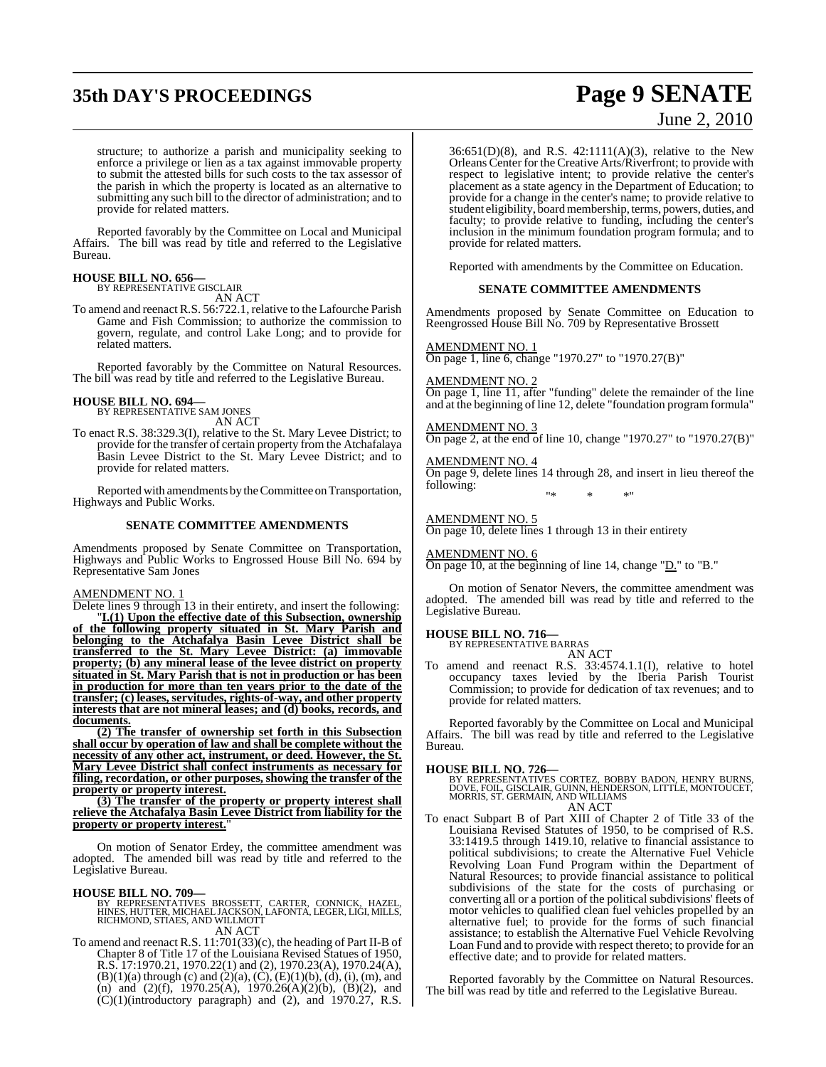## **35th DAY'S PROCEEDINGS Page 9 SENATE**

# June 2, 2010

structure; to authorize a parish and municipality seeking to enforce a privilege or lien as a tax against immovable property to submit the attested bills for such costs to the tax assessor of the parish in which the property is located as an alternative to submitting any such bill to the director of administration; and to provide for related matters.

Reported favorably by the Committee on Local and Municipal Affairs. The bill was read by title and referred to the Legislative Bureau.

## **HOUSE BILL NO. 656—** BY REPRESENTATIVE GISCLAIR

AN ACT

To amend and reenact R.S. 56:722.1, relative to the Lafourche Parish Game and Fish Commission; to authorize the commission to govern, regulate, and control Lake Long; and to provide for related matters.

Reported favorably by the Committee on Natural Resources. The bill was read by title and referred to the Legislative Bureau.

### **HOUSE BILL NO. 694—**

BY REPRESENTATIVE SAM JONES AN ACT

To enact R.S. 38:329.3(I), relative to the St. Mary Levee District; to provide for the transfer of certain property from the Atchafalaya Basin Levee District to the St. Mary Levee District; and to provide for related matters.

Reported with amendments by the Committee on Transportation, Highways and Public Works.

#### **SENATE COMMITTEE AMENDMENTS**

Amendments proposed by Senate Committee on Transportation, Highways and Public Works to Engrossed House Bill No. 694 by Representative Sam Jones

#### AMENDMENT NO. 1

Delete lines 9 through 13 in their entirety, and insert the following:

"**I.(1) Upon the effective date of this Subsection, ownership of the following property situated in St. Mary Parish and belonging to the Atchafalya Basin Levee District shall be transferred to the St. Mary Levee District: (a) immovable property; (b) any mineral lease of the levee district on property situated in St. Mary Parish that is not in production or has been in production for more than ten years prior to the date of the transfer; (c) leases, servitudes, rights-of-way, and other property interests that are not mineral leases; and (d) books, records, and documents.**

**(2) The transfer of ownership set forth in this Subsection shall occur by operation of law and shall be complete without the necessity of any other act, instrument, or deed. However, the St. Mary Levee District shall confect instruments as necessary for filing, recordation, or other purposes, showing the transfer of the property or property interest.**

**(3) The transfer of the property or property interest shall relieve the Atchafalya Basin Levee District from liability for the property or property interest.**"

On motion of Senator Erdey, the committee amendment was adopted. The amended bill was read by title and referred to the Legislative Bureau.

#### **HOUSE BILL NO. 709—**

BY REPRESENTATIVES BROSSETT, CARTER, CONNICK, HAZEL,<br>HINES,HUTTER,MICHAEL JACKSON,LAFONTA,LEGER,LIGI,MILLS,<br>RICHMOND,STIAES,AND WILLMOTT AN ACT

To amend and reenact R.S. 11:701(33)(c), the heading of Part II-B of Chapter 8 of Title 17 of the Louisiana Revised Statues of 1950, R.S. 17:1970.21, 1970.22(1) and (2), 1970.23(A), 1970.24(A),  $(B)(1)(a)$  through (c) and  $(2)(a)$ ,  $(C)$ ,  $(E)(1)(b)$ ,  $(d)$ ,  $(i)$ ,  $(m)$ , and (n) and (2)(f), 1970.25(A), 1970.26(A)(2)(b), (B)(2), and  $(C)(1)$ (introductory paragraph) and  $(2)$ , and 1970.27, R.S.

36:651(D)(8), and R.S. 42:1111(A)(3), relative to the New Orleans Center for the Creative Arts/Riverfront; to provide with respect to legislative intent; to provide relative the center's placement as a state agency in the Department of Education; to provide for a change in the center's name; to provide relative to student eligibility, board membership, terms, powers, duties, and faculty; to provide relative to funding, including the center's inclusion in the minimum foundation program formula; and to provide for related matters.

Reported with amendments by the Committee on Education.

#### **SENATE COMMITTEE AMENDMENTS**

Amendments proposed by Senate Committee on Education to Reengrossed House Bill No. 709 by Representative Brossett

#### AMENDMENT NO. 1

On page 1, line 6, change "1970.27" to "1970.27(B)"

AMENDMENT NO. 2

On page 1, line 11, after "funding" delete the remainder of the line and at the beginning of line 12, delete "foundation program formula"

AMENDMENT NO. 3 On page 2, at the end of line 10, change "1970.27" to "1970.27(B)"

AMENDMENT NO. 4 On page 9, delete lines 14 through 28, and insert in lieu thereof the following: "\* \* \*"

AMENDMENT NO. 5 On page 10, delete lines 1 through 13 in their entirety

AMENDMENT NO. 6

On page 10, at the beginning of line 14, change "D." to "B."

On motion of Senator Nevers, the committee amendment was adopted. The amended bill was read by title and referred to the Legislative Bureau.

### **HOUSE BILL NO. 716—** BY REPRESENTATIVE BARRAS

AN ACT

To amend and reenact R.S. 33:4574.1.1(I), relative to hotel occupancy taxes levied by the Iberia Parish Tourist Commission; to provide for dedication of tax revenues; and to provide for related matters.

Reported favorably by the Committee on Local and Municipal Affairs. The bill was read by title and referred to the Legislative Bureau.

**HOUSE BILL NO. 726—**<br>BY REPRESENTATIVES CORTEZ, BOBBY BADON, HENRY BURNS,<br>DOVE, FOIL, GISCLAIR, GUINN, HENDERSON, LITTLE, MONTOUCET,<br>MORRIS, ST. GERMAIN, AND WILLIAMS AN ACT

To enact Subpart B of Part XIII of Chapter 2 of Title 33 of the Louisiana Revised Statutes of 1950, to be comprised of R.S. 33:1419.5 through 1419.10, relative to financial assistance to political subdivisions; to create the Alternative Fuel Vehicle Revolving Loan Fund Program within the Department of Natural Resources; to provide financial assistance to political subdivisions of the state for the costs of purchasing or converting all or a portion of the political subdivisions' fleets of motor vehicles to qualified clean fuel vehicles propelled by an alternative fuel; to provide for the forms of such financial assistance; to establish the Alternative Fuel Vehicle Revolving Loan Fund and to provide with respect thereto; to provide for an effective date; and to provide for related matters.

Reported favorably by the Committee on Natural Resources. The bill was read by title and referred to the Legislative Bureau.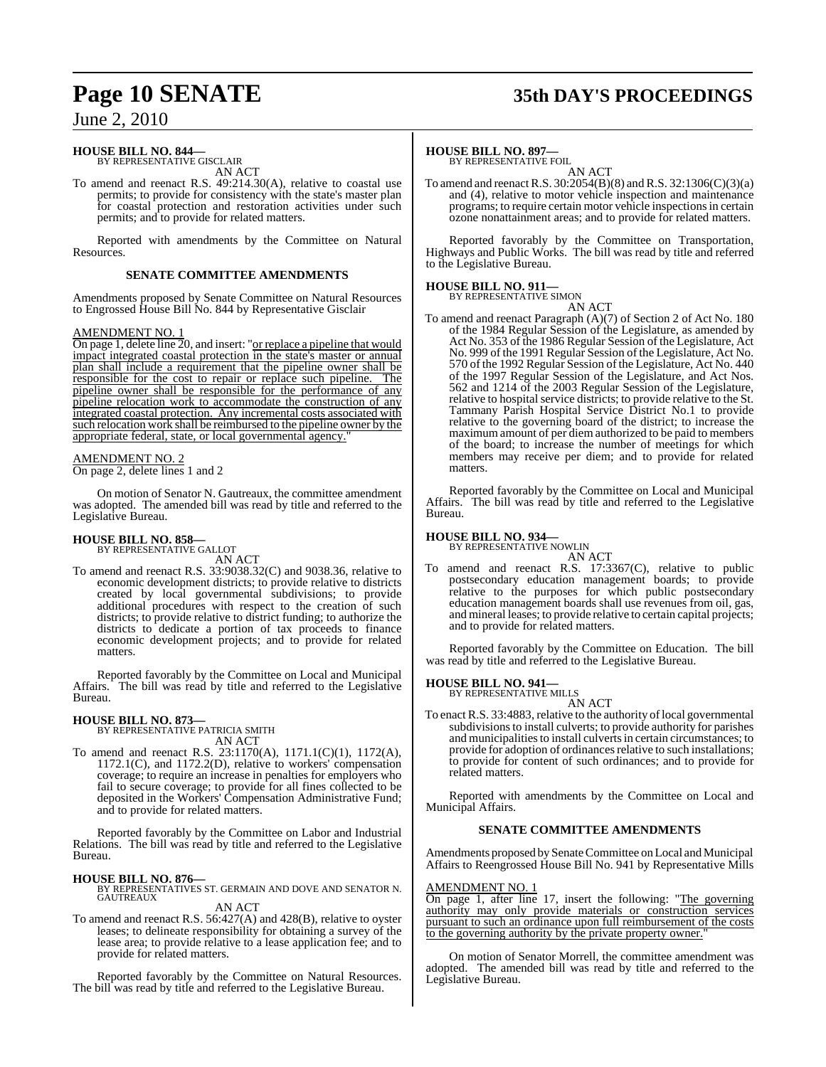### **HOUSE BILL NO. 844—** BY REPRESENTATIVE GISCLAIR

AN ACT

To amend and reenact R.S. 49:214.30(A), relative to coastal use permits; to provide for consistency with the state's master plan for coastal protection and restoration activities under such permits; and to provide for related matters.

Reported with amendments by the Committee on Natural Resources.

#### **SENATE COMMITTEE AMENDMENTS**

Amendments proposed by Senate Committee on Natural Resources to Engrossed House Bill No. 844 by Representative Gisclair

#### AMENDMENT NO. 1

On page 1, delete line 20, and insert: "or replace a pipeline that would impact integrated coastal protection in the state's master or annual plan shall include a requirement that the pipeline owner shall be responsible for the cost to repair or replace such pipeline. The pipeline owner shall be responsible for the performance of any pipeline relocation work to accommodate the construction of any integrated coastal protection. Any incremental costs associated with such relocation work shall be reimbursed to the pipeline owner by the appropriate federal, state, or local governmental agency."

#### AMENDMENT NO. 2

On page 2, delete lines 1 and 2

On motion of Senator N. Gautreaux, the committee amendment was adopted. The amended bill was read by title and referred to the Legislative Bureau.

# **HOUSE BILL NO. 858—** BY REPRESENTATIVE GALLOT AN ACT

To amend and reenact R.S. 33:9038.32(C) and 9038.36, relative to economic development districts; to provide relative to districts created by local governmental subdivisions; to provide additional procedures with respect to the creation of such districts; to provide relative to district funding; to authorize the districts to dedicate a portion of tax proceeds to finance economic development projects; and to provide for related matters.

Reported favorably by the Committee on Local and Municipal Affairs. The bill was read by title and referred to the Legislative Bureau.

#### **HOUSE BILL NO. 873—**

BY REPRESENTATIVE PATRICIA SMITH AN ACT

To amend and reenact R.S. 23:1170(A), 1171.1(C)(1), 1172(A), 1172.1(C), and 1172.2(D), relative to workers' compensation coverage; to require an increase in penalties for employers who fail to secure coverage; to provide for all fines collected to be deposited in the Workers' Compensation Administrative Fund; and to provide for related matters.

Reported favorably by the Committee on Labor and Industrial Relations. The bill was read by title and referred to the Legislative Bureau.

#### **HOUSE BILL NO. 876—**

BY REPRESENTATIVES ST. GERMAIN AND DOVE AND SENATOR N. GAUTREAUX

AN ACT

To amend and reenact R.S. 56:427(A) and 428(B), relative to oyster leases; to delineate responsibility for obtaining a survey of the lease area; to provide relative to a lease application fee; and to provide for related matters.

Reported favorably by the Committee on Natural Resources. The bill was read by title and referred to the Legislative Bureau.

## **Page 10 SENATE 35th DAY'S PROCEEDINGS**

#### **HOUSE BILL NO. 897—**

BY REPRESENTATIVE FOIL

AN ACT To amend and reenactR.S. 30:2054(B)(8) and R.S. 32:1306(C)(3)(a) and (4), relative to motor vehicle inspection and maintenance programs; to require certain motor vehicle inspectionsin certain ozone nonattainment areas; and to provide for related matters.

Reported favorably by the Committee on Transportation, Highways and Public Works. The bill was read by title and referred to the Legislative Bureau.

### **HOUSE BILL NO. 911—**

BY REPRESENTATIVE SIMON

AN ACT

To amend and reenact Paragraph (A)(7) of Section 2 of Act No. 180 of the 1984 Regular Session of the Legislature, as amended by Act No. 353 of the 1986 Regular Session of the Legislature, Act No. 999 of the 1991 Regular Session of the Legislature, Act No. 570 of the 1992 Regular Session of the Legislature, Act No. 440 of the 1997 Regular Session of the Legislature, and Act Nos. 562 and 1214 of the 2003 Regular Session of the Legislature, relative to hospital service districts; to provide relative to the St. Tammany Parish Hospital Service District No.1 to provide relative to the governing board of the district; to increase the maximum amount of per diem authorized to be paid to members of the board; to increase the number of meetings for which members may receive per diem; and to provide for related matters.

Reported favorably by the Committee on Local and Municipal Affairs. The bill was read by title and referred to the Legislative Bureau.

#### **HOUSE BILL NO. 934—**

BY REPRESENTATIVE NOWLIN

AN ACT To amend and reenact R.S. 17:3367(C), relative to public postsecondary education management boards; to provide relative to the purposes for which public postsecondary education management boards shall use revenues from oil, gas, and mineral leases; to provide relative to certain capital projects; and to provide for related matters.

Reported favorably by the Committee on Education. The bill was read by title and referred to the Legislative Bureau.

#### **HOUSE BILL NO. 941—**

BY REPRESENTATIVE MILLS AN ACT

To enact R.S. 33:4883, relative to the authority of local governmental subdivisions to install culverts; to provide authority for parishes and municipalities to install culverts in certain circumstances; to provide for adoption of ordinances relative to such installations; to provide for content of such ordinances; and to provide for related matters.

Reported with amendments by the Committee on Local and Municipal Affairs.

#### **SENATE COMMITTEE AMENDMENTS**

Amendments proposed by Senate Committee on Local and Municipal Affairs to Reengrossed House Bill No. 941 by Representative Mills

#### AMENDMENT NO. 1

On page 1, after line 17, insert the following: "The governing authority may only provide materials or construction services pursuant to such an ordinance upon full reimbursement of the costs to the governing authority by the private property owner.

On motion of Senator Morrell, the committee amendment was adopted. The amended bill was read by title and referred to the Legislative Bureau.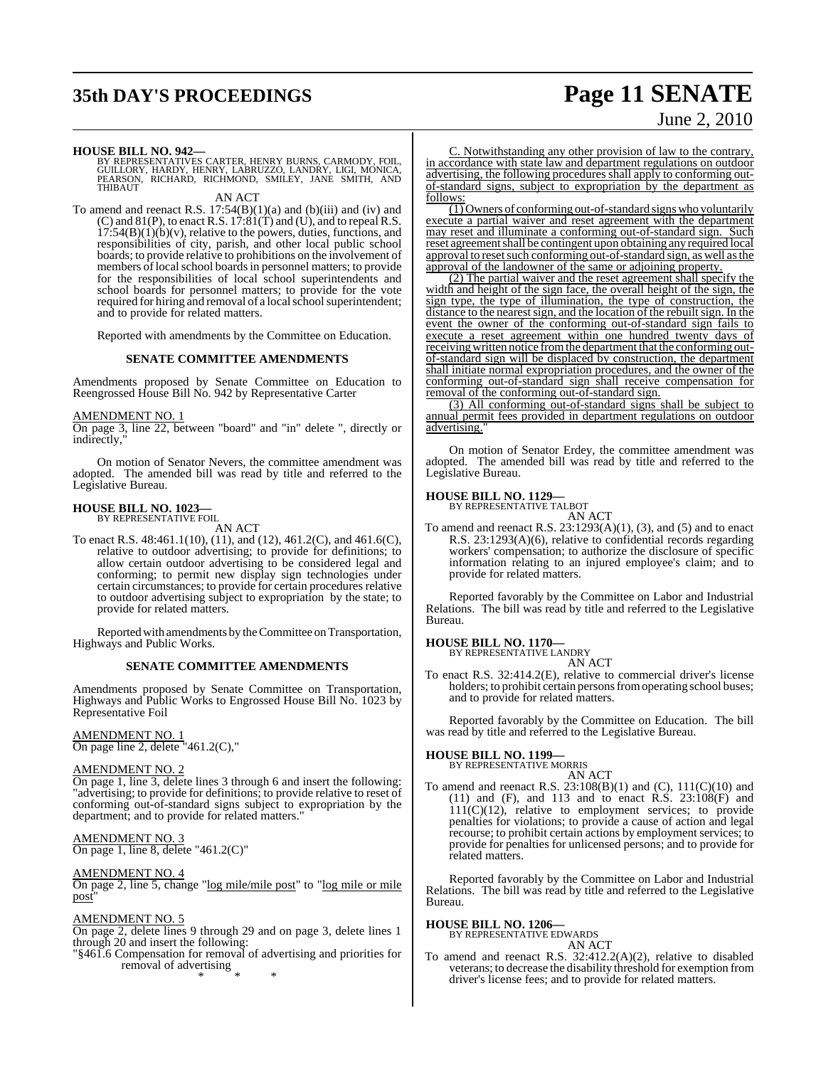## **35th DAY'S PROCEEDINGS Page 11 SENATE**

# June 2, 2010

**HOUSE BILL NO. 942—**<br>BY REPRESENTATIVES CARTER, HENRY BURNS, CARMODY, FOIL, GUILLORY, HARDY, HENRY, LABRUZZO, LANDRY, LIGI, MONICA,<br>PEARSON, RICHARD, RICHMOND, SMILEY, JANE SMITH, AND<br>THIBAUT

AN ACT

To amend and reenact R.S.  $17:54(B)(1)(a)$  and  $(b)(iii)$  and  $(iv)$  and  $(C)$  and  $81(P)$ , to enact R.S.  $17:81(T)$  and  $(U)$ , and to repeal R.S.  $17:54(B)(1)(b)(v)$ , relative to the powers, duties, functions, and responsibilities of city, parish, and other local public school boards; to provide relative to prohibitions on the involvement of members of local school boards in personnel matters; to provide for the responsibilities of local school superintendents and school boards for personnel matters; to provide for the vote required for hiring and removal of a local school superintendent; and to provide for related matters.

Reported with amendments by the Committee on Education.

#### **SENATE COMMITTEE AMENDMENTS**

Amendments proposed by Senate Committee on Education to Reengrossed House Bill No. 942 by Representative Carter

#### AMENDMENT NO. 1

On page 3, line 22, between "board" and "in" delete ", directly or indirectly.

On motion of Senator Nevers, the committee amendment was adopted. The amended bill was read by title and referred to the Legislative Bureau.

#### **HOUSE BILL NO. 1023—**

BY REPRESENTATIVE FOIL AN ACT

To enact R.S. 48:461.1(10), (11), and (12), 461.2(C), and 461.6(C), relative to outdoor advertising; to provide for definitions; to allow certain outdoor advertising to be considered legal and conforming; to permit new display sign technologies under certain circumstances; to provide for certain procedures relative to outdoor advertising subject to expropriation by the state; to provide for related matters.

Reported with amendments by the Committee on Transportation, Highways and Public Works.

#### **SENATE COMMITTEE AMENDMENTS**

Amendments proposed by Senate Committee on Transportation, Highways and Public Works to Engrossed House Bill No. 1023 by Representative Foil

#### AMENDMENT NO. 1 On page line 2, delete "461.2(C),"

#### AMENDMENT NO. 2

On page 1, line 3, delete lines 3 through 6 and insert the following: "advertising; to provide for definitions; to provide relative to reset of conforming out-of-standard signs subject to expropriation by the department; and to provide for related matters."

AMENDMENT NO. 3 On page 1, line 8, delete "461.2(C)"

#### AMENDMENT NO. 4

On page 2, line 5, change "log mile/mile post" to "log mile or mile post"

#### AMENDMENT NO. 5

On page 2, delete lines 9 through 29 and on page 3, delete lines 1 through 20 and insert the following:

"§461.6 Compensation for removal of advertising and priorities for removal of advertising

\* \* \*

C. Notwithstanding any other provision of law to the contrary, in accordance with state law and department regulations on outdoor advertising, the following procedures shall apply to conforming outof-standard signs, subject to expropriation by the department as follows:

(1) Owners of conforming out-of-standard signs who voluntarily execute a partial waiver and reset agreement with the department may reset and illuminate a conforming out-of-standard sign. Such reset agreementshall be contingent upon obtaining any required local approval to reset such conforming out-of-standard sign, as well as the approval of the landowner of the same or adjoining property.

(2) The partial waiver and the reset agreement shall specify the width and height of the sign face, the overall height of the sign, the sign type, the type of illumination, the type of construction, the distance to the nearest sign, and the location of the rebuilt sign. In the event the owner of the conforming out-of-standard sign fails to execute a reset agreement within one hundred twenty days of receivingwritten notice fromthe department that the conforming outof-standard sign will be displaced by construction, the department shall initiate normal expropriation procedures, and the owner of the conforming out-of-standard sign shall receive compensation for removal of the conforming out-of-standard sign.

(3) All conforming out-of-standard signs shall be subject to annual permit fees provided in department regulations on outdoor advertising.

On motion of Senator Erdey, the committee amendment was adopted. The amended bill was read by title and referred to the Legislative Bureau.

### **HOUSE BILL NO. 1129—** BY REPRESENTATIVE TALBOT

AN ACT

To amend and reenact R.S.  $23:1293(A)(1)$ , (3), and (5) and to enact R.S. 23:1293(A)(6), relative to confidential records regarding workers' compensation; to authorize the disclosure of specific information relating to an injured employee's claim; and to provide for related matters.

Reported favorably by the Committee on Labor and Industrial Relations. The bill was read by title and referred to the Legislative Bureau.

#### **HOUSE BILL NO. 1170—**

BY REPRESENTATIVE LANDRY

AN ACT To enact R.S. 32:414.2(E), relative to commercial driver's license holders; to prohibit certain persons from operating school buses; and to provide for related matters.

Reported favorably by the Committee on Education. The bill was read by title and referred to the Legislative Bureau.

## **HOUSE BILL NO. 1199—** BY REPRESENTATIVE MORRIS

AN ACT To amend and reenact R.S. 23:108(B)(1) and (C), 111(C)(10) and (11) and (F), and 113 and to enact R.S. 23:108(F) and 111(C)(12), relative to employment services; to provide penalties for violations; to provide a cause of action and legal recourse; to prohibit certain actions by employment services; to provide for penalties for unlicensed persons; and to provide for

Reported favorably by the Committee on Labor and Industrial Relations. The bill was read by title and referred to the Legislative Bureau.

#### **HOUSE BILL NO. 1206—**

related matters.

BY REPRESENTATIVE EDWARDS AN ACT

To amend and reenact R.S. 32:412.2(A)(2), relative to disabled veterans; to decrease the disability threshold for exemption from driver's license fees; and to provide for related matters.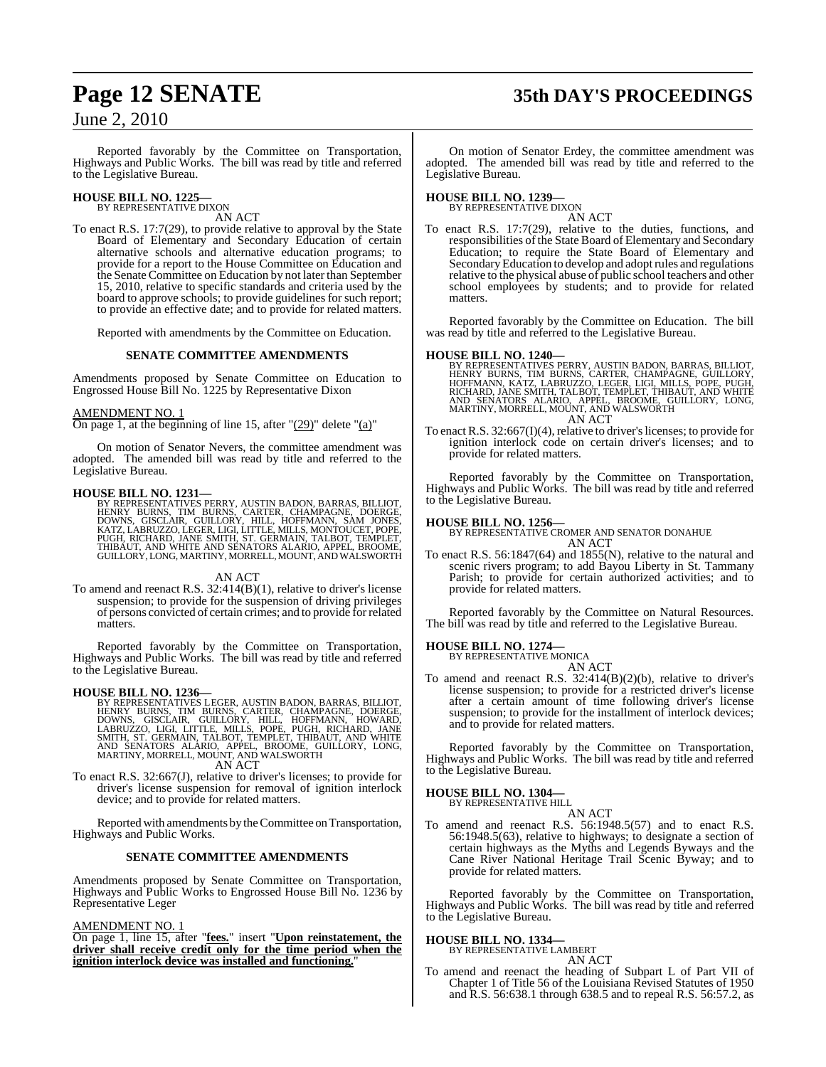## **Page 12 SENATE 35th DAY'S PROCEEDINGS**

### June 2, 2010

Reported favorably by the Committee on Transportation, Highways and Public Works. The bill was read by title and referred to the Legislative Bureau.

### **HOUSE BILL NO. 1225—** BY REPRESENTATIVE DIXON

AN ACT

To enact R.S. 17:7(29), to provide relative to approval by the State Board of Elementary and Secondary Education of certain alternative schools and alternative education programs; to provide for a report to the House Committee on Education and the Senate Committee on Education by not later than September 15, 2010, relative to specific standards and criteria used by the board to approve schools; to provide guidelines for such report; to provide an effective date; and to provide for related matters.

Reported with amendments by the Committee on Education.

#### **SENATE COMMITTEE AMENDMENTS**

Amendments proposed by Senate Committee on Education to Engrossed House Bill No. 1225 by Representative Dixon

#### AMENDMENT NO. 1

On page 1, at the beginning of line 15, after " $(29)$ " delete " $(a)$ "

On motion of Senator Nevers, the committee amendment was adopted. The amended bill was read by title and referred to the Legislative Bureau.

**HOUSE BILL NO. 1231—**<br>BY REPRESENTATIVES PERRY, AUSTIN BADON, BARRAS, BILLIOT,<br>HENRY BURNS, TIM BURNS, CARTER, CHAMPAGNE, DOERGE,<br>DOWNS, GISCLAIR, GUILLORY, HILL, HOFFMANN, SAM JONES,<br>KATZ, LABRUZZO, LEGER, LIGI, LITTLE,

AN ACT

To amend and reenact R.S.  $32:414(B)(1)$ , relative to driver's license suspension; to provide for the suspension of driving privileges of persons convicted of certain crimes; and to provide for related matters.

Reported favorably by the Committee on Transportation, Highways and Public Works. The bill was read by title and referred to the Legislative Bureau.

HOUSE BILL NO. 1236—<br>
BY REPRESENTATIVES LEGER, AUSTIN BADON, BARRAS, BILLIOT, HENRY BURNS, TIM BURNS, CARTER, CHAMPAGNE, DOERGE,<br>
DOWNS, GISCLAIR, GUILLORY, HILL, HOFFMANN, HOWARD, LABRUZZO, LIGI, LITTLE, MILLS, POPE, PUG

To enact R.S. 32:667(J), relative to driver's licenses; to provide for To enact R.S. 32:667(J), relative to driver's licenses; to provide for driver's license suspension for removal of ignition interlock device; and to provide for related matters.

Reported with amendments by theCommittee on Transportation, Highways and Public Works.

#### **SENATE COMMITTEE AMENDMENTS**

Amendments proposed by Senate Committee on Transportation, Highways and Public Works to Engrossed House Bill No. 1236 by Representative Leger

#### AMENDMENT NO. 1

On page 1, line 15, after "**fees.**" insert "**Upon reinstatement, the driver shall receive credit only for the time period when the ignition interlock device was installed and functioning.**"

On motion of Senator Erdey, the committee amendment was adopted. The amended bill was read by title and referred to the Legislative Bureau.

## **HOUSE BILL NO. 1239—** BY REPRESENTATIVE DIXON

AN ACT

To enact R.S. 17:7(29), relative to the duties, functions, and responsibilities of the State Board of Elementary and Secondary Education; to require the State Board of Elementary and SecondaryEducation to develop and adoptrules and regulations relative to the physical abuse of public school teachers and other school employees by students; and to provide for related matters.

Reported favorably by the Committee on Education. The bill was read by title and referred to the Legislative Bureau.

**HOUSE BILL NO. 1240—**<br>BY REPRESENTATIVES PERRY, AUSTIN BADON, BARRAS, BILLIOT,<br>HENRY BURNS, TIM BURNS, CARTER, CHAMPAGNE, GUILLORY,<br>HOFFMANN, KATZ, LABRUZZO, LEGER, LIGI, MILLS, POPE, PUGH,<br>RICHARD, JANE SMITH, TALBOT, TE AN ACT

To enact R.S. 32:667(I)(4), relative to driver's licenses; to provide for ignition interlock code on certain driver's licenses; and to provide for related matters.

Reported favorably by the Committee on Transportation, Highways and Public Works. The bill was read by title and referred to the Legislative Bureau.

#### **HOUSE BILL NO. 1256—**

BY REPRESENTATIVE CROMER AND SENATOR DONAHUE AN ACT

To enact R.S. 56:1847(64) and 1855(N), relative to the natural and scenic rivers program; to add Bayou Liberty in St. Tammany Parish; to provide for certain authorized activities; and to provide for related matters.

Reported favorably by the Committee on Natural Resources. The bill was read by title and referred to the Legislative Bureau.

## **HOUSE BILL NO. 1274—** BY REPRESENTATIVE MONICA

AN ACT

To amend and reenact R.S. 32:414(B)(2)(b), relative to driver's license suspension; to provide for a restricted driver's license after a certain amount of time following driver's license suspension; to provide for the installment of interlock devices; and to provide for related matters.

Reported favorably by the Committee on Transportation, Highways and Public Works. The bill was read by title and referred to the Legislative Bureau.

#### **HOUSE BILL NO. 1304—** BY REPRESENTATIVE HILL

AN ACT

To amend and reenact R.S. 56:1948.5(57) and to enact R.S. 56:1948.5(63), relative to highways; to designate a section of certain highways as the Myths and Legends Byways and the Cane River National Heritage Trail Scenic Byway; and to provide for related matters.

Reported favorably by the Committee on Transportation, Highways and Public Works. The bill was read by title and referred to the Legislative Bureau.

#### **HOUSE BILL NO. 1334—**

BY REPRESENTATIVE LAMBERT

### AN ACT

To amend and reenact the heading of Subpart L of Part VII of Chapter 1 of Title 56 of the Louisiana Revised Statutes of 1950 and R.S. 56:638.1 through 638.5 and to repeal R.S. 56:57.2, as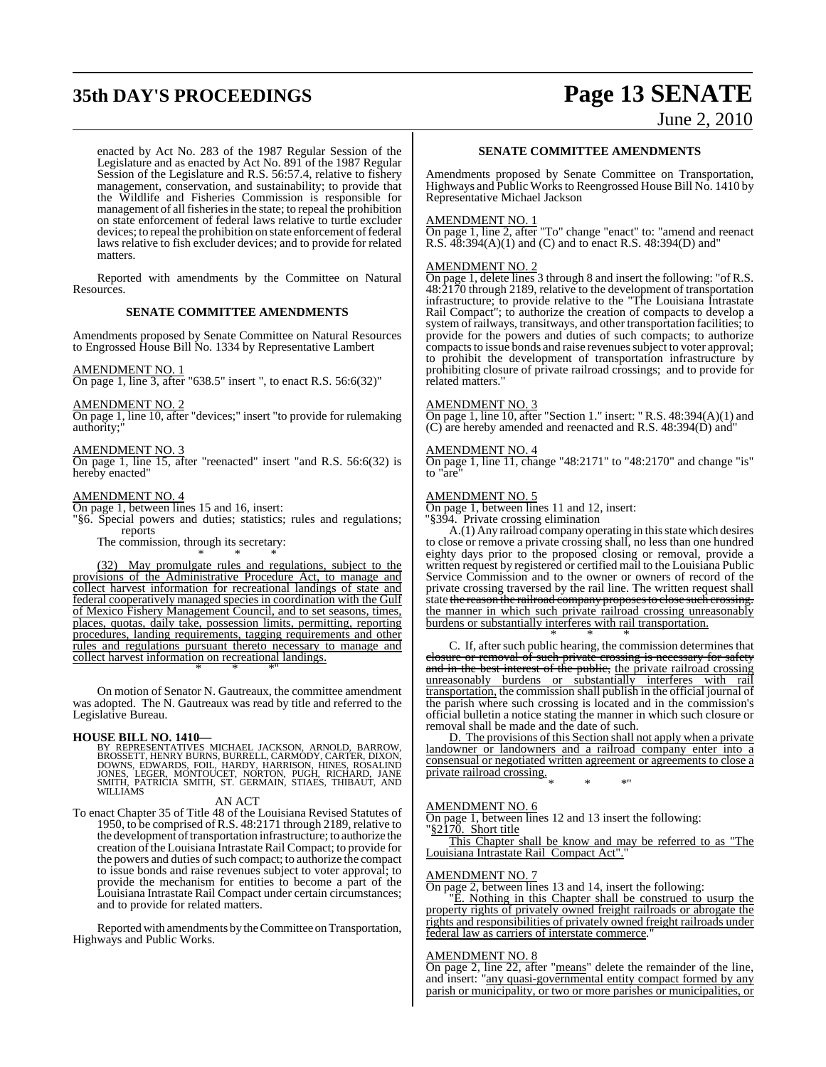## **35th DAY'S PROCEEDINGS Page 13 SENATE**

June 2, 2010

enacted by Act No. 283 of the 1987 Regular Session of the Legislature and as enacted by Act No. 891 of the 1987 Regular Session of the Legislature and R.S. 56:57.4, relative to fishery management, conservation, and sustainability; to provide that the Wildlife and Fisheries Commission is responsible for management of all fisheries in the state; to repeal the prohibition on state enforcement of federal laws relative to turtle excluder devices; to repeal the prohibition on state enforcement of federal laws relative to fish excluder devices; and to provide for related matters.

Reported with amendments by the Committee on Natural Resources.

#### **SENATE COMMITTEE AMENDMENTS**

Amendments proposed by Senate Committee on Natural Resources to Engrossed House Bill No. 1334 by Representative Lambert

#### AMENDMENT NO. 1

On page 1, line 3, after "638.5" insert ", to enact R.S. 56:6(32)"

#### AMENDMENT NO. 2

On page 1, line 10, after "devices;" insert "to provide for rulemaking authority;"

#### AMENDMENT NO. 3

On page 1, line 15, after "reenacted" insert "and R.S. 56:6(32) is hereby enacted"

#### AMENDMENT NO. 4

On page 1, between lines 15 and 16, insert:

"§6. Special powers and duties; statistics; rules and regulations; reports

The commission, through its secretary: \* \* \*

(32) May promulgate rules and regulations, subject to the provisions of the Administrative Procedure Act, to manage and collect harvest information for recreational landings of state and federal cooperatively managed species in coordination with the Gulf of Mexico Fishery Management Council, and to set seasons, times, places, quotas, daily take, possession limits, permitting, reporting procedures, landing requirements, tagging requirements and other rules and regulations pursuant thereto necessary to manage and collect harvest information on recreational landings. \* \* \*"

On motion of Senator N. Gautreaux, the committee amendment was adopted. The N. Gautreaux was read by title and referred to the Legislative Bureau.

#### **HOUSE BILL NO. 1410—**

BY REPRESENTATIVES MICHAEL JACKSON, ARNOLD, BARROW,<br>BROSSETT,HENRYBURNS, BURRELL, CARMODY, CARTER, DIXON,<br>DOWNS, EDWARDS, FOLL, HARDY, HARRISON, HINES, ROSALIND<br>JOWES, LEGER, MONTOUCET, NORTON, PUGH, RICHARD, JANE<br>SMITH, P WILLIAMS

#### AN ACT

To enact Chapter 35 of Title 48 of the Louisiana Revised Statutes of 1950, to be comprised ofR.S. 48:2171 through 2189, relative to the development of transportation infrastructure; to authorize the creation of the Louisiana Intrastate Rail Compact; to provide for the powers and duties of such compact; to authorize the compact to issue bonds and raise revenues subject to voter approval; to provide the mechanism for entities to become a part of the Louisiana Intrastate Rail Compact under certain circumstances; and to provide for related matters.

Reported with amendments by the Committee on Transportation, Highways and Public Works.

#### **SENATE COMMITTEE AMENDMENTS**

Amendments proposed by Senate Committee on Transportation, Highways and Public Works to Reengrossed House Bill No. 1410 by Representative Michael Jackson

#### AMENDMENT NO. 1

On page 1, line 2, after "To" change "enact" to: "amend and reenact R.S. 48:394(A)(1) and (C) and to enact R.S. 48:394(D) and"

#### AMENDMENT NO. 2

On page 1, delete lines 3 through 8 and insert the following: "of R.S. 48:2170 through 2189, relative to the development of transportation infrastructure; to provide relative to the "The Louisiana Intrastate Rail Compact"; to authorize the creation of compacts to develop a system of railways, transitways, and other transportation facilities; to provide for the powers and duties of such compacts; to authorize compacts to issue bonds and raise revenues subject to voter approval; to prohibit the development of transportation infrastructure by prohibiting closure of private railroad crossings; and to provide for related matters."

#### AMENDMENT NO. 3

On page 1, line 10, after "Section 1." insert: " R.S. 48:394(A)(1) and (C) are hereby amended and reenacted and R.S. 48:394(D) and"

#### AMENDMENT NO. 4

On page 1, line 11, change "48:2171" to "48:2170" and change "is" to "are"

#### AMENDMENT NO. 5

On page 1, between lines 11 and 12, insert:

"§394. Private crossing elimination

 $A(1)$  Any railroad company operating in this state which desires to close or remove a private crossing shall, no less than one hundred eighty days prior to the proposed closing or removal, provide a written request by registered or certified mail to the Louisiana Public Service Commission and to the owner or owners of record of the private crossing traversed by the rail line. The written request shall state the reason the railroad company proposes to close such crossing. the manner in which such private railroad crossing unreasonably burdens or substantially interferes with rail transportation.

\* \* \* C. If, after such public hearing, the commission determines that closure or removal of such private crossing is necessary for safety and in the best interest of the public, the private railroad crossing unreasonably burdens or substantially interferes with rail transportation, the commission shall publish in the official journal of the parish where such crossing is located and in the commission's official bulletin a notice stating the manner in which such closure or removal shall be made and the date of such.

D. The provisions of this Section shall not apply when a private landowner or landowners and a railroad company enter into a consensual or negotiated written agreement or agreements to close a private railroad crossing. \* \* \*"

#### AMENDMENT NO. 6

On page 1, between lines 12 and 13 insert the following: §2170. Short title

This Chapter shall be know and may be referred to as "The Louisiana Intrastate Rail Compact Act"."

### AMENDMENT NO. 7

On page 2, between lines 13 and 14, insert the following:

"E. Nothing in this Chapter shall be construed to usurp the property rights of privately owned freight railroads or abrogate the rights and responsibilities of privately owned freight railroads under federal law as carriers of interstate commerce.

#### AMENDMENT NO. 8

On page 2, line 22, after "means" delete the remainder of the line, and insert: "any quasi-governmental entity compact formed by any parish or municipality, or two or more parishes or municipalities, or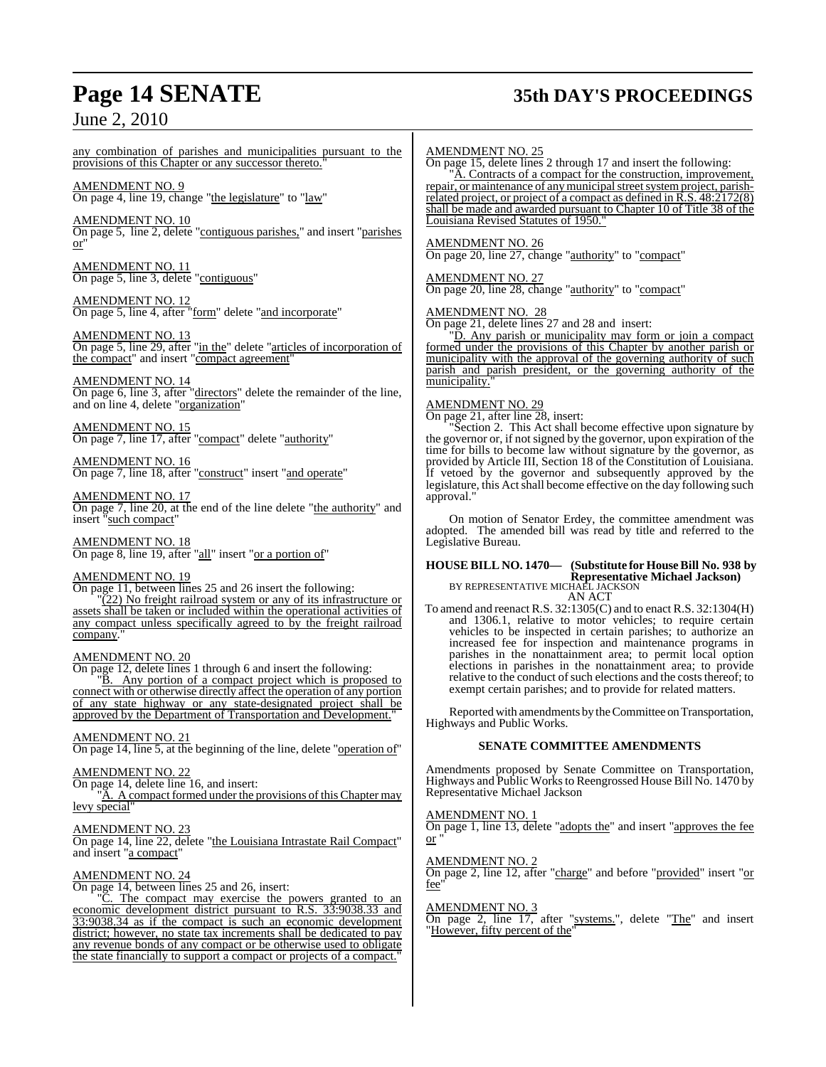## **Page 14 SENATE 35th DAY'S PROCEEDINGS**

### June 2, 2010

any combination of parishes and municipalities pursuant to the provisions of this Chapter or any successor thereto."

AMENDMENT NO. 9 On page 4, line 19, change "the legislature" to "law"

AMENDMENT NO. 10 On page 5, line 2, delete "contiguous parishes," and insert "parishes or"

AMENDMENT NO. 11 On page 5, line 3, delete "contiguous"

AMENDMENT NO. 12 On page 5, line 4, after "form" delete "and incorporate"

#### <u>AMENDMENT NO. 13</u> On page 5, line 29, after "in the" delete "articles of incorporation of the compact" and insert "compact agreement"

AMENDMENT NO. 14 On page 6, line 3, after "directors" delete the remainder of the line, and on line 4, delete "organization"

AMENDMENT NO. 15 On page 7, line 17, after "compact" delete "authority"

AMENDMENT NO. 16 On page 7, line 18, after "construct" insert "and operate"

AMENDMENT NO. 17 On page 7, line 20, at the end of the line delete "the authority" and insert "such compact"

AMENDMENT NO. 18 On page 8, line 19, after "all" insert "or a portion of"

#### AMENDMENT NO. 19

On page 11, between lines 25 and 26 insert the following: "(22) No freight railroad system or any of its infrastructure or assets shall be taken or included within the operational activities of any compact unless specifically agreed to by the freight railroad company.

#### AMENDMENT NO. 20

On page 12, delete lines 1 through 6 and insert the following: "B. Any portion of a compact project which is proposed to connect with or otherwise directly affect the operation of any portion of any state highway or any state-designated project shall be approved by the Department of Transportation and Development."

#### AMENDMENT NO. 21

On page 14, line 5, at the beginning of the line, delete "operation of"

#### AMENDMENT NO. 22

On page 14, delete line 16, and insert:

A. A compact formed under the provisions of this Chapter may levy special"

#### AMENDMENT NO. 23

On page 14, line 22, delete "the Louisiana Intrastate Rail Compact" and insert "a compact"

### AMENDMENT NO. 24

On page 14, between lines 25 and 26, insert:<br>"C. The compact may exercise the r

The compact may exercise the powers granted to an economic development district pursuant to R.S. 33:9038.33 and 33:9038.34 as if the compact is such an economic development district; however, no state tax increments shall be dedicated to pay any revenue bonds of any compact or be otherwise used to obligate the state financially to support a compact or projects of a compact."

#### AMENDMENT NO. 25

On page 15, delete lines 2 through 17 and insert the following: "A. Contracts of a compact for the construction, improvement,

repair, or maintenance of any municipal street system project, parishrelated project, or project of a compact as defined in R.S. 48:2172(8) shall be made and awarded pursuant to Chapter 10 of Title 38 of the Louisiana Revised Statutes of 1950."

#### AMENDMENT NO. 26

On page 20, line 27, change "authority" to "compact"

#### AMENDMENT NO. 27

On page 20, line 28, change "authority" to "compact"

#### AMENDMENT NO. 28

On page 21, delete lines 27 and 28 and insert:

"D. Any parish or municipality may form or join a compact formed under the provisions of this Chapter by another parish or municipality with the approval of the governing authority of such parish and parish president, or the governing authority of the municipality.

#### AMENDMENT NO. 29

On page 21, after line 28, insert:

Section 2. This Act shall become effective upon signature by the governor or, if not signed by the governor, upon expiration of the time for bills to become law without signature by the governor, as provided by Article III, Section 18 of the Constitution of Louisiana. If vetoed by the governor and subsequently approved by the legislature, this Act shall become effective on the day following such approval."

On motion of Senator Erdey, the committee amendment was adopted. The amended bill was read by title and referred to the Legislative Bureau.

### **HOUSE BILL NO. 1470— (Substitute for HouseBill No. 938 by Representative Michael Jackson)** BY REPRESENTATIVE MICHAEL JACKSON

AN ACT To amend and reenact R.S. 32:1305(C) and to enact R.S. 32:1304(H) and 1306.1, relative to motor vehicles; to require certain vehicles to be inspected in certain parishes; to authorize an increased fee for inspection and maintenance programs in parishes in the nonattainment area; to permit local option elections in parishes in the nonattainment area; to provide relative to the conduct of such elections and the costs thereof; to exempt certain parishes; and to provide for related matters.

Reported with amendments by theCommittee on Transportation, Highways and Public Works.

#### **SENATE COMMITTEE AMENDMENTS**

Amendments proposed by Senate Committee on Transportation, Highways and Public Worksto Reengrossed House Bill No. 1470 by Representative Michael Jackson

#### AMENDMENT NO. 1

On page 1, line 13, delete "adopts the" and insert "approves the fee or "

#### AMENDMENT NO. 2

On page 2, line 12, after "charge" and before "provided" insert "or fee

### AMENDMENT NO. 3

On page 2, line 17, after "systems.", delete "The" and insert "However, fifty percent of the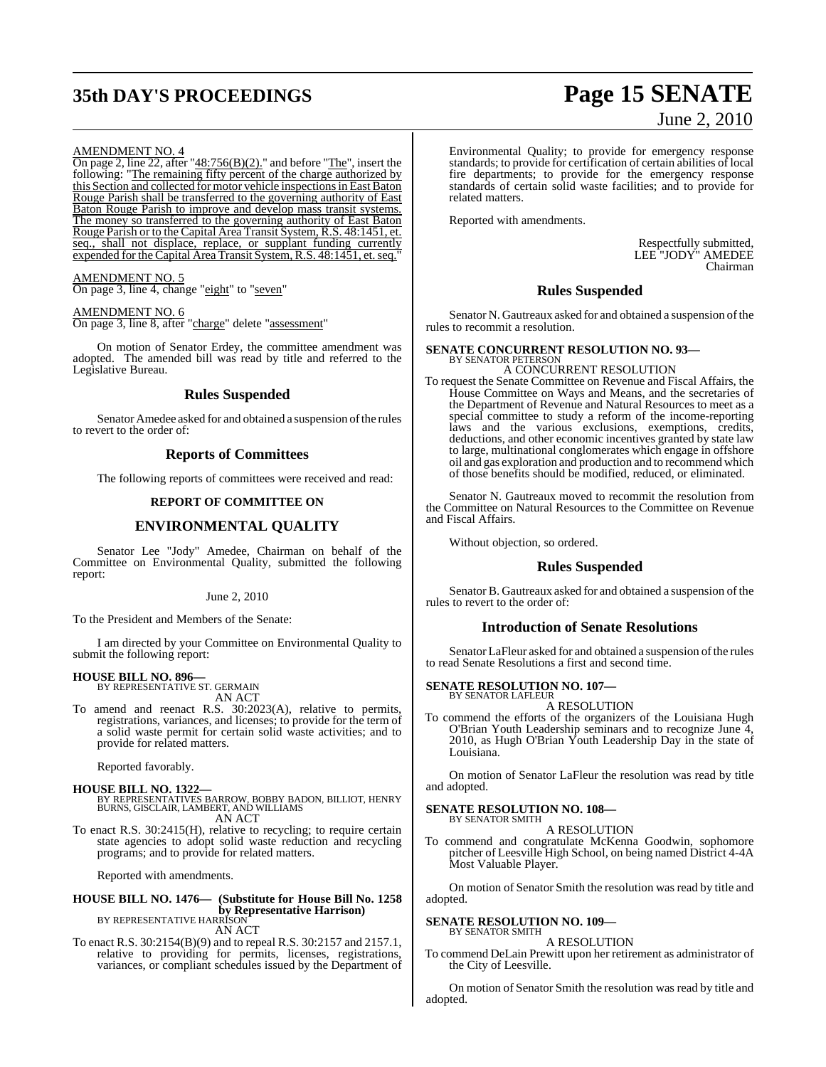## **35th DAY'S PROCEEDINGS Page 15 SENATE**

# June 2, 2010

#### AMENDMENT NO. 4

On page 2, line  $22$ , after " $48:756(B)(2)$ ." and before "The", insert the following: "The remaining fifty percent of the charge authorized by this Section and collected for motor vehicle inspections in East Baton Rouge Parish shall be transferred to the governing authority of East Baton Rouge Parish to improve and develop mass transit systems. The money so transferred to the governing authority of East Baton Rouge Parish or to the Capital Area Transit System, R.S. 48:1451, et. seq., shall not displace, replace, or supplant funding currently expended for the Capital Area Transit System, R.S. 48:1451, et. seq."

#### AMENDMENT NO. 5

On page 3, line 4, change "eight" to "seven"

#### AMENDMENT NO. 6

On page 3, line 8, after "charge" delete "assessment"

On motion of Senator Erdey, the committee amendment was adopted. The amended bill was read by title and referred to the Legislative Bureau.

#### **Rules Suspended**

Senator Amedee asked for and obtained a suspension of the rules to revert to the order of:

#### **Reports of Committees**

The following reports of committees were received and read:

### **REPORT OF COMMITTEE ON**

#### **ENVIRONMENTAL QUALITY**

Senator Lee "Jody" Amedee, Chairman on behalf of the Committee on Environmental Quality, submitted the following report:

#### June 2, 2010

To the President and Members of the Senate:

I am directed by your Committee on Environmental Quality to submit the following report:

### **HOUSE BILL NO. 896—** BY REPRESENTATIVE ST. GERMAIN

AN ACT

To amend and reenact R.S. 30:2023(A), relative to permits, registrations, variances, and licenses; to provide for the term of a solid waste permit for certain solid waste activities; and to provide for related matters.

Reported favorably.

#### **HOUSE BILL NO. 1322—** BY REPRESENTATIVES BARROW, BOBBY BADON, BILLIOT, HENRY BURNS, GISCLAIR, LAMBERT, AND WILLIAMS AN ACT

To enact R.S. 30:2415(H), relative to recycling; to require certain state agencies to adopt solid waste reduction and recycling programs; and to provide for related matters.

Reported with amendments.

#### **HOUSE BILL NO. 1476— (Substitute for House Bill No. 1258 by Representative Harrison)** BY REPRESENTATIVE HARRISON AN ACT

To enact R.S. 30:2154(B)(9) and to repeal R.S. 30:2157 and 2157.1, relative to providing for permits, licenses, registrations, variances, or compliant schedules issued by the Department of

Environmental Quality; to provide for emergency response standards; to provide for certification of certain abilities of local fire departments; to provide for the emergency response standards of certain solid waste facilities; and to provide for related matters.

Reported with amendments.

Respectfully submitted, LEE "JODY" AMEDEE Chairman

#### **Rules Suspended**

Senator N. Gautreaux asked for and obtained a suspension of the rules to recommit a resolution.

### **SENATE CONCURRENT RESOLUTION NO. 93—** BY SENATOR PETERSON

A CONCURRENT RESOLUTION

To request the Senate Committee on Revenue and Fiscal Affairs, the House Committee on Ways and Means, and the secretaries of the Department of Revenue and Natural Resources to meet as a special committee to study a reform of the income-reporting laws and the various exclusions, exemptions, credits, deductions, and other economic incentives granted by state law to large, multinational conglomerates which engage in offshore oil and gas exploration and production and to recommend which of those benefits should be modified, reduced, or eliminated.

Senator N. Gautreaux moved to recommit the resolution from the Committee on Natural Resources to the Committee on Revenue and Fiscal Affairs.

Without objection, so ordered.

#### **Rules Suspended**

Senator B. Gautreaux asked for and obtained a suspension of the rules to revert to the order of:

#### **Introduction of Senate Resolutions**

Senator LaFleur asked for and obtained a suspension of the rules to read Senate Resolutions a first and second time.

#### **SENATE RESOLUTION NO. 107—** BY SENATOR LAFLEUR

A RESOLUTION

To commend the efforts of the organizers of the Louisiana Hugh O'Brian Youth Leadership seminars and to recognize June 4, 2010, as Hugh O'Brian Youth Leadership Day in the state of Louisiana.

On motion of Senator LaFleur the resolution was read by title and adopted.

#### **SENATE RESOLUTION NO. 108—**

BY SENATOR SMITH A RESOLUTION

To commend and congratulate McKenna Goodwin, sophomore pitcher of Leesville High School, on being named District 4-4A Most Valuable Player.

On motion of Senator Smith the resolution was read by title and adopted.

#### **SENATE RESOLUTION NO. 109—** BY SENATOR SMITH

A RESOLUTION

To commend DeLain Prewitt upon her retirement as administrator of the City of Leesville.

On motion of Senator Smith the resolution was read by title and adopted.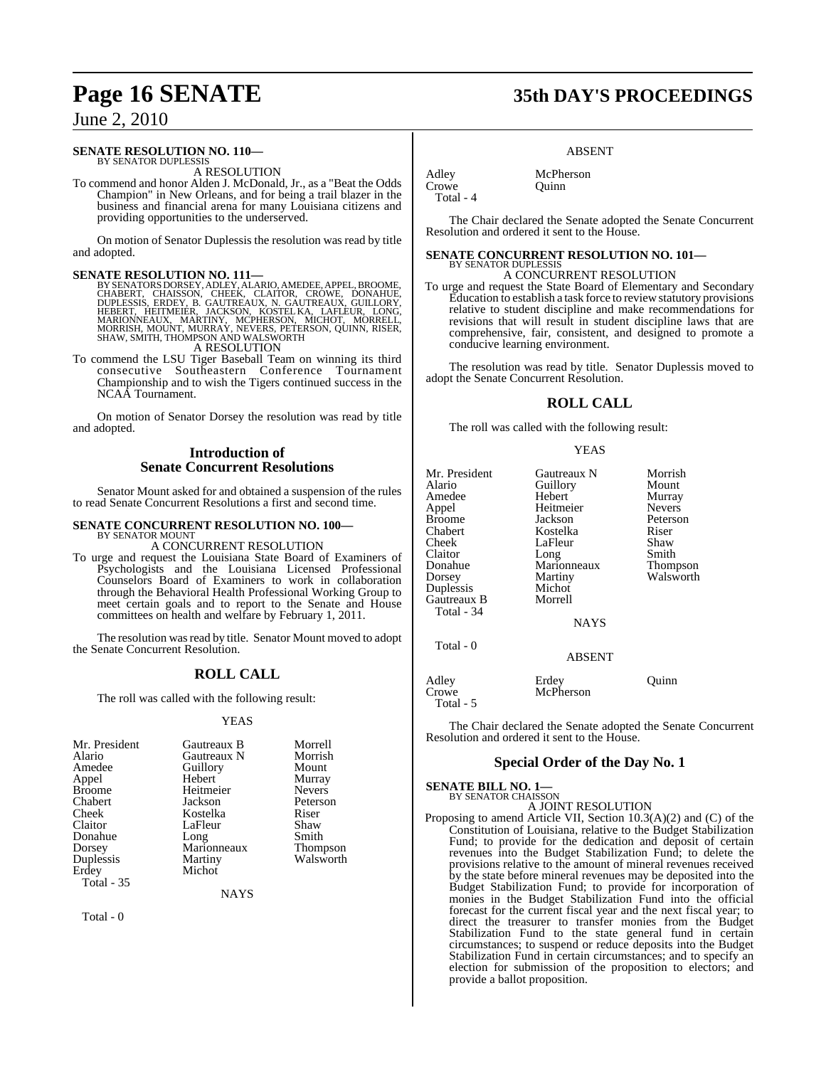#### **SENATE RESOLUTION NO. 110—**

BY SENATOR DUPLESSIS A RESOLUTION

To commend and honor Alden J. McDonald, Jr., as a "Beat the Odds Champion" in New Orleans, and for being a trail blazer in the business and financial arena for many Louisiana citizens and providing opportunities to the underserved.

On motion of Senator Duplessis the resolution was read by title and adopted.

SENATE RESOLUTION NO. 111—<br>BY SENATORS DORSEY, ADLEY, ALARIO, AMEDEE, APPEL, BROOME, CHABERT, CHAISSON, CHEEK, CLAITOR, CRÓWE, DONAHUE,<br>DUPLESSIS, ERDEY, B. GAUTREAUX, N. GAUTREAUX, GUILLORY,<br>HEBERT, HEITMEIER, JACKSON, KO A RESOLUTION

To commend the LSU Tiger Baseball Team on winning its third consecutive Southeastern Conference Tournament

Championship and to wish the Tigers continued success in the NCAA Tournament.

On motion of Senator Dorsey the resolution was read by title and adopted.

### **Introduction of Senate Concurrent Resolutions**

Senator Mount asked for and obtained a suspension of the rules to read Senate Concurrent Resolutions a first and second time.

#### **SENATE CONCURRENT RESOLUTION NO. 100—** BY SENATOR MOUNT

A CONCURRENT RESOLUTION

To urge and request the Louisiana State Board of Examiners of Psychologists and the Louisiana Licensed Professional Counselors Board of Examiners to work in collaboration through the Behavioral Health Professional Working Group to meet certain goals and to report to the Senate and House committees on health and welfare by February 1, 2011.

The resolution was read by title. Senator Mount moved to adopt the Senate Concurrent Resolution.

### **ROLL CALL**

The roll was called with the following result:

#### YEAS

| Mr. President     | Gautreaux B | Morrell       |
|-------------------|-------------|---------------|
| Alario            | Gautreaux N | Morrish       |
| Amedee            | Guillory    | Mount         |
| Appel             | Hebert      | Murray        |
| <b>Broome</b>     | Heitmeier   | <b>Nevers</b> |
| Chabert           | Jackson     | Peterson      |
| Cheek             | Kostelka    | Riser         |
| Claitor           | LaFleur     | Shaw          |
| Donahue           | Long        | Smith         |
| Dorsey            | Marionneaux | Thompson      |
| Duplessis         | Martiny     | Walsworth     |
| Erdey             | Michot      |               |
| <b>Total - 35</b> |             |               |

NAYS

 $Total - 0$ 

## **Page 16 SENATE 35th DAY'S PROCEEDINGS**

#### ABSENT

Adley McPherson<br>Crowe Ouinn Total - 4

The Chair declared the Senate adopted the Senate Concurrent Resolution and ordered it sent to the House.

### **SENATE CONCURRENT RESOLUTION NO. 101—** BY SENATOR DUPLESSIS A CONCURRENT RESOLUTION

**Ouinn** 

To urge and request the State Board of Elementary and Secondary Education to establish a task force to reviewstatutory provisions relative to student discipline and make recommendations for revisions that will result in student discipline laws that are comprehensive, fair, consistent, and designed to promote a conducive learning environment.

The resolution was read by title. Senator Duplessis moved to adopt the Senate Concurrent Resolution.

### **ROLL CALL**

The roll was called with the following result:

#### YEAS

| Mr. President<br>Alario<br>Amedee<br>Appel<br><b>Broome</b><br>Chabert<br>Cheek<br>Claitor<br>Donahue<br>Dorsey<br>Duplessis<br>Gautreaux B<br>Total - 34 | Gautreaux N<br>Guillory<br>Hebert<br>Heitmeier<br>Jackson<br>Kostelka<br>LaFleur<br>Long<br>Marionneaux<br>Martiny<br>Michot<br>Morrell<br><b>NAYS</b> | Morrish<br>Mount<br>Murray<br><b>Nevers</b><br>Peterson<br>Riser<br>Shaw<br>Smith<br>Thompson<br>Walsworth |
|-----------------------------------------------------------------------------------------------------------------------------------------------------------|--------------------------------------------------------------------------------------------------------------------------------------------------------|------------------------------------------------------------------------------------------------------------|
| Total - 0                                                                                                                                                 | <b>ABSENT</b>                                                                                                                                          |                                                                                                            |
| Adley<br>Crowe                                                                                                                                            | Erdey<br>McPherson                                                                                                                                     | Juinn                                                                                                      |

Total - 5

The Chair declared the Senate adopted the Senate Concurrent Resolution and ordered it sent to the House.

### **Special Order of the Day No. 1**

### **SENATE BILL NO. 1—**<br>BY SENATOR CHAISSON A JOINT RESOLUTION

Proposing to amend Article VII, Section 10.3(A)(2) and (C) of the Constitution of Louisiana, relative to the Budget Stabilization Fund; to provide for the dedication and deposit of certain revenues into the Budget Stabilization Fund; to delete the provisions relative to the amount of mineral revenues received by the state before mineral revenues may be deposited into the Budget Stabilization Fund; to provide for incorporation of monies in the Budget Stabilization Fund into the official forecast for the current fiscal year and the next fiscal year; to direct the treasurer to transfer monies from the Budget Stabilization Fund to the state general fund in certain circumstances; to suspend or reduce deposits into the Budget Stabilization Fund in certain circumstances; and to specify an election for submission of the proposition to electors; and provide a ballot proposition.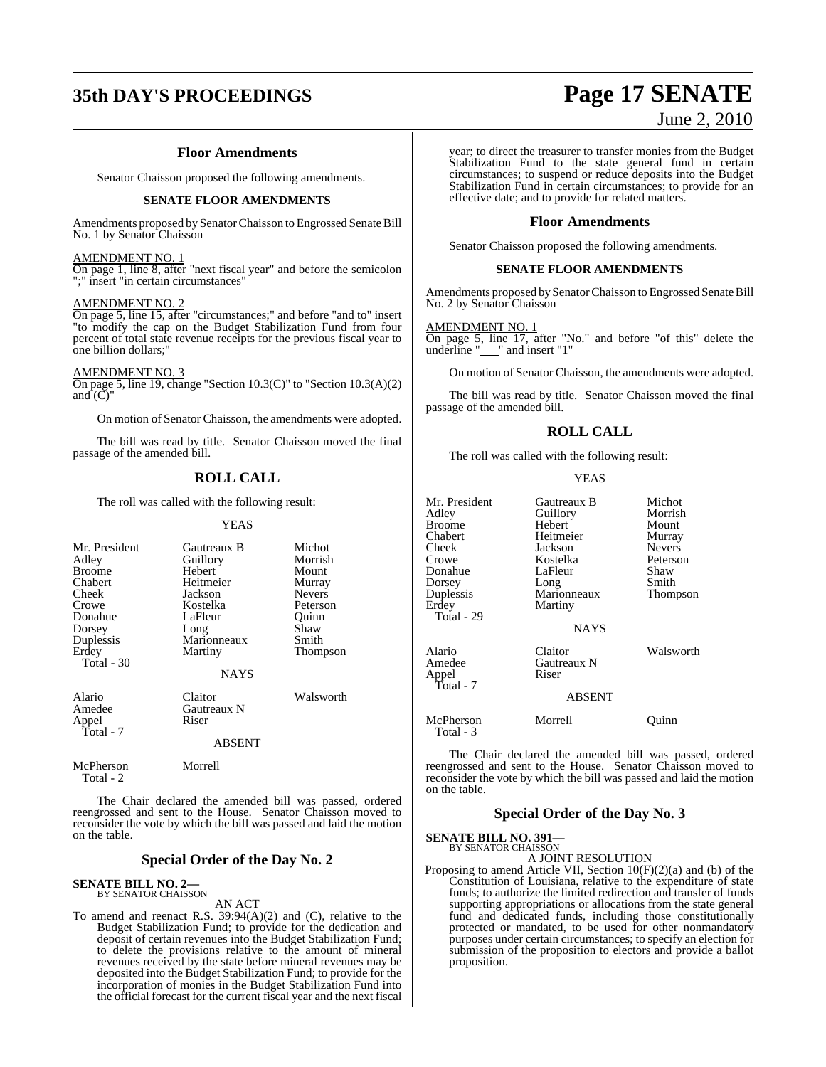### **Floor Amendments**

Senator Chaisson proposed the following amendments.

#### **SENATE FLOOR AMENDMENTS**

Amendments proposed by Senator Chaisson to Engrossed Senate Bill No. 1 by Senator Chaisson

#### AMENDMENT NO. 1

On page 1, line 8, after "next fiscal year" and before the semicolon ";" insert "in certain circumstances"

#### AMENDMENT NO. 2

On page 5, line 15, after "circumstances;" and before "and to" insert "to modify the cap on the Budget Stabilization Fund from four percent of total state revenue receipts for the previous fiscal year to one billion dollars;"

AMENDMENT NO. 3

On page 5, line 19, change "Section 10.3(C)" to "Section 10.3(A)(2) and  $\tilde{C}$ "

On motion of Senator Chaisson, the amendments were adopted.

The bill was read by title. Senator Chaisson moved the final passage of the amended bill.

### **ROLL CALL**

The roll was called with the following result:

#### YEAS

| Mr. President<br>Adley<br><b>Broome</b><br>Chabert<br>Cheek<br>Crowe<br>Donahue<br>Dorsey<br>Duplessis | Gautreaux B<br>Guillory<br>Hebert<br>Heitmeier<br>Jackson<br>Kostelka<br>LaFleur<br>Long<br>Marionneaux | Michot<br>Morrish<br>Mount<br>Murray<br><b>Nevers</b><br>Peterson<br>Ouinn<br>Shaw<br>Smith |
|--------------------------------------------------------------------------------------------------------|---------------------------------------------------------------------------------------------------------|---------------------------------------------------------------------------------------------|
| Erdey<br>Total $-30$                                                                                   | Martiny<br>NAYS                                                                                         | Thompson                                                                                    |
| Alario<br>Amedee<br>Appel<br>Total - 7                                                                 | Claitor<br>Gautreaux N<br>Riser<br><b>ABSENT</b>                                                        | Walsworth                                                                                   |
| McPherson<br>Total - 2                                                                                 | Morrell                                                                                                 |                                                                                             |

The Chair declared the amended bill was passed, ordered reengrossed and sent to the House. Senator Chaisson moved to reconsider the vote by which the bill was passed and laid the motion on the table.

#### **Special Order of the Day No. 2**

### **SENATE BILL NO. 2—** BY SENATOR CHAISSON

AN ACT

To amend and reenact R.S. 39:94(A)(2) and (C), relative to the Budget Stabilization Fund; to provide for the dedication and deposit of certain revenues into the Budget Stabilization Fund; to delete the provisions relative to the amount of mineral revenues received by the state before mineral revenues may be deposited into the Budget Stabilization Fund; to provide for the incorporation of monies in the Budget Stabilization Fund into the official forecast for the current fiscal year and the next fiscal

year; to direct the treasurer to transfer monies from the Budget Stabilization Fund to the state general fund in certain circumstances; to suspend or reduce deposits into the Budget Stabilization Fund in certain circumstances; to provide for an effective date; and to provide for related matters.

#### **Floor Amendments**

Senator Chaisson proposed the following amendments.

#### **SENATE FLOOR AMENDMENTS**

Amendments proposed bySenatorChaisson to Engrossed Senate Bill No. 2 by Senator Chaisson

#### AMENDMENT NO. 1

On page 5, line 17, after "No." and before "of this" delete the underline "\_\_\_" and insert "1"

On motion of Senator Chaisson, the amendments were adopted.

The bill was read by title. Senator Chaisson moved the final passage of the amended bill.

#### **ROLL CALL**

YEAS

The roll was called with the following result:

| Mr. President<br>Adlev<br>Broome<br>Chabert<br>Cheek<br>Crowe<br>Donahue<br>Dorsey<br>Duplessis<br>Erdey<br>Total - 29 | Gautreaux B<br>Guillory<br>Hebert<br>Heitmeier<br>Jackson<br>Kostelka<br>LaFleur<br>Long<br>Marionneaux<br>Martiny | Michot<br>Morrish<br>Mount<br>Murray<br><b>Nevers</b><br>Peterson<br>Shaw<br>Smith<br>Thompson |
|------------------------------------------------------------------------------------------------------------------------|--------------------------------------------------------------------------------------------------------------------|------------------------------------------------------------------------------------------------|
|                                                                                                                        | <b>NAYS</b>                                                                                                        |                                                                                                |
| Alario<br>Amedee<br>Appel<br>Total - 7                                                                                 | Claitor<br>Gautreaux N<br>Riser                                                                                    | Walsworth                                                                                      |
|                                                                                                                        | <b>ABSENT</b>                                                                                                      |                                                                                                |
| McPherson<br>Total - 3                                                                                                 | Morrell                                                                                                            | Ouınn                                                                                          |

The Chair declared the amended bill was passed, ordered reengrossed and sent to the House. Senator Chaisson moved to reconsider the vote by which the bill was passed and laid the motion on the table.

#### **Special Order of the Day No. 3**

### **SENATE BILL NO. 391—** BY SENATOR CHAISSON

A JOINT RESOLUTION

Proposing to amend Article VII, Section 10(F)(2)(a) and (b) of the Constitution of Louisiana, relative to the expenditure of state funds; to authorize the limited redirection and transfer of funds supporting appropriations or allocations from the state general fund and dedicated funds, including those constitutionally protected or mandated, to be used for other nonmandatory purposes under certain circumstances; to specify an election for submission of the proposition to electors and provide a ballot proposition.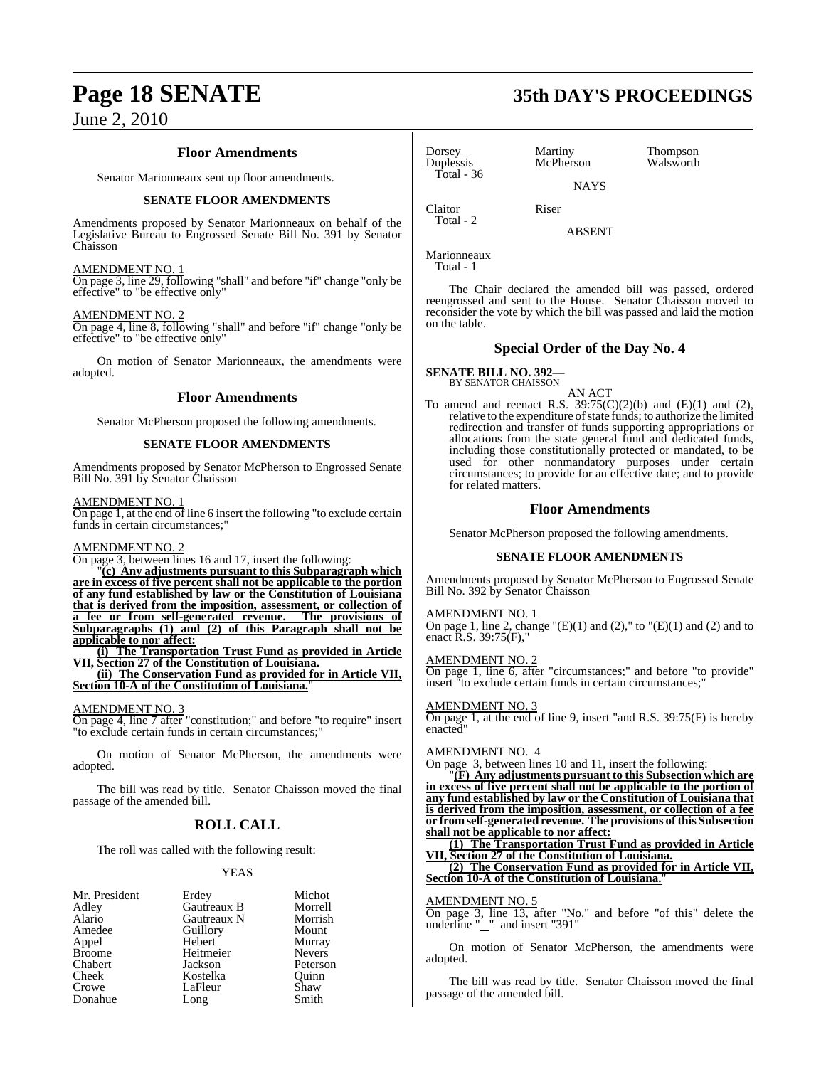#### **Floor Amendments**

Senator Marionneaux sent up floor amendments.

#### **SENATE FLOOR AMENDMENTS**

Amendments proposed by Senator Marionneaux on behalf of the Legislative Bureau to Engrossed Senate Bill No. 391 by Senator Chaisson

#### AMENDMENT NO. 1

On page 3, line 29, following "shall" and before "if" change "only be effective" to "be effective only"

#### AMENDMENT NO. 2

On page 4, line 8, following "shall" and before "if" change "only be effective" to "be effective only"

On motion of Senator Marionneaux, the amendments were adopted.

#### **Floor Amendments**

Senator McPherson proposed the following amendments.

#### **SENATE FLOOR AMENDMENTS**

Amendments proposed by Senator McPherson to Engrossed Senate Bill No. 391 by Senator Chaisson

#### AMENDMENT NO. 1

On page 1, at the end of line 6 insert the following "to exclude certain funds in certain circumstances;"

#### AMENDMENT NO. 2

On page 3, between lines 16 and 17, insert the following:

"**(c) Any adjustments pursuant to this Subparagraph which are in excess of five percent shall not be applicable to the portion of any fund established by law or the Constitution of Louisiana that is derived from the imposition, assessment, or collection of a fee or from self-generated revenue. The provisions of Subparagraphs (1) and (2) of this Paragraph shall not be applicable to nor affect:**

**(i) The Transportation Trust Fund as provided in Article VII, Section 27 of the Constitution of Louisiana.**

**(ii) The Conservation Fund as provided for in Article VII, Section 10-A of the Constitution of Louisiana.**"

AMENDMENT NO. 3

On page 4, line 7 after "constitution;" and before "to require" insert "to exclude certain funds in certain circumstances;"

On motion of Senator McPherson, the amendments were adopted.

The bill was read by title. Senator Chaisson moved the final passage of the amended bill.

### **ROLL CALL**

The roll was called with the following result:

#### **YEAS**

| Mr. President | Erdey       | Michot        |
|---------------|-------------|---------------|
| Adley         | Gautreaux B | Morrell       |
| Alario        | Gautreaux N | Morrish       |
| Amedee        | Guillory    | Mount         |
| Appel         | Hebert      | Murray        |
| <b>Broome</b> | Heitmeier   | <b>Nevers</b> |
| Chabert       | Jackson     | Peterson      |
| Cheek         | Kostelka    | Ouinn         |
| Crowe         | LaFleur     | Shaw          |
| Donahue       | Long        | Smith         |

## Dorsey Martiny Thompson<br>
Duplessis McPherson Walsworth Total - 36

Claitor Riser

**NAYS** 

McPherson

ABSENT

Marionneaux

Total - 1

Total - 2

The Chair declared the amended bill was passed, ordered reengrossed and sent to the House. Senator Chaisson moved to reconsider the vote by which the bill was passed and laid the motion on the table.

#### **Special Order of the Day No. 4**

#### **SENATE BILL NO. 392—** BY SENATOR CHAISSON

AN ACT

To amend and reenact R.S.  $39:75(C)(2)(b)$  and  $(E)(1)$  and  $(2)$ , relative to the expenditure of state funds; to authorize the limited redirection and transfer of funds supporting appropriations or allocations from the state general fund and dedicated funds, including those constitutionally protected or mandated, to be used for other nonmandatory purposes under certain circumstances; to provide for an effective date; and to provide for related matters.

#### **Floor Amendments**

Senator McPherson proposed the following amendments.

#### **SENATE FLOOR AMENDMENTS**

Amendments proposed by Senator McPherson to Engrossed Senate Bill No. 392 by Senator Chaisson

#### AMENDMENT NO. 1

On page 1, line 2, change " $(E)(1)$  and  $(2)$ ," to " $(E)(1)$  and  $(2)$  and to enact R.S. 39:75(F),"

#### AMENDMENT NO. 2

On page 1, line 6, after "circumstances;" and before "to provide" insert "to exclude certain funds in certain circumstances;

#### AMENDMENT NO. 3

On page 1, at the end of line 9, insert "and R.S. 39:75(F) is hereby enacted"

### AMENDMENT NO. 4

On page 3, between lines 10 and 11, insert the following:

"**(F) Any adjustments pursuant to this Subsection which are in excess of five percent shall not be applicable to the portion of any fund established by law or the Constitution of Louisiana that is derived from the imposition, assessment, or collection of a fee or fromself-generated revenue. The provisions of this Subsection shall not be applicable to nor affect:**

**(1) The Transportation Trust Fund as provided in Article <u>Section 27</u> of the Constitution of Louisiana.** 

**(2) The Conservation Fund as provided for in Article VII, Section 10-A of the Constitution of Louisiana.**"

#### AMENDMENT NO. 5

On page 3, line 13, after "No." and before "of this" delete the underline " " and insert "391"

On motion of Senator McPherson, the amendments were adopted.

The bill was read by title. Senator Chaisson moved the final passage of the amended bill.

## **Page 18 SENATE 35th DAY'S PROCEEDINGS**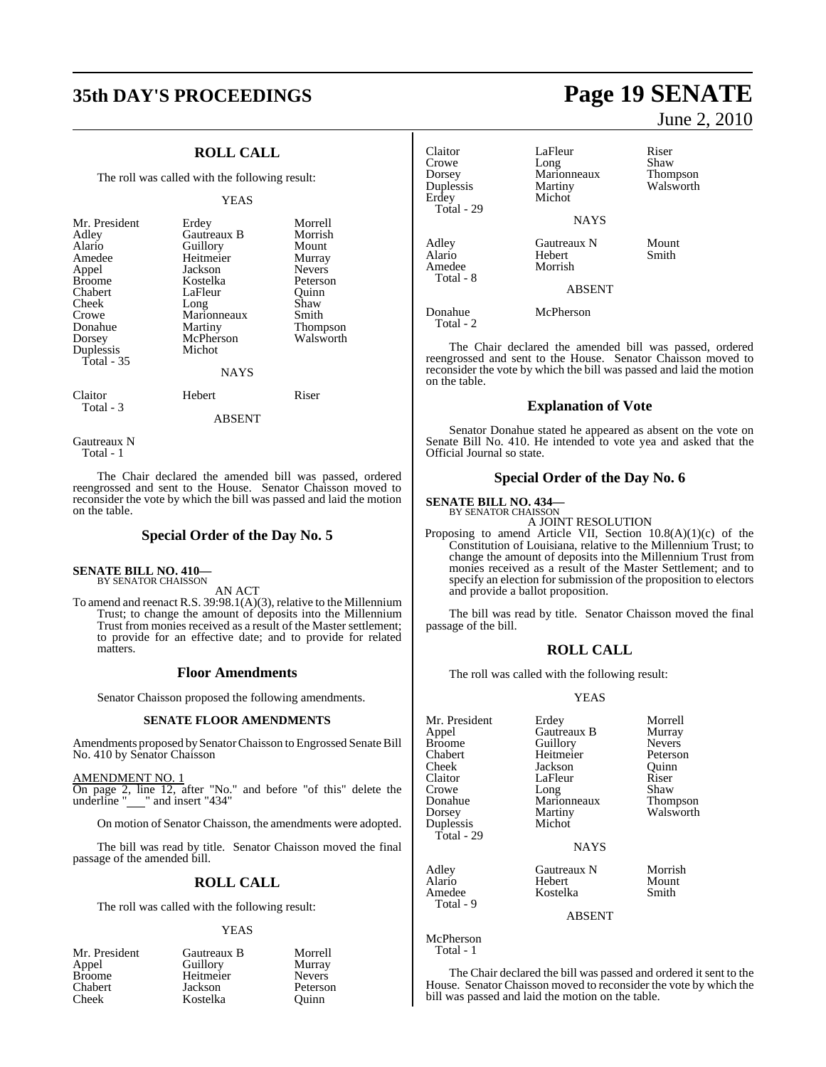## **35th DAY'S PROCEEDINGS Page 19 SENATE**

### **ROLL CALL**

The roll was called with the following result:

#### YEAS

| Mr. President<br>Adley<br>Alario<br>Amedee<br>Appel<br><b>Broome</b><br>Chabert<br>Cheek<br>Crowe<br>Donahue | Erdey<br>Gautreaux B<br>Guillory<br>Heitmeier<br>Jackson<br>Kostelka<br>LaFleur<br>Long<br>Marionneaux<br>Martiny | Morrell<br>Morrish<br>Mount<br>Murray<br><b>Nevers</b><br>Peterson<br>Ouinn<br>Shaw<br>Smith<br>Thompson |
|--------------------------------------------------------------------------------------------------------------|-------------------------------------------------------------------------------------------------------------------|----------------------------------------------------------------------------------------------------------|
| Dorsey                                                                                                       | McPherson                                                                                                         | Walsworth                                                                                                |
| Duplessis<br>Total $-35$                                                                                     | Michot                                                                                                            |                                                                                                          |
|                                                                                                              | <b>NAYS</b>                                                                                                       |                                                                                                          |
| Claitor<br>Total - 3                                                                                         | Hebert                                                                                                            | Riser                                                                                                    |

ABSENT

Gautreaux N Total - 1

The Chair declared the amended bill was passed, ordered reengrossed and sent to the House. Senator Chaisson moved to reconsider the vote by which the bill was passed and laid the motion on the table.

### **Special Order of the Day No. 5**

#### **SENATE BILL NO. 410—**

BY SENATOR CHAISSON AN ACT

To amend and reenact R.S. 39:98.1(A)(3), relative to the Millennium Trust; to change the amount of deposits into the Millennium Trust from monies received as a result of the Master settlement; to provide for an effective date; and to provide for related matters.

#### **Floor Amendments**

Senator Chaisson proposed the following amendments.

#### **SENATE FLOOR AMENDMENTS**

Amendments proposed by Senator Chaisson to Engrossed Senate Bill No. 410 by Senator Chaisson

AMENDMENT NO. 1 On page 2, line 12, after "No." and before "of this" delete the underline "\_\_\_" and insert "434"

On motion of Senator Chaisson, the amendments were adopted.

The bill was read by title. Senator Chaisson moved the final passage of the amended bill.

### **ROLL CALL**

The roll was called with the following result:

#### YEAS

| Mr. President | Gautreaux B | Morrell       |
|---------------|-------------|---------------|
| Appel         | Guillory    | Murray        |
| <b>Broome</b> | Heitmeier   | <b>Nevers</b> |
| Chabert       | Jackson     | Peterson      |
| Cheek         | Kostelka    | Ouinn         |

June 2, 2010

| Claitor<br>Crowe<br>Dorsey<br>Duplessis<br>Erdey<br>Total - 29 | LaFleur<br>Long<br>Marionneaux<br>Martiny<br>Michot | Riser<br>Shaw<br>Thompson<br>Walsworth |
|----------------------------------------------------------------|-----------------------------------------------------|----------------------------------------|
|                                                                | <b>NAYS</b>                                         |                                        |
| Adley<br>Alario<br>Amedee<br>Total - 8                         | Gautreaux N<br><b>Hebert</b><br>Morrish<br>ABSENT   | Mount<br>Smith                         |
|                                                                |                                                     |                                        |
| Donahue                                                        | McPherson                                           |                                        |

The Chair declared the amended bill was passed, ordered reengrossed and sent to the House. Senator Chaisson moved to reconsider the vote by which the bill was passed and laid the motion on the table.

#### **Explanation of Vote**

Senator Donahue stated he appeared as absent on the vote on Senate Bill No. 410. He intended to vote yea and asked that the Official Journal so state.

#### **Special Order of the Day No. 6**

### **SENATE BILL NO. 434—** BY SENATOR CHAISSON

Total - 2

A JOINT RESOLUTION

Proposing to amend Article VII, Section 10.8(A)(1)(c) of the Constitution of Louisiana, relative to the Millennium Trust; to change the amount of deposits into the Millennium Trust from monies received as a result of the Master Settlement; and to specify an election for submission of the proposition to electors and provide a ballot proposition.

The bill was read by title. Senator Chaisson moved the final passage of the bill.

#### **ROLL CALL**

The roll was called with the following result:

#### YEAS

| Mr. President<br>Appel<br><b>Broome</b><br>Chabert<br>Cheek<br>Claitor<br>Crowe<br>Donahue<br>Dorsey<br>Duplessis<br>Total - 29 | Erdey<br>Gautreaux B<br>Guillory<br>Heitmeier<br>Jackson<br>LaFleur<br>Long<br>Marionneaux<br>Martiny<br>Michot | Morrell<br>Murray<br><b>Nevers</b><br>Peterson<br>Ouinn<br>Riser<br>Shaw<br>Thompson<br>Walsworth |
|---------------------------------------------------------------------------------------------------------------------------------|-----------------------------------------------------------------------------------------------------------------|---------------------------------------------------------------------------------------------------|
|                                                                                                                                 | <b>NAYS</b>                                                                                                     |                                                                                                   |
| Adley<br>Alario<br>Amedee<br>Total - 9                                                                                          | Gautreaux N<br>Hebert<br>Kostelka<br>ABSENT                                                                     | Morrish<br>Mount<br>Smith                                                                         |

McPherson Total - 1

The Chair declared the bill was passed and ordered it sent to the House. Senator Chaisson moved to reconsider the vote by which the bill was passed and laid the motion on the table.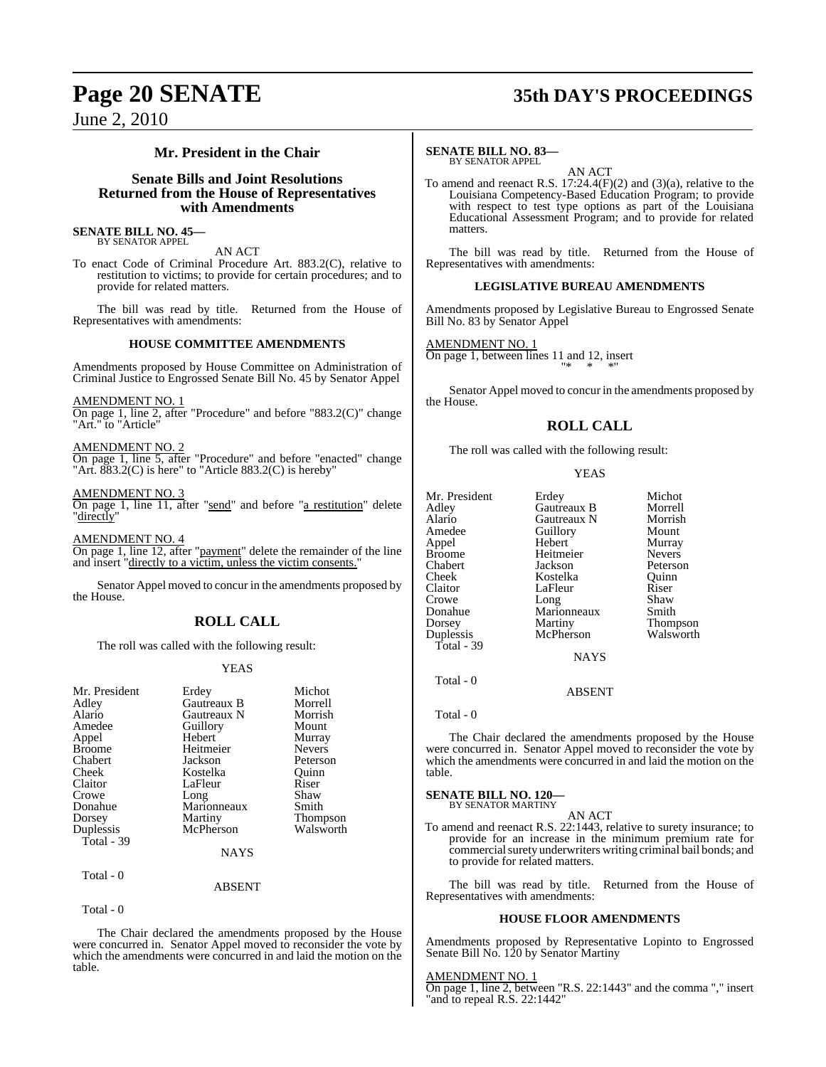### **Mr. President in the Chair**

### **Senate Bills and Joint Resolutions Returned from the House of Representatives with Amendments**

#### **SENATE BILL NO. 45—** BY SENATOR APPEL

AN ACT

To enact Code of Criminal Procedure Art. 883.2(C), relative to restitution to victims; to provide for certain procedures; and to provide for related matters.

The bill was read by title. Returned from the House of Representatives with amendments:

#### **HOUSE COMMITTEE AMENDMENTS**

Amendments proposed by House Committee on Administration of Criminal Justice to Engrossed Senate Bill No. 45 by Senator Appel

AMENDMENT NO. 1

On page 1, line 2, after "Procedure" and before "883.2(C)" change "Art." to "Article"

#### AMENDMENT NO. 2

On page 1, line 5, after "Procedure" and before "enacted" change "Art. 883.2(C) is here" to "Article 883.2(C) is hereby"

#### AMENDMENT NO. 3

On page 1, line 11, after "send" and before "a restitution" delete "directly"

AMENDMENT NO. 4 On page 1, line 12, after "payment" delete the remainder of the line and insert "directly to a victim, unless the victim consents."

Senator Appel moved to concur in the amendments proposed by the House.

### **ROLL CALL**

The roll was called with the following result:

#### YEAS

| Mr. President | Erdey       | Michot        |
|---------------|-------------|---------------|
| Adley         | Gautreaux B | Morrell       |
| Alario        | Gautreaux N | Morrish       |
| Amedee        | Guillory    | Mount         |
| Appel         | Hebert      | Murray        |
| <b>Broome</b> | Heitmeier   | <b>Nevers</b> |
| Chabert       | Jackson     | Peterson      |
| Cheek         | Kostelka    | Ouinn         |
| Claitor       | LaFleur     | Riser         |
| Crowe         | Long        | Shaw          |
| Donahue       | Marionneaux | Smith         |
| Dorsey        | Martiny     | Thompson      |
| Duplessis     | McPherson   | Walsworth     |
| Total - 39    |             |               |
|               | NAYS        |               |
| Total - 0     |             |               |

Total - 0

The Chair declared the amendments proposed by the House were concurred in. Senator Appel moved to reconsider the vote by which the amendments were concurred in and laid the motion on the table.

ABSENT

## **Page 20 SENATE 35th DAY'S PROCEEDINGS**

#### **SENATE BILL NO. 83—** BY SENATOR APPEL

AN ACT

To amend and reenact R.S. 17:24.4(F)(2) and (3)(a), relative to the Louisiana Competency-Based Education Program; to provide with respect to test type options as part of the Louisiana Educational Assessment Program; and to provide for related matters.

The bill was read by title. Returned from the House of Representatives with amendments:

#### **LEGISLATIVE BUREAU AMENDMENTS**

Amendments proposed by Legislative Bureau to Engrossed Senate Bill No. 83 by Senator Appel

AMENDMENT NO. 1

On page 1, between lines 11 and 12, insert "\* \* \*"

Senator Appel moved to concur in the amendments proposed by the House.

#### **ROLL CALL**

The roll was called with the following result:

#### YEAS

| Mr. President | Erdey       | Michot          |
|---------------|-------------|-----------------|
| Adley         | Gautreaux B | Morrell         |
|               |             |                 |
| Alario        | Gautreaux N | Morrish         |
| Amedee        | Guillory    | Mount           |
| Appel         | Hebert      | Murray          |
| <b>Broome</b> | Heitmeier   | <b>Nevers</b>   |
| Chabert       | Jackson     | Peterson        |
| Cheek         | Kostelka    | Ouinn           |
| Claitor       | LaFleur     | Riser           |
| Crowe         | Long        | Shaw            |
| Donahue       | Marionneaux | Smith           |
| Dorsey        | Martiny     | <b>Thompson</b> |
| Duplessis     | McPherson   | Walsworth       |
| Total - 39    |             |                 |
|               | NAYS        |                 |

Total - 0

Total - 0

The Chair declared the amendments proposed by the House were concurred in. Senator Appel moved to reconsider the vote by which the amendments were concurred in and laid the motion on the table.

ABSENT

#### **SENATE BILL NO. 120—** BY SENATOR MARTINY

#### AN ACT

To amend and reenact R.S. 22:1443, relative to surety insurance; to provide for an increase in the minimum premium rate for commercial surety underwriters writing criminal bail bonds; and to provide for related matters.

The bill was read by title. Returned from the House of Representatives with amendments:

### **HOUSE FLOOR AMENDMENTS**

Amendments proposed by Representative Lopinto to Engrossed Senate Bill No. 120 by Senator Martiny

AMENDMENT NO. 1 On page 1, line 2, between "R.S. 22:1443" and the comma "," insert "and to repeal R.S. 22:1442"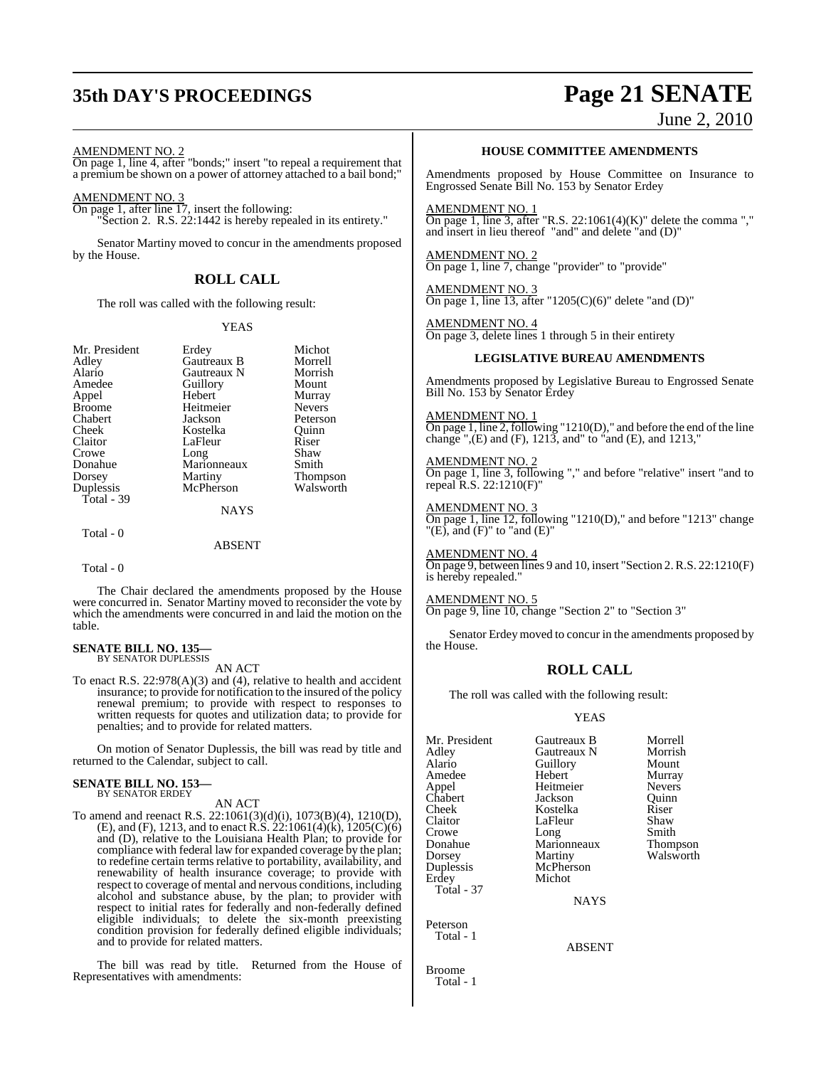## **35th DAY'S PROCEEDINGS Page 21 SENATE**

### June 2, 2010

AMENDMENT NO. 2

On page 1, line 4, after "bonds;" insert "to repeal a requirement that a premium be shown on a power of attorney attached to a bail bond;"

AMENDMENT NO. 3

On page 1, after line 17, insert the following: "Section 2. R.S. 22:1442 is hereby repealed in its entirety."

Senator Martiny moved to concur in the amendments proposed by the House.

### **ROLL CALL**

The roll was called with the following result:

#### YEAS

| Mr. President | Erdey       | Michot        |
|---------------|-------------|---------------|
| Adley         | Gautreaux B | Morrell       |
| Alario        | Gautreaux N | Morrish       |
| Amedee        | Guillory    | Mount         |
| Appel         | Hebert      | Murray        |
| <b>Broome</b> | Heitmeier   | <b>Nevers</b> |
| Chabert       | Jackson     | Peterson      |
| Cheek         | Kostelka    | Ouinn         |
| Claitor       | LaFleur     | Riser         |
| Crowe         | Long        | Shaw          |
| Donahue       | Marionneaux | Smith         |
| Dorsey        | Martiny     | Thompson      |
| Duplessis     | McPherson   | Walsworth     |
| Total - 39    |             |               |
|               | <b>NAYS</b> |               |
| Total - 0     |             |               |
|               | ABSENT      |               |

Total - 0

The Chair declared the amendments proposed by the House were concurred in. Senator Martiny moved to reconsider the vote by which the amendments were concurred in and laid the motion on the table.

### **SENATE BILL NO. 135—** BY SENATOR DUPLESSIS

AN ACT

To enact R.S. 22:978(A)(3) and (4), relative to health and accident insurance; to provide for notification to the insured of the policy renewal premium; to provide with respect to responses to written requests for quotes and utilization data; to provide for penalties; and to provide for related matters.

On motion of Senator Duplessis, the bill was read by title and returned to the Calendar, subject to call.

## **SENATE BILL NO. 153—** BY SENATOR ERDEY

AN ACT

To amend and reenact R.S. 22:1061(3)(d)(i), 1073(B)(4), 1210(D), (E), and (F), 1213, and to enact R.S.  $22:1061(4)$ (k),  $1205(C)(6)$ and (D), relative to the Louisiana Health Plan; to provide for compliance with federal law for expanded coverage by the plan; to redefine certain terms relative to portability, availability, and renewability of health insurance coverage; to provide with respect to coverage of mental and nervous conditions, including alcohol and substance abuse, by the plan; to provider with respect to initial rates for federally and non-federally defined eligible individuals; to delete the six-month preexisting condition provision for federally defined eligible individuals; and to provide for related matters.

The bill was read by title. Returned from the House of Representatives with amendments:

#### **HOUSE COMMITTEE AMENDMENTS**

Amendments proposed by House Committee on Insurance to Engrossed Senate Bill No. 153 by Senator Erdey

AMENDMENT NO. 1 On page 1, line 3, after "R.S.  $22:1061(4)(K)$ " delete the comma "," and insert in lieu thereof "and" and delete "and (D)"

#### AMENDMENT NO. 2 On page 1, line 7, change "provider" to "provide"

AMENDMENT NO. 3 On page 1, line 13, after "1205 $(C)(6)$ " delete "and  $(D)$ "

AMENDMENT NO. 4 On page 3, delete lines 1 through 5 in their entirety

#### **LEGISLATIVE BUREAU AMENDMENTS**

Amendments proposed by Legislative Bureau to Engrossed Senate Bill No. 153 by Senator Erdey

AMENDMENT NO. 1 On page 1, line 2, following " $1210(D)$ ," and before the end of the line change ", $(E)$  and  $(F)$ , 1213, and " to "and  $(E)$ , and 1213,"

AMENDMENT NO. 2 On page 1, line 3, following "," and before "relative" insert "and to repeal R.S. 22:1210(F)"

AMENDMENT NO. 3 On page 1, line 12, following "1210(D)," and before "1213" change " $(E)$ , and  $(F)$ " to "and  $(E)$ "

AMENDMENT NO. 4 On page 9, between lines 9 and 10, insert "Section 2.R.S. 22:1210(F) is hereby repealed."

AMENDMENT NO. 5

On page 9, line 10, change "Section 2" to "Section 3"

Senator Erdey moved to concur in the amendments proposed by the House.

### **ROLL CALL**

The roll was called with the following result:

#### YEAS

Alario Guillory<br>
Hebert Murray

Mr. President Gautreaux B Morrell Adley Gautreaux N Morrish Amedee Hebert Murray<br>Appel Heitmeier Nevers Appel Heitmeier Nevers Chabert Jackson Quinn Cheek Kostelka Riser<br>Claitor LaFleur Shaw Claitor LaFleur Shaw<br>Crowe Long Smith Crowe Long Smith Donahue Marionneaux Thompson Dorsey Martiny Walsworth<br>
Duplessis McPherson Erdey Michot Total - 37

McPherson

**NAYS** 

ABSENT

Broome Total - 1

Peterson Total - 1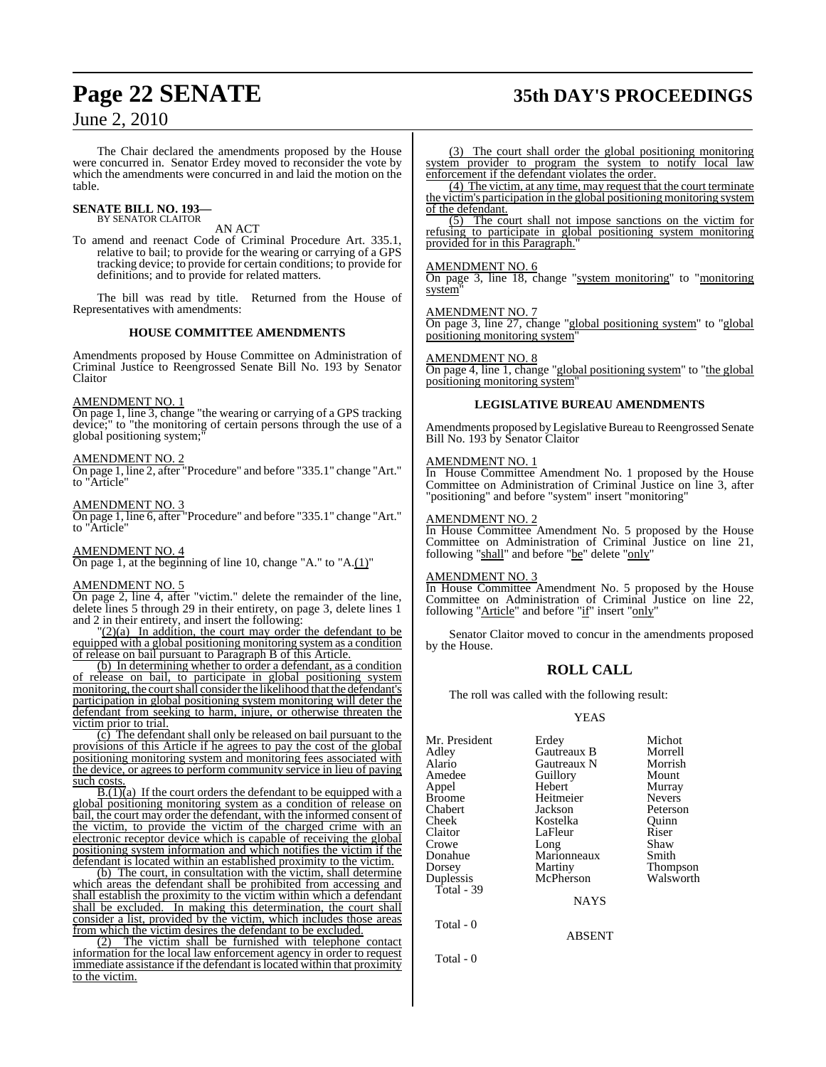The Chair declared the amendments proposed by the House were concurred in. Senator Erdey moved to reconsider the vote by which the amendments were concurred in and laid the motion on the table.

#### **SENATE BILL NO. 193—** BY SENATOR CLAITOR

### AN ACT

To amend and reenact Code of Criminal Procedure Art. 335.1, relative to bail; to provide for the wearing or carrying of a GPS tracking device; to provide for certain conditions; to provide for definitions; and to provide for related matters.

The bill was read by title. Returned from the House of Representatives with amendments:

#### **HOUSE COMMITTEE AMENDMENTS**

Amendments proposed by House Committee on Administration of Criminal Justice to Reengrossed Senate Bill No. 193 by Senator Claitor

#### AMENDMENT NO. 1

On page 1, line 3, change "the wearing or carrying of a GPS tracking device;" to "the monitoring of certain persons through the use of a global positioning system;

#### AMENDMENT NO. 2

On page 1, line 2, after "Procedure" and before "335.1" change "Art." to "Article"

#### AMENDMENT NO. 3

On page 1, line 6, after "Procedure" and before "335.1" change "Art." to "Article"

#### AMENDMENT NO. 4

On page 1, at the beginning of line 10, change "A." to "A.(1)"

#### AMENDMENT NO. 5

On page 2, line 4, after "victim." delete the remainder of the line, delete lines 5 through 29 in their entirety, on page 3, delete lines 1 and 2 in their entirety, and insert the following:

"(2)(a) In addition, the court may order the defendant to be equipped with a global positioning monitoring system as a condition of release on bail pursuant to Paragraph B of this Article.

(b) In determining whether to order a defendant, as a condition of release on bail, to participate in global positioning system monitoring, the court shall consider the likelihood that the defendant's participation in global positioning system monitoring will deter the defendant from seeking to harm, injure, or otherwise threaten the victim prior to trial.

(c) The defendant shall only be released on bail pursuant to the provisions of this Article if he agrees to pay the cost of the global positioning monitoring system and monitoring fees associated with the device, or agrees to perform community service in lieu of paying such costs.

 $\overline{B(1)}(a)$  If the court orders the defendant to be equipped with a global positioning monitoring system as a condition of release on bail, the court may order the defendant, with the informed consent of the victim, to provide the victim of the charged crime with an electronic receptor device which is capable of receiving the global positioning system information and which notifies the victim if the defendant is located within an established proximity to the victim.

(b) The court, in consultation with the victim, shall determine which areas the defendant shall be prohibited from accessing and shall establish the proximity to the victim within which a defendant shall be excluded. In making this determination, the court shall consider a list, provided by the victim, which includes those areas from which the victim desires the defendant to be excluded.

(2) The victim shall be furnished with telephone contact information for the local law enforcement agency in order to request immediate assistance if the defendant is located within that proximity to the victim.

#### (3) The court shall order the global positioning monitoring system provider to program the system to notify local law enforcement if the defendant violates the order.

(4) The victim, at any time, may request that the court terminate the victim's participation in the global positioning monitoring system of the defendant.

(5) The court shall not impose sanctions on the victim for refusing to participate in global positioning system monitoring provided for in this Paragraph.

#### AMENDMENT NO. 6

On page 3, line 18, change "system monitoring" to "monitoring system"

#### AMENDMENT NO. 7

On page 3, line 27, change "global positioning system" to "global positioning monitoring system"

#### AMENDMENT NO. 8

On page 4, line 1, change "global positioning system" to "the global positioning monitoring system

#### **LEGISLATIVE BUREAU AMENDMENTS**

Amendments proposed by Legislative Bureau to Reengrossed Senate Bill No. 193 by Senator Claitor

#### AMENDMENT NO. 1

In House Committee Amendment No. 1 proposed by the House Committee on Administration of Criminal Justice on line 3, after "positioning" and before "system" insert "monitoring"

#### AMENDMENT NO. 2

In House Committee Amendment No. 5 proposed by the House Committee on Administration of Criminal Justice on line 21, following "shall" and before "be" delete "only"

#### AMENDMENT NO. 3

In House Committee Amendment No. 5 proposed by the House Committee on Administration of Criminal Justice on line 22, following "Article" and before "if" insert "only"

Senator Claitor moved to concur in the amendments proposed by the House.

### **ROLL CALL**

The roll was called with the following result:

#### YEAS

| Mr. President | Erdey       | Michot          |
|---------------|-------------|-----------------|
| Adley         | Gautreaux B | Morrell         |
| Alario        | Gautreaux N | Morrish         |
| Amedee        | Guillory    | Mount           |
| Appel         | Hebert      | Murray          |
| Broome        | Heitmeier   | <b>Nevers</b>   |
| Chabert       | Jackson     | Peterson        |
| Cheek         | Kostelka    | Quinn           |
| Claitor       | LaFleur     | Riser           |
| Crowe         | Long        | Shaw            |
| Donahue       | Marionneaux | Smith           |
| Dorsey        | Martiny     | <b>Thompson</b> |
| Duplessis     | McPherson   | Walsworth       |
| Total - 39    |             |                 |
|               | <b>NAYS</b> |                 |

ABSENT

Total - 0

Total - 0

**Page 22 SENATE 35th DAY'S PROCEEDINGS**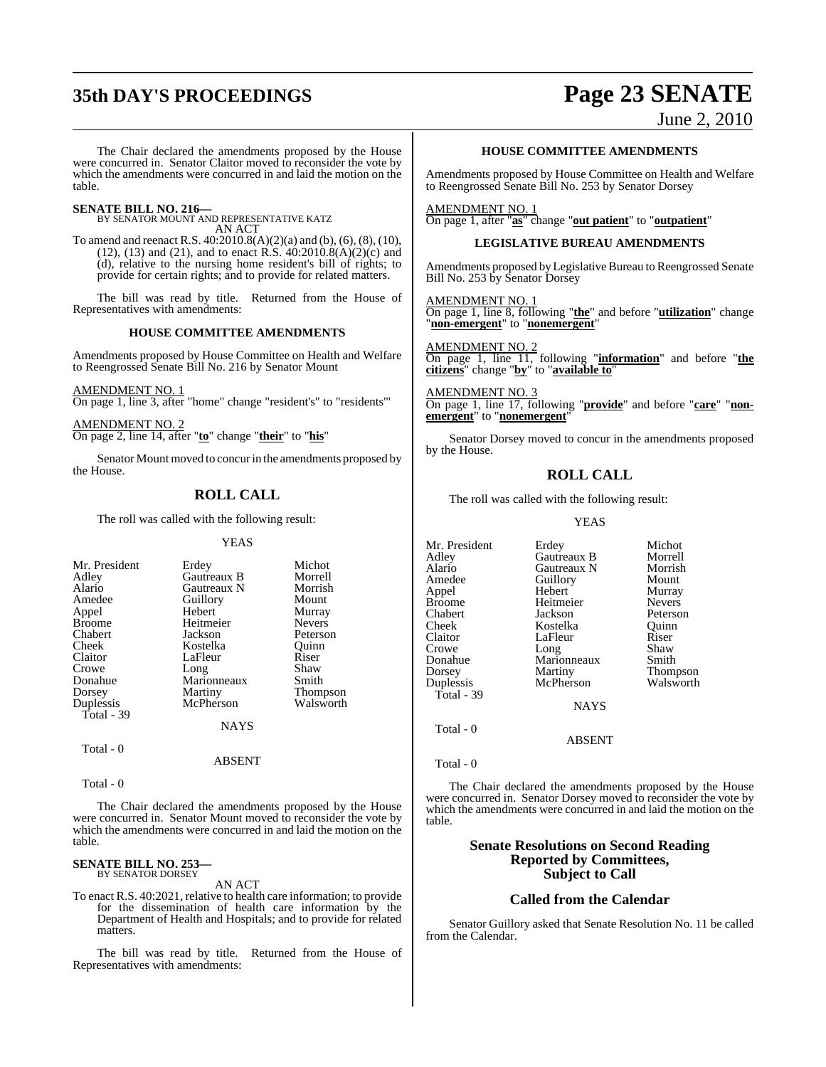## **35th DAY'S PROCEEDINGS Page 23 SENATE**

### June 2, 2010

The Chair declared the amendments proposed by the House were concurred in. Senator Claitor moved to reconsider the vote by which the amendments were concurred in and laid the motion on the table.

**SENATE BILL NO. 216—** BY SENATOR MOUNT AND REPRESENTATIVE KATZ AN ACT

To amend and reenact R.S. 40:2010.8(A)(2)(a) and (b), (6), (8), (10),  $(12)$ ,  $(13)$  and  $(21)$ , and to enact R.S.  $40:2010.8(A)(2)(c)$  and (d), relative to the nursing home resident's bill of rights; to provide for certain rights; and to provide for related matters.

The bill was read by title. Returned from the House of Representatives with amendments:

#### **HOUSE COMMITTEE AMENDMENTS**

Amendments proposed by House Committee on Health and Welfare to Reengrossed Senate Bill No. 216 by Senator Mount

AMENDMENT NO. 1 On page 1, line 3, after "home" change "resident's" to "residents'"

AMENDMENT NO. 2 On page 2, line 14, after "**to**" change "**their**" to "**his**"

Senator Mount moved to concurin the amendments proposed by the House.

### **ROLL CALL**

The roll was called with the following result:

#### YEAS

| Mr. President | Erdey               | Michot          |
|---------------|---------------------|-----------------|
|               | Gautreaux B         | Morrell         |
| Adley         |                     |                 |
| Alario        | Gautreaux N         | Morrish         |
| Amedee        | Guillory            | Mount           |
| Appel         | Hebert              | Murray          |
| <b>Broome</b> | Heitmeier           | <b>Nevers</b>   |
| Chabert       | Jackson             | Peterson        |
| Cheek         | Kostelka            | Quinn           |
| Claitor       | LaFleur             | Riser           |
| Crowe         |                     | Shaw            |
| Donahue       | Long<br>Marionneaux | Smith           |
| Dorsey        | Martiny             | <b>Thompson</b> |
| Duplessis     | McPherson           | Walsworth       |
| Total - 39    |                     |                 |
|               | <b>NAYS</b>         |                 |
|               |                     |                 |

Total - 0

Total - 0

The Chair declared the amendments proposed by the House were concurred in. Senator Mount moved to reconsider the vote by which the amendments were concurred in and laid the motion on the table.

ABSENT

#### **SENATE BILL NO. 253—** BY SENATOR DORSEY

AN ACT

To enact R.S. 40:2021, relative to health care information; to provide for the dissemination of health care information by the Department of Health and Hospitals; and to provide for related matters.

The bill was read by title. Returned from the House of Representatives with amendments:

#### **HOUSE COMMITTEE AMENDMENTS**

Amendments proposed by House Committee on Health and Welfare to Reengrossed Senate Bill No. 253 by Senator Dorsey

AMENDMENT NO. 1 On page 1, after "**as**" change "**out patient**" to "**outpatient**"

#### **LEGISLATIVE BUREAU AMENDMENTS**

Amendments proposed by Legislative Bureau to Reengrossed Senate Bill No. 253 by Senator Dorsey

AMENDMENT NO. 1 On page 1, line 8, following "**the**" and before "**utilization**" change "**non-emergent**" to "**nonemergent**"

AMENDMENT NO. 2 On page 1, line 11, following "**information**" and before "**the citizens**" change "**by**" to "**available to**"

AMENDMENT NO. 3 On page 1, line 17, following "**provide**" and before "**care**" "**nonemergent**" to "**nonemergent**"

Senator Dorsey moved to concur in the amendments proposed by the House.

#### **ROLL CALL**

The roll was called with the following result:

#### YEAS

| Mr. President | Erdey       | Michot          |
|---------------|-------------|-----------------|
| Adley         | Gautreaux B | Morrell         |
| Alario        | Gautreaux N | Morrish         |
| Amedee        | Guillory    | Mount           |
| Appel         | Hebert      | Murray          |
| Broome        | Heitmeier   | <b>Nevers</b>   |
| Chabert       | Jackson     | Peterson        |
| Cheek         | Kostelka    | Ouinn           |
| Claitor       | LaFleur     | Riser           |
| Crowe         | Long        | Shaw            |
| Donahue       | Marionneaux | Smith           |
| Dorsey        | Martiny     | <b>Thompson</b> |
| Duplessis     | McPherson   | Walsworth       |
| Total - 39    |             |                 |
|               | <b>NAYS</b> |                 |
| Total - 0     |             |                 |

Total - 0

The Chair declared the amendments proposed by the House were concurred in. Senator Dorsey moved to reconsider the vote by which the amendments were concurred in and laid the motion on the table.

ABSENT

#### **Senate Resolutions on Second Reading Reported by Committees, Subject to Call**

#### **Called from the Calendar**

Senator Guillory asked that Senate Resolution No. 11 be called from the Calendar.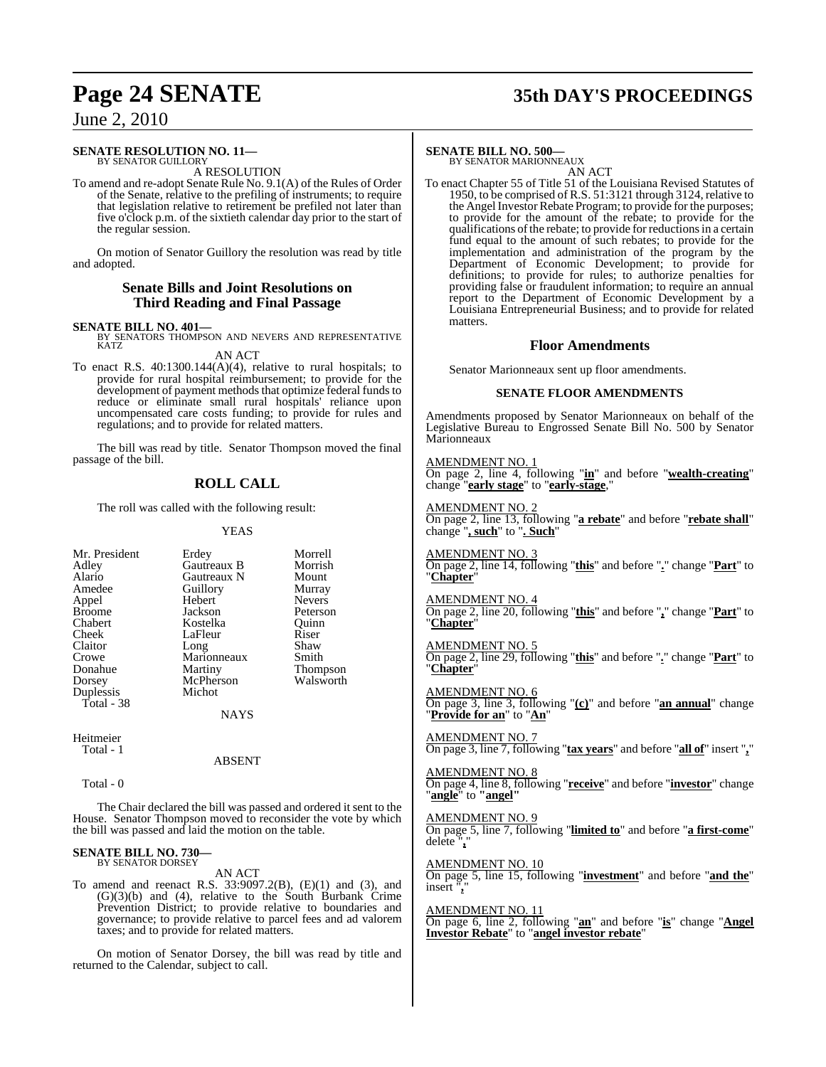## **Page 24 SENATE 35th DAY'S PROCEEDINGS**

### June 2, 2010

#### **SENATE RESOLUTION NO. 11—** BY SENATOR GUILLORY

A RESOLUTION

To amend and re-adopt Senate Rule No. 9.1(A) of the Rules of Order of the Senate, relative to the prefiling of instruments; to require that legislation relative to retirement be prefiled not later than five o'clock p.m. of the sixtieth calendar day prior to the start of the regular session.

On motion of Senator Guillory the resolution was read by title and adopted.

#### **Senate Bills and Joint Resolutions on Third Reading and Final Passage**

**SENATE BILL NO. 401—**<br>BY SENATORS THOMPSON AND NEVERS AND REPRESENTATIVE KATZ AN ACT

To enact R.S. 40:1300.144(A)(4), relative to rural hospitals; to provide for rural hospital reimbursement; to provide for the development of payment methods that optimize federal funds to reduce or eliminate small rural hospitals' reliance upon uncompensated care costs funding; to provide for rules and regulations; and to provide for related matters.

The bill was read by title. Senator Thompson moved the final passage of the bill.

### **ROLL CALL**

The roll was called with the following result:

Hebert<br>Jackson

Kostelka

Michot

Marionneaux<br>Martiny

YEAS

| Mr. Presiden  |
|---------------|
|               |
| Adley         |
| Alario        |
| Amedee        |
| Appel         |
| <b>Broome</b> |
| Chabert       |
| Cheek         |
| Claitor       |
| Crowe         |
| Donahue       |
| Dorsey        |
| Duplessis     |
| Total - 38    |
|               |

nt Erdey Morrell<br>Gautreaux B Morrish Gautreaux B Morrish<br>
Gautreaux N Mount Gautreaux N Mount<br> **Alario Guillory** Murray Amedeuthory<br>
Hebert Mevers Peterson<br>Ouinn LaFleur Riser<br>Long Shaw Long Shaw<br>Marionneaux Smith Thompson McPherson Walsworth

NAYS

Heitmeier Total - 1

ABSENT

Total - 0

The Chair declared the bill was passed and ordered it sent to the House. Senator Thompson moved to reconsider the vote by which the bill was passed and laid the motion on the table.

#### **SENATE BILL NO. 730—** BY SENATOR DORSEY

AN ACT

To amend and reenact R.S. 33:9097.2(B), (E)(1) and (3), and (G)(3)(b) and (4), relative to the South Burbank Crime Prevention District; to provide relative to boundaries and governance; to provide relative to parcel fees and ad valorem taxes; and to provide for related matters.

On motion of Senator Dorsey, the bill was read by title and returned to the Calendar, subject to call.

#### **SENATE BILL NO. 500—**

BY SENATOR MARIONNEAUX AN ACT

To enact Chapter 55 of Title 51 of the Louisiana Revised Statutes of 1950, to be comprised of R.S. 51:3121 through 3124, relative to the Angel Investor Rebate Program; to provide for the purposes; to provide for the amount of the rebate; to provide for the qualifications of the rebate; to provide for reductions in a certain fund equal to the amount of such rebates; to provide for the implementation and administration of the program by the Department of Economic Development; to provide for definitions; to provide for rules; to authorize penalties for providing false or fraudulent information; to require an annual report to the Department of Economic Development by a Louisiana Entrepreneurial Business; and to provide for related matters.

#### **Floor Amendments**

Senator Marionneaux sent up floor amendments.

#### **SENATE FLOOR AMENDMENTS**

Amendments proposed by Senator Marionneaux on behalf of the Legislative Bureau to Engrossed Senate Bill No. 500 by Senator Marionneaux

AMENDMENT NO. 1 On page 2, line 4, following "**in**" and before "**wealth-creating**" change "**early stage**" to "**early-stage**,"

AMENDMENT NO. 2 On page 2, line 13, following "**a rebate**" and before "**rebate shall**" change "**, such**" to "**. Such**"

AMENDMENT NO. On page 2, line 14, following "**this**" and before "**.**" change "**Part**" to "**Chapter**"

AMENDMENT NO. 4 On page 2, line 20, following "**this**" and before "**,**" change "**Part**" to "**Chapter**"

AMENDMENT NO. 5 On page 2, line 29, following "**this**" and before "**.**" change "**Part**" to "**Chapter**"

AMENDMENT NO. 6 On page 3, line 3, following "**(c)**" and before "**an annual**" change "**Provide for an**" to "**An**"

AMENDMENT NO. 7 On page 3, line 7, following "**tax years**" and before "**all of**" insert "**,**"

AMENDMENT NO. 8 On page 4, line 8, following "**receive**" and before "**investor**" change "**angle**" to **"angel"**

AMENDMENT NO. 9 On page 5, line 7, following "**limited to**" and before "**a first-come**" delete "**,**"

AMENDMENT NO. 10 On page 5, line 15, following "**investment**" and before "**and the**" insert "**,**"

AMENDMENT NO. 11 On page 6, line 2, following "**an**" and before "**is**" change "**Angel Investor Rebate**" to "**angel investor rebate**"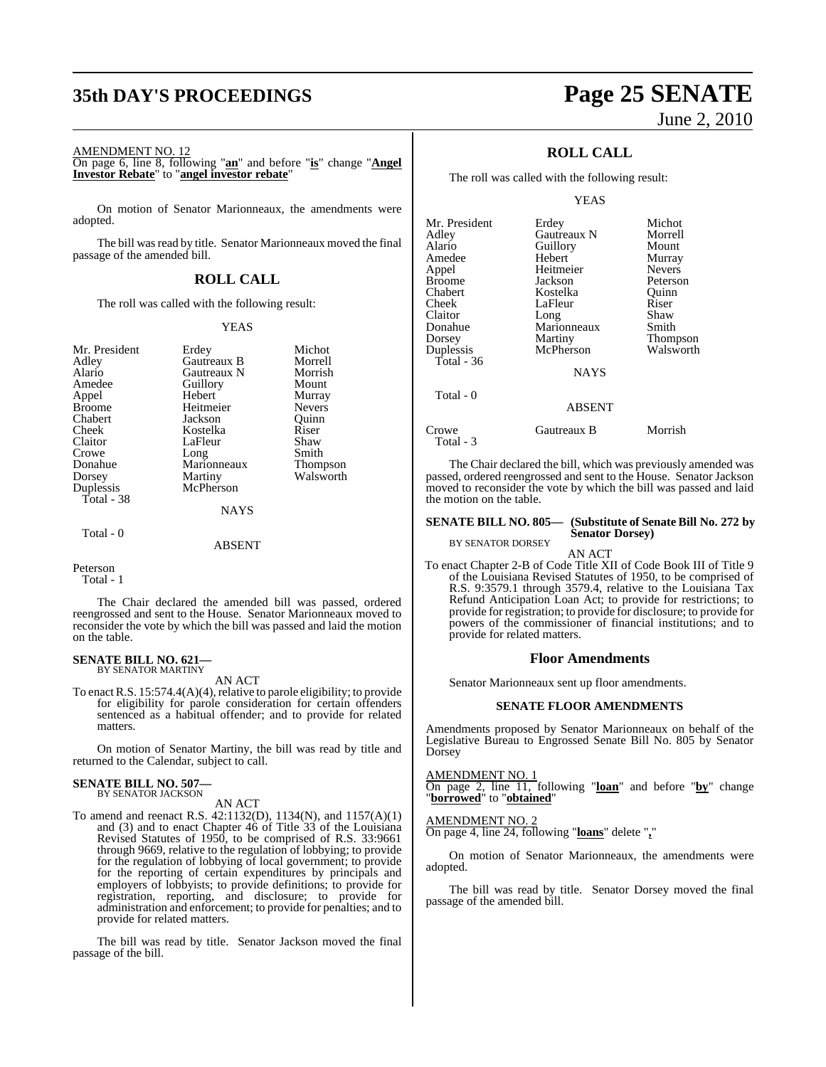## **35th DAY'S PROCEEDINGS Page 25 SENATE**

AMENDMENT NO. 12

On page 6, line 8, following "**an**" and before "**is**" change "**Angel Investor Rebate**" to "**angel investor rebate**"

On motion of Senator Marionneaux, the amendments were adopted.

The bill was read by title. Senator Marionneaux moved the final passage of the amended bill.

### **ROLL CALL**

The roll was called with the following result:

#### YEAS

| Mr. President | Erdey       | Michot          |
|---------------|-------------|-----------------|
| Adley         | Gautreaux B | Morrell         |
| Alario        | Gautreaux N | Morrish         |
| Amedee        | Guillory    | Mount           |
| Appel         | Hebert      | Murray          |
| <b>Broome</b> | Heitmeier   | <b>Nevers</b>   |
| Chabert       | Jackson     | Ouinn           |
| Cheek         | Kostelka    | Riser           |
| Claitor       | LaFleur     | Shaw            |
| Crowe         | Long        | Smith           |
| Donahue       | Marionneaux | <b>Thompson</b> |
| Dorsey        | Martiny     | Walsworth       |
| Duplessis     | McPherson   |                 |
| Total - 38    |             |                 |
|               | NAYS        |                 |
| Total - 0     |             |                 |
|               | ABSENT      |                 |

Peterson

Total - 1

The Chair declared the amended bill was passed, ordered reengrossed and sent to the House. Senator Marionneaux moved to reconsider the vote by which the bill was passed and laid the motion on the table.

#### **SENATE BILL NO. 621—** BY SENATOR MARTINY

AN ACT

To enact R.S. 15:574.4(A)(4), relative to parole eligibility; to provide for eligibility for parole consideration for certain offenders sentenced as a habitual offender; and to provide for related matters.

On motion of Senator Martiny, the bill was read by title and returned to the Calendar, subject to call.

### **SENATE BILL NO. 507—** BY SENATOR JACKSON

AN ACT

To amend and reenact R.S. 42:1132(D), 1134(N), and 1157(A)(1) and (3) and to enact Chapter 46 of Title 33 of the Louisiana Revised Statutes of 1950, to be comprised of R.S. 33:9661 through 9669, relative to the regulation of lobbying; to provide for the regulation of lobbying of local government; to provide for the reporting of certain expenditures by principals and employers of lobbyists; to provide definitions; to provide for registration, reporting, and disclosure; to provide for administration and enforcement; to provide for penalties; and to provide for related matters.

The bill was read by title. Senator Jackson moved the final passage of the bill.

# June 2, 2010

### **ROLL CALL**

The roll was called with the following result:

YEAS

| Mr. President | Erdey         | Michot        |
|---------------|---------------|---------------|
| Adlev         | Gautreaux N   | Morrell       |
| Alario        | Guillory      | Mount         |
| Amedee        | Hebert        | Murray        |
| Appel         | Heitmeier     | <b>Nevers</b> |
| Broome        | Jackson       | Peterson      |
| Chabert       | Kostelka      | Ouinn         |
| Cheek         | LaFleur       | Riser         |
| Claitor       | Long          | Shaw          |
| Donahue       | Marionneaux   | Smith         |
| Dorsey        | Martiny       | Thompson      |
| Duplessis     | McPherson     | Walsworth     |
| Total - 36    |               |               |
|               | <b>NAYS</b>   |               |
| Total - 0     |               |               |
|               | <b>ABSENT</b> |               |
| Crowe         | Gautreaux B   | Morrish       |

The Chair declared the bill, which was previously amended was passed, ordered reengrossed and sent to the House. Senator Jackson moved to reconsider the vote by which the bill was passed and laid the motion on the table.

#### **SENATE BILL NO. 805— (Substitute of Senate Bill No. 272 by Senator Dorsey)**

BY SENATOR DORSEY

AN ACT

To enact Chapter 2-B of Code Title XII of Code Book III of Title 9 of the Louisiana Revised Statutes of 1950, to be comprised of R.S. 9:3579.1 through 3579.4, relative to the Louisiana Tax Refund Anticipation Loan Act; to provide for restrictions; to provide for registration; to provide for disclosure; to provide for powers of the commissioner of financial institutions; and to provide for related matters.

#### **Floor Amendments**

Senator Marionneaux sent up floor amendments.

#### **SENATE FLOOR AMENDMENTS**

Amendments proposed by Senator Marionneaux on behalf of the Legislative Bureau to Engrossed Senate Bill No. 805 by Senator Dorsey

AMENDMENT NO. 1

Total - 3

On page 2, line 11, following "**loan**" and before "**by**" change "**borrowed**" to "**obtained**"

#### AMENDMENT NO. 2

On page 4, line 24, following "**loans**" delete "**,**"

On motion of Senator Marionneaux, the amendments were adopted.

The bill was read by title. Senator Dorsey moved the final passage of the amended bill.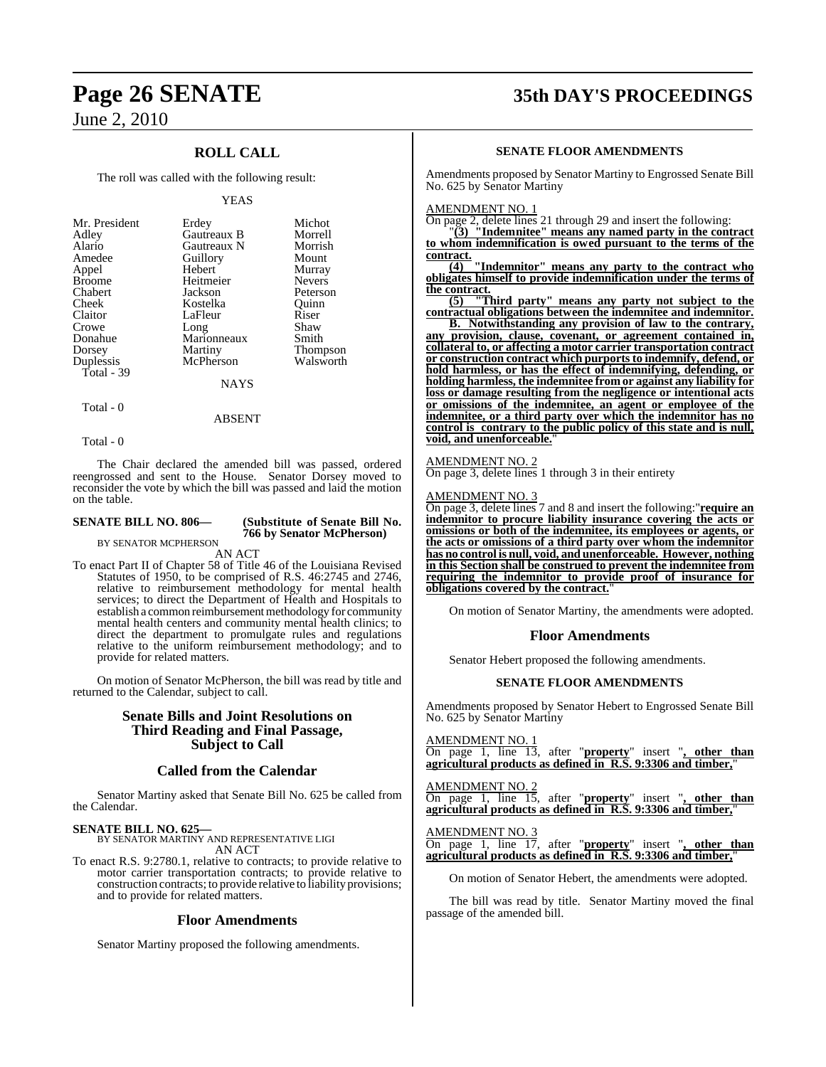### **ROLL CALL**

The roll was called with the following result:

#### YEAS

| Mr. President | Erdey       | Michot          |
|---------------|-------------|-----------------|
| Adley         | Gautreaux B | Morrell         |
| Alario        | Gautreaux N | Morrish         |
| Amedee        | Guillory    | Mount           |
| Appel         | Hebert      | Murray          |
| <b>Broome</b> | Heitmeier   | <b>Nevers</b>   |
| Chabert       | Jackson     | Peterson        |
| Cheek         | Kostelka    | Ouinn           |
| Claitor       | LaFleur     | Riser           |
| Crowe         | Long        | Shaw            |
| Donahue       | Marionneaux | Smith           |
| Dorsey        | Martiny     | <b>Thompson</b> |
| Duplessis     | McPherson   | Walsworth       |
| Total - 39    |             |                 |
|               | <b>NAYS</b> |                 |

Total - 0

Total - 0

The Chair declared the amended bill was passed, ordered reengrossed and sent to the House. Senator Dorsey moved to reconsider the vote by which the bill was passed and laid the motion on the table.

ABSENT

**SENATE BILL NO. 806— (Substitute of Senate Bill No. 766 by Senator McPherson)**

BY SENATOR MCPHERSON

AN ACT To enact Part II of Chapter 58 of Title 46 of the Louisiana Revised Statutes of 1950, to be comprised of R.S. 46:2745 and 2746, relative to reimbursement methodology for mental health services; to direct the Department of Health and Hospitals to establish a common reimbursement methodology for community mental health centers and community mental health clinics; to direct the department to promulgate rules and regulations relative to the uniform reimbursement methodology; and to provide for related matters.

On motion of Senator McPherson, the bill was read by title and returned to the Calendar, subject to call.

### **Senate Bills and Joint Resolutions on Third Reading and Final Passage, Subject to Call**

#### **Called from the Calendar**

Senator Martiny asked that Senate Bill No. 625 be called from the Calendar.

### **SENATE BILL NO. 625—**

BY SENATOR MARTINY AND REPRESENTATIVE LIGI AN ACT

To enact R.S. 9:2780.1, relative to contracts; to provide relative to motor carrier transportation contracts; to provide relative to construction contracts; to provide relative to liability provisions; and to provide for related matters.

#### **Floor Amendments**

Senator Martiny proposed the following amendments.

## **Page 26 SENATE 35th DAY'S PROCEEDINGS**

#### **SENATE FLOOR AMENDMENTS**

Amendments proposed by Senator Martiny to Engrossed Senate Bill No. 625 by Senator Martiny

#### AMENDMENT NO. 1

On page 2, delete lines 21 through 29 and insert the following:

"**(3) "Indemnitee" means any named party in the contract to whom indemnification is owed pursuant to the terms of the contract.**

**(4) "Indemnitor" means any party to the contract who obligates himself to provide indemnification under the terms of**  $\frac{\text{the contract.}}{(5)}$  <sup>1</sup>

**(5) "Third party" means any party not subject to the contractual obligations between the indemnitee and indemnitor.**

**B. Notwithstanding any provision of law to the contrary, any provision, clause, covenant, or agreement contained in, collateral to, or affecting a motor carrier transportation contract or construction contract which purports to indemnify, defend, or hold harmless, or has the effect of indemnifying, defending, or holding harmless, the indemnitee from or against any liability for loss or damage resulting from the negligence or intentional acts or omissions of the indemnitee, an agent or employee of the indemnitee, or a third party over which the indemnitor has no control is contrary to the public policy of this state and is null, void, and unenforceable.**"

#### AMENDMENT NO. 2

 $\overline{\text{On page 3}}$ , delete lines 1 through 3 in their entirety

#### AMENDMENT NO. 3

On page 3, delete lines 7 and 8 and insert the following:"**require an indemnitor to procure liability insurance covering the acts or omissions or both of the indemnitee, its employees or agents, or the acts or omissions of a third party over whom the indemnitor has no control is null, void, and unenforceable. However, nothing in this Section shall be construed to prevent the indemnitee from requiring the indemnitor to provide proof of insurance for obligations covered by the contract.**"

On motion of Senator Martiny, the amendments were adopted.

#### **Floor Amendments**

Senator Hebert proposed the following amendments.

#### **SENATE FLOOR AMENDMENTS**

Amendments proposed by Senator Hebert to Engrossed Senate Bill No. 625 by Senator Martiny

AMENDMENT NO. 1 On page 1, line 13, after "**property**" insert "**, other than agricultural products as defined in R.S. 9:3306 and timber,**"

AMENDMENT NO. 2 On page 1, line 15, after "**property**" insert "**, other than agricultural products as defined in R.S. 9:3306 and timber,**"

#### AMENDMENT NO. 3

On page 1, line 17, after "**property**" insert "**, other than agricultural products as defined in R.S. 9:3306 and timber,**"

On motion of Senator Hebert, the amendments were adopted.

The bill was read by title. Senator Martiny moved the final passage of the amended bill.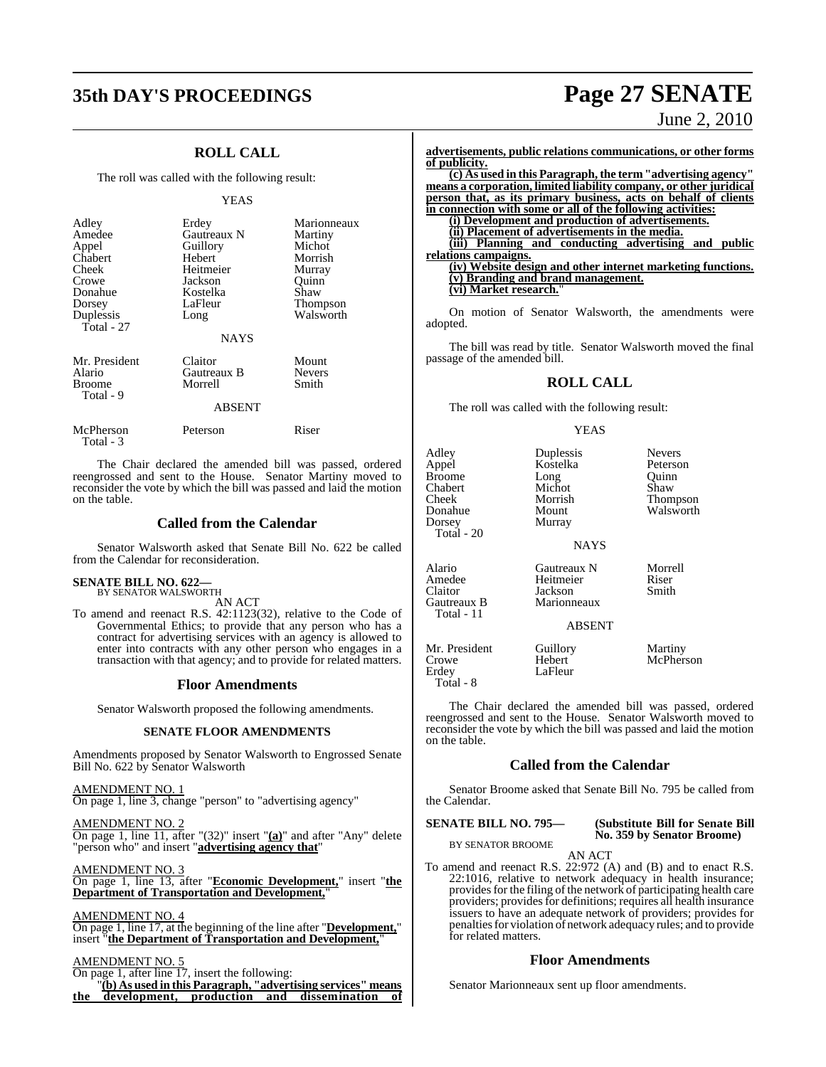## **35th DAY'S PROCEEDINGS Page 27 SENATE**

### **ROLL CALL**

The roll was called with the following result:

#### YEAS

| Adley<br>Amedee<br>Appel<br>Chabert<br>Cheek<br>Crowe<br>Donahue<br>Dorsey | Erdey<br>Gautreaux N<br>Guillory<br>Hebert<br>Heitmeier<br>Jackson<br>Kostelka<br>LaFleur | Marionneaux<br>Martiny<br>Michot<br>Morrish<br>Murray<br>Ouinn<br>Shaw<br>Thompson |
|----------------------------------------------------------------------------|-------------------------------------------------------------------------------------------|------------------------------------------------------------------------------------|
| Duplessis<br>Total - 27                                                    | Long<br><b>NAYS</b>                                                                       | Walsworth                                                                          |
| Mr. President<br>Alario<br>Broome<br>Total - 9                             | Claitor<br>Gautreaux B<br>Morrell<br><b>ABSENT</b>                                        | Mount<br><b>Nevers</b><br>Smith                                                    |
| McPherson<br>Total - 3                                                     | Peterson                                                                                  | Riser                                                                              |

The Chair declared the amended bill was passed, ordered reengrossed and sent to the House. Senator Martiny moved to reconsider the vote by which the bill was passed and laid the motion on the table.

### **Called from the Calendar**

Senator Walsworth asked that Senate Bill No. 622 be called from the Calendar for reconsideration.

#### **SENATE BILL NO. 622—** BY SENATOR WALSWORTH

AN ACT

To amend and reenact R.S. 42:1123(32), relative to the Code of Governmental Ethics; to provide that any person who has a contract for advertising services with an agency is allowed to enter into contracts with any other person who engages in a transaction with that agency; and to provide for related matters.

#### **Floor Amendments**

Senator Walsworth proposed the following amendments.

#### **SENATE FLOOR AMENDMENTS**

Amendments proposed by Senator Walsworth to Engrossed Senate Bill No. 622 by Senator Walsworth

AMENDMENT NO. 1 On page 1, line 3, change "person" to "advertising agency"

AMENDMENT NO. 2 On page 1, line 11, after "(32)" insert "**(a)**" and after "Any" delete "person who" and insert "**advertising agency that**"

AMENDMENT NO. 3 On page 1, line 13, after "**Economic Development,**" insert "**the Department of Transportation and Development,**"

AMENDMENT NO. 4 On page 1, line 17, at the beginning of the line after "**Development,**" insert "**the Department of Transportation and Development,**"

### AMENDMENT NO. 5

On page 1, after line 17, insert the following:

"**(b) As used in this Paragraph, "advertising services" means the development, production and dissemination of**

# June 2, 2010

**advertisements, public relations communications, or other forms of publicity. (c) As used in this Paragraph, the term "advertising agency" means a corporation, limited liability company, or other juridical person that, as its primary business, acts on behalf of clients in connection with some or all of the following activities: (i) Development and production of advertisements. (ii) Placement of advertisements in the media. (iii) Planning and conducting advertising and public relations campaigns. (iv) Website design and other internet marketing functions. (v) Branding and brand management. (vi) Market research.**"

On motion of Senator Walsworth, the amendments were adopted.

The bill was read by title. Senator Walsworth moved the final passage of the amended bill.

### **ROLL CALL**

The roll was called with the following result:

#### YEAS

| Adley<br>Appel<br><b>Broome</b><br>Chabert<br>Cheek<br>Donahue<br>Dorsey<br>Total $-20$ | Duplessis<br>Kostelka<br>Long<br>Michot<br>Morrish<br>Mount<br>Murray<br><b>NAYS</b> | <b>Nevers</b><br>Peterson<br>Ouinn<br>Shaw<br>Thompson<br>Walsworth |
|-----------------------------------------------------------------------------------------|--------------------------------------------------------------------------------------|---------------------------------------------------------------------|
| Alario<br>Amedee<br>Claitor<br>Gautreaux B<br>Total - 11                                | Gautreaux N<br>Heitmeier<br>Jackson<br>Marionneaux<br><b>ABSENT</b>                  | Morrell<br>Riser<br>Smith                                           |
| Mr. President<br>Crowe<br>Erdev                                                         | Guillory<br>Hebert<br>LaFleur                                                        | Martiny<br>McPherson                                                |

The Chair declared the amended bill was passed, ordered reengrossed and sent to the House. Senator Walsworth moved to reconsider the vote by which the bill was passed and laid the motion on the table.

#### **Called from the Calendar**

Senator Broome asked that Senate Bill No. 795 be called from the Calendar.

**SENATE BILL NO. 795— (Substitute Bill for Senate Bill**

Total - 8

**No. 359 by Senator Broome)**

BY SENATOR BROOME AN ACT

To amend and reenact R.S. 22:972 (A) and (B) and to enact R.S. 22:1016, relative to network adequacy in health insurance; provides for the filing of the network of participating health care providers; providesfor definitions; requires all health insurance issuers to have an adequate network of providers; provides for penalties for violation of network adequacy rules; and to provide for related matters.

#### **Floor Amendments**

Senator Marionneaux sent up floor amendments.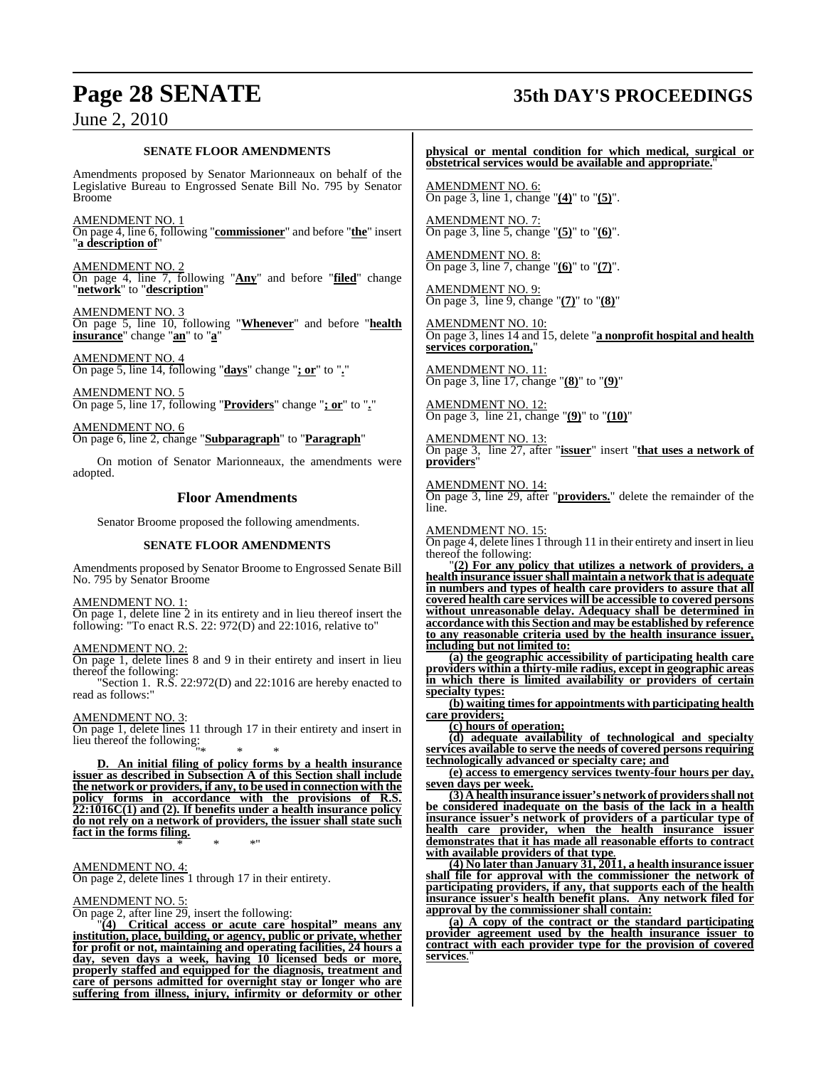## **Page 28 SENATE 35th DAY'S PROCEEDINGS**

### June 2, 2010

#### **SENATE FLOOR AMENDMENTS**

Amendments proposed by Senator Marionneaux on behalf of the Legislative Bureau to Engrossed Senate Bill No. 795 by Senator Broome

AMENDMENT NO. 1 On page 4, line 6, following "**commissioner**" and before "**the**" insert "**a description of**"

AMENDMENT NO. 2 On page 4, line 7, following "**Any**" and before "**filed**" change "**network**" to "**description**"

AMENDMENT NO. 3 On page 5, line 10, following "**Whenever**" and before "**health insurance**" change "**an**" to "**a**"

AMENDMENT NO. 4 On page 5, line 14, following "**days**" change "**; or**" to "**.**"

AMENDMENT NO. 5 On page 5, line 17, following "**Providers**" change "**; or**" to "**.**"

AMENDMENT NO. 6 On page 6, line 2, change "**Subparagraph**" to "**Paragraph**"

On motion of Senator Marionneaux, the amendments were adopted.

#### **Floor Amendments**

Senator Broome proposed the following amendments.

#### **SENATE FLOOR AMENDMENTS**

Amendments proposed by Senator Broome to Engrossed Senate Bill No. 795 by Senator Broome

AMENDMENT NO. 1:

On page 1, delete line 2 in its entirety and in lieu thereof insert the following: "To enact R.S. 22: 972(D) and 22:1016, relative to"

AMENDMENT NO. 2:

On page 1, delete lines 8 and 9 in their entirety and insert in lieu thereof the following:

"Section 1. R.S. 22:972(D) and 22:1016 are hereby enacted to read as follows:"

#### AMENDMENT NO. 3:

On page 1, delete lines 11 through 17 in their entirety and insert in lieu thereof the following:

"\* \* \* **D. An initial filing of policy forms by a health insurance issuer as described in Subsection A of this Section shall include the network or providers, if any, to be used in connection with the policy forms in accordance with the provisions of R.S. 22:1016C(1) and (2). If benefits under a health insurance policy do not rely on a network of providers, the issuer shall state such fact in the forms filing.** \* \* \*"

AMENDMENT NO. 4:

On page 2, delete lines 1 through 17 in their entirety.

#### AMENDMENT NO. 5:

On page 2, after line 29, insert the following:

"**(4) Critical access or acute care hospital" means any institution, place, building, or agency, public or private, whether for profit or not, maintaining and operating facilities, 24 hours a day, seven days a week, having 10 licensed beds or more, properly staffed and equipped for the diagnosis, treatment and care of persons admitted for overnight stay or longer who are suffering from illness, injury, infirmity or deformity or other**

**physical or mental condition for which medical, surgical or obstetrical services would be available and appropriate.**"

AMENDMENT NO. 6: On page 3, line 1, change "**(4)**" to "**(5)**".

AMENDMENT NO. 7: On page 3, line 5, change "**(5)**" to "**(6)**".

AMENDMENT NO. 8: On page 3, line 7, change "**(6)**" to "**(7)**".

AMENDMENT NO. 9: On page 3, line 9, change "**(7)**" to "**(8)**"

AMENDMENT NO. 10: On page 3, lines 14 and 15, delete "**a nonprofit hospital and health services corporation,**"

AMENDMENT NO. 11: On page 3, line 17, change "**(8)**" to "**(9)**"

AMENDMENT NO. 12: On page 3, line 21, change "**(9)**" to "**(10)**"

AMENDMENT NO. 13: On page 3, line 27, after "**issuer**" insert "**that uses a network of providers**"

AMENDMENT NO. 14: On page 3, line 29, after "**providers.**" delete the remainder of the line.

AMENDMENT NO. 15:

On page 4, delete lines 1 through 11 in their entirety and insert in lieu thereof the following:

"**(2) For any policy that utilizes a network of providers, a health insurance issuer shall maintain a network that is adequate in numbers and types of health care providers to assure that all covered health care services will be accessible to covered persons without unreasonable delay. Adequacy shall be determined in accordance with this Section and may be established by reference to any reasonable criteria used by the health insurance issuer, including but not limited to:**

**(a) the geographic accessibility of participating health care providers within a thirty-mile radius, except in geographic areas in which there is limited availability or providers of certain specialty types:**

**(b) waiting times for appointments with participating health care providers;**

**(c) hours of operation;**

**(d) adequate availability of technological and specialty services available to serve the needs of covered persons requiring technologically advanced or specialty care; and**

**(e) access to emergency services twenty-four hours per day, seven days per week.**

**(3) A health insurance issuer's networkof providersshall not be considered inadequate on the basis of the lack in a health insurance issuer's network of providers of a particular type of health care provider, when the health insurance issuer demonstrates that it has made all reasonable efforts to contract with available providers of that type**.

**(4) No later than January 31, 2011, a health insurance issuer shall file for approval with the commissioner the network of participating providers, if any, that supports each of the health insurance issuer's health benefit plans. Any network filed for approval by the commissioner shall contain:**

**(a) A copy of the contract or the standard participating provider agreement used by the health insurance issuer to contract with each provider type for the provision of covered services**.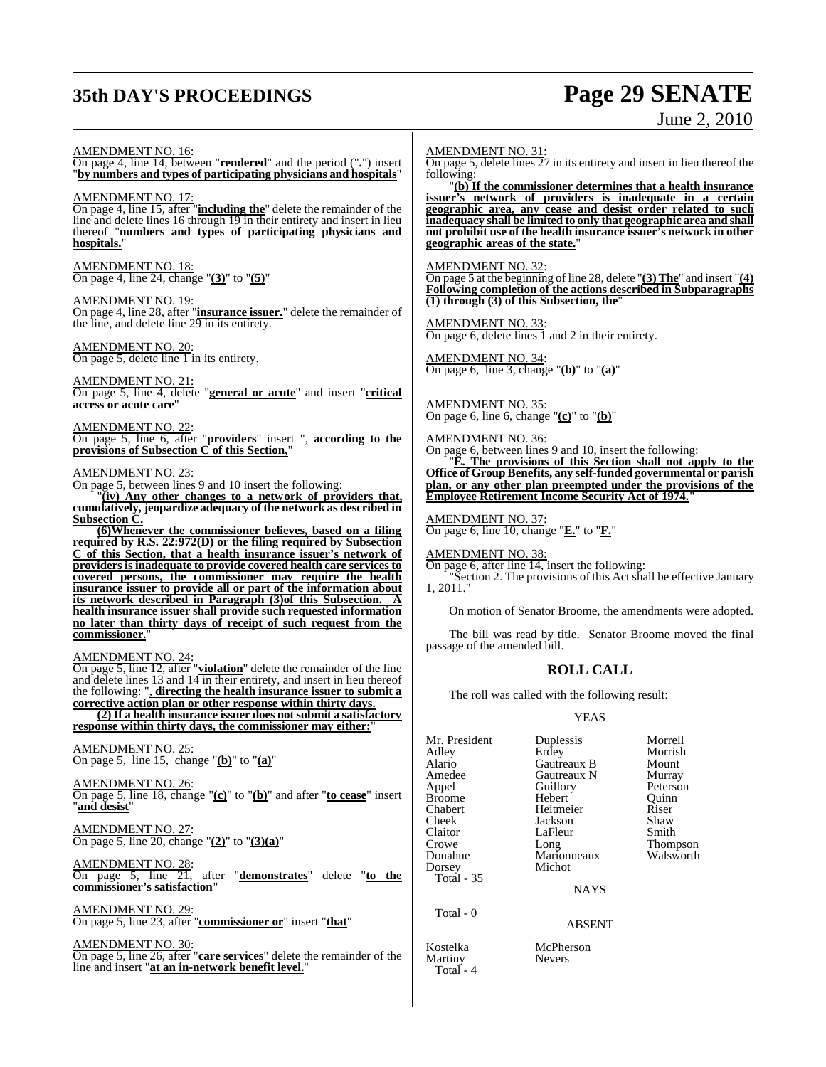## **35th DAY'S PROCEEDINGS Page 29 SENATE**

# June 2, 2010

AMENDMENT NO. 16:

On page 4, line 14, between "**rendered**" and the period ("**.**") insert "**by numbers and types of participating physicians and hospitals**"

AMENDMENT NO. 17: On page 4, line 15, after "**including the**" delete the remainder of the line and delete lines 16 through 19 in their entirety and insert in lieu thereof "**numbers and types of participating physicians and hospitals.**"

AMENDMENT NO. 18: On page 4, line 24, change "**(3)**" to "**(5)**"

### AMENDMENT NO. 19:

On page 4, line 28, after "**insurance issuer.**" delete the remainder of the line, and delete line 29 in its entirety.

#### AMENDMENT NO. 20:

On page 5, delete line 1 in its entirety.

#### AMENDMENT NO. 21:

On page 5, line 4, delete "**general or acute**" and insert "**critical access or acute care**"

#### AMENDMENT NO. 22:

On page 5, line 6, after "**providers**" insert ", **according to the provisions of Subsection C of this Section,**"

#### AMENDMENT NO. 23:

On page 5, between lines 9 and 10 insert the following:

"**(iv) Any other changes to a network of providers that, cumulatively, jeopardize adequacy of the network as described in Subsection C.**

**(6)Whenever the commissioner believes, based on a filing required by R.S. 22:972(D) or the filing required by Subsection C of this Section, that a health insurance issuer's network of providers is inadequate to provide covered health care services to covered persons, the commissioner may require the health insurance issuer to provide all or part of the information about its network described in Paragraph (3)of this Subsection. A health insurance issuer shall provide such requested information no later than thirty days of receipt of such request from the commissioner.**"

#### AMENDMENT NO. 24:

On page 5, line 12, after "**violation**" delete the remainder of the line and delete lines 13 and 14 in their entirety, and insert in lieu thereof the following: ", **directing the health insurance issuer to submit a corrective action plan or other response within thirty days.**

**(2)If a health insurance issuer does notsubmit a satisfactory response within thirty days, the commissioner may either:**"

#### AMENDMENT NO. 25: On page 5, line 15, change "**(b)**" to "**(a)**"

AMENDMENT NO. 26: On page 5, line 18, change "**(c)**" to "**(b)**" and after "**to cease**" insert

"**and desist**"

AMENDMENT NO. 27: On page 5, line 20, change "**(2)**" to "**(3)(a)**"

AMENDMENT NO. 28: On page 5, line 21, after "**demonstrates**" delete "**to the commissioner's satisfaction**"

AMENDMENT NO. 29: On page 5, line 23, after "**commissioner or**" insert "**that**"

AMENDMENT NO. 30:

On page 5, line 26, after "**care services**" delete the remainder of the line and insert "**at an in-network benefit level.**"

#### AMENDMENT NO. 31:

On page 5, delete lines 27 in its entirety and insert in lieu thereof the following:

"**(b) If the commissioner determines that a health insurance issuer's network of providers is inadequate in a certain geographic area, any cease and desist order related to such inadequacy shall be limited to only that geographic area and shall not prohibit use of the health insurance issuer's network in other geographic areas of the state.**"

#### AMENDMENT NO. 32:

On page 5 at the beginning of line 28, delete "**(3) The**" and insert "**(4) Following completion of the actions described in Subparagraphs (1) through (3) of this Subsection, the**"

AMENDMENT NO. 33: On page 6, delete lines 1 and 2 in their entirety.

AMENDMENT NO. 34: On page 6, line 3, change "**(b)**" to "**(a)**"

AMENDMENT NO. 35: On page 6, line 6, change "**(c)**" to "**(b)**"

AMENDMENT NO. 36: On page 6, between lines 9 and 10, insert the following: "**E. The provisions of this Section shall not apply to the Office of GroupBenefits, any self-funded governmental or parish plan, or any other plan preempted under the provisions of the Employee Retirement Income Security Act of 1974.**"

AMENDMENT NO. 37: On page 6, line 10, change "**E.**" to "**F.**"

AMENDMENT NO. 38:

On page 6, after line 14, insert the following:

"Section 2. The provisions of this Act shall be effective January 1, 2011."

On motion of Senator Broome, the amendments were adopted.

The bill was read by title. Senator Broome moved the final passage of the amended bill.

### **ROLL CALL**

The roll was called with the following result:

#### YEAS

Mr. President Duplessis Morrell Adley Erdey Morrish Alario Gautreaux B Mount Amedee Gautreaux N Murray<br>
Appel Guillory Peterson Broome Hebert Quinr<br>
Chabert Heitmeier Riser Chabert Heitmeier Riser Cheek Jackson Shaw Claitor LaFleur<br>Crowe Long Crowe Long Thompson<br>
Donahue Marionneaux Walsworth Dorsey Total - 35

Total - 0

Kostelka McPherson<br>Martiny Nevers Martiny Total - 4

Guillory Peterson<br>
Hebert Ouinn Marionneaux Walsworth<br>Michot

**NAYS** 

#### ABSENT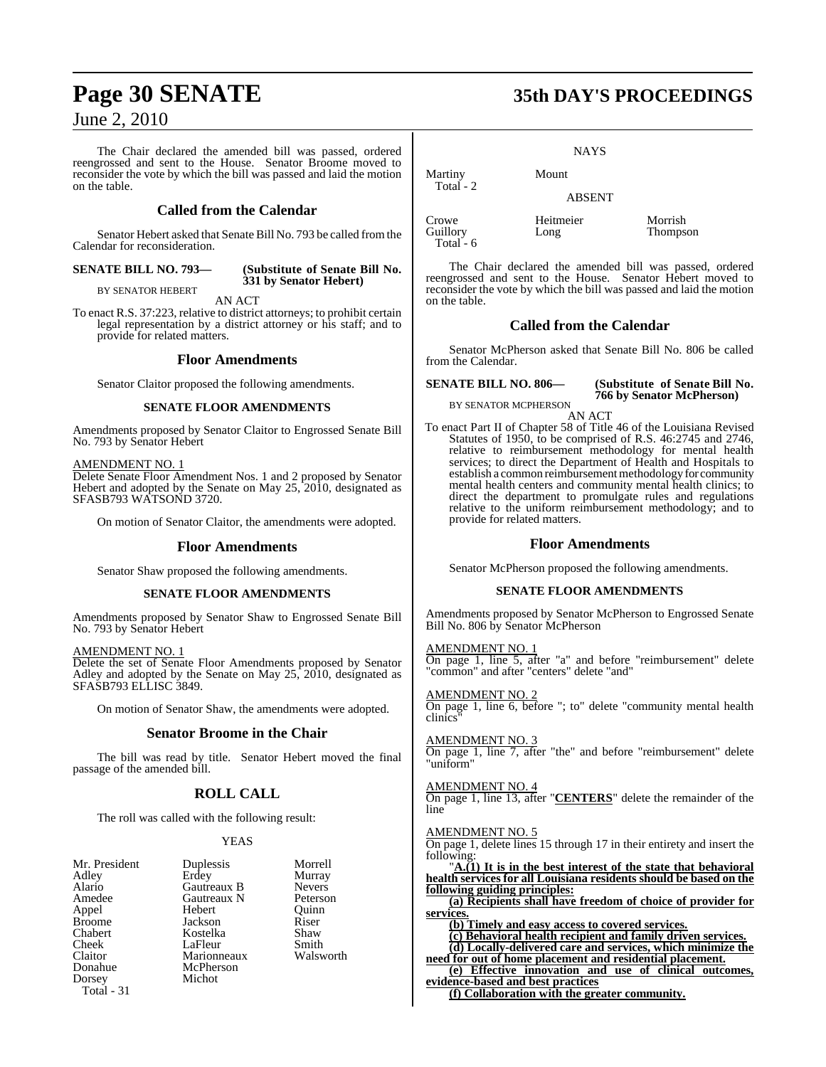The Chair declared the amended bill was passed, ordered reengrossed and sent to the House. Senator Broome moved to reconsider the vote by which the bill was passed and laid the motion on the table.

### **Called from the Calendar**

Senator Hebert asked that Senate Bill No. 793 be called fromthe Calendar for reconsideration.

#### **SENATE BILL NO. 793— (Substitute of Senate Bill No. 331 by Senator Hebert)**

BY SENATOR HEBERT AN ACT

To enact R.S. 37:223, relative to district attorneys; to prohibit certain legal representation by a district attorney or his staff; and to provide for related matters.

#### **Floor Amendments**

Senator Claitor proposed the following amendments.

#### **SENATE FLOOR AMENDMENTS**

Amendments proposed by Senator Claitor to Engrossed Senate Bill No. 793 by Senator Hebert

#### AMENDMENT NO. 1

Delete Senate Floor Amendment Nos. 1 and 2 proposed by Senator Hebert and adopted by the Senate on May 25, 2010, designated as SFASB793 WATSOND 3720.

On motion of Senator Claitor, the amendments were adopted.

#### **Floor Amendments**

Senator Shaw proposed the following amendments.

#### **SENATE FLOOR AMENDMENTS**

Amendments proposed by Senator Shaw to Engrossed Senate Bill No. 793 by Senator Hebert

#### AMENDMENT NO. 1

Delete the set of Senate Floor Amendments proposed by Senator Adley and adopted by the Senate on May 25, 2010, designated as SFASB793 ELLISC 3849.

On motion of Senator Shaw, the amendments were adopted.

#### **Senator Broome in the Chair**

The bill was read by title. Senator Hebert moved the final passage of the amended bill.

### **ROLL CALL**

The roll was called with the following result:

#### YEAS

Murray<br>Nevers

| Mr. Presiden  |
|---------------|
| Adley         |
| Alario        |
| Amedee        |
| Appel         |
| <b>Broome</b> |
| Chabert       |
| Cheek         |
| Claitor       |
| Donahue       |
| Dorsey        |
| Total - 31    |
|               |

t Duplessis Morrell<br>Erdey Murray Gautreaux B Nevers<br>
Gautreaux N Peterson Gautreaux N Peterson<br>Hebert Ouinn Hebert Quinn<br>Jackson Riser Jackson Riser<br>Kostelka Shaw Kostelka Shaw<br>LaFleur Smith LaFleur Smith<br>Marionneaux Walsworth Marionneaux McPherson **Michot** 

**Page 30 SENATE 35th DAY'S PROCEEDINGS**

#### **NAYS**

ABSENT

Martiny Mount

Crowe Heitmeier Morrish Total - 6

Total - 2

Thompson

The Chair declared the amended bill was passed, ordered reengrossed and sent to the House. Senator Hebert moved to reconsider the vote by which the bill was passed and laid the motion on the table.

### **Called from the Calendar**

Senator McPherson asked that Senate Bill No. 806 be called from the Calendar.

#### **SENATE BILL NO. 806— (Substitute of Senate Bill No. 766 by Senator McPherson)**

BY SENATOR MCPHERSON AN ACT

To enact Part II of Chapter 58 of Title 46 of the Louisiana Revised Statutes of 1950, to be comprised of R.S. 46:2745 and 2746, relative to reimbursement methodology for mental health services; to direct the Department of Health and Hospitals to establish a common reimbursement methodology for community mental health centers and community mental health clinics; to direct the department to promulgate rules and regulations relative to the uniform reimbursement methodology; and to provide for related matters.

#### **Floor Amendments**

Senator McPherson proposed the following amendments.

#### **SENATE FLOOR AMENDMENTS**

Amendments proposed by Senator McPherson to Engrossed Senate Bill No. 806 by Senator McPherson

#### AMENDMENT NO. 1

On page 1, line 5, after "a" and before "reimbursement" delete "common" and after "centers" delete "and"

AMENDMENT NO. 2

On page 1, line 6, before "; to" delete "community mental health clinics"

#### AMENDMENT NO. 3

On page 1, line 7, after "the" and before "reimbursement" delete "uniform"

#### AMENDMENT NO. 4

On page 1, line 13, after "**CENTERS**" delete the remainder of the line

#### AMENDMENT NO. 5

On page 1, delete lines 15 through 17 in their entirety and insert the following:

"**A.(1) It is in the best interest of the state that behavioral health services for all Louisiana residents should be based on the following guiding principles:**

**(a) Recipients shall have freedom of choice of provider for services.**

**(b) Timely and easy access to covered services.**

**(c) Behavioral health recipient and family driven services. (d) Locally-delivered care and services, which minimize the**

**need for out of home placement and residential placement. (e) Effective innovation and use of clinical outcomes,**

**evidence-based and best practices (f) Collaboration with the greater community.**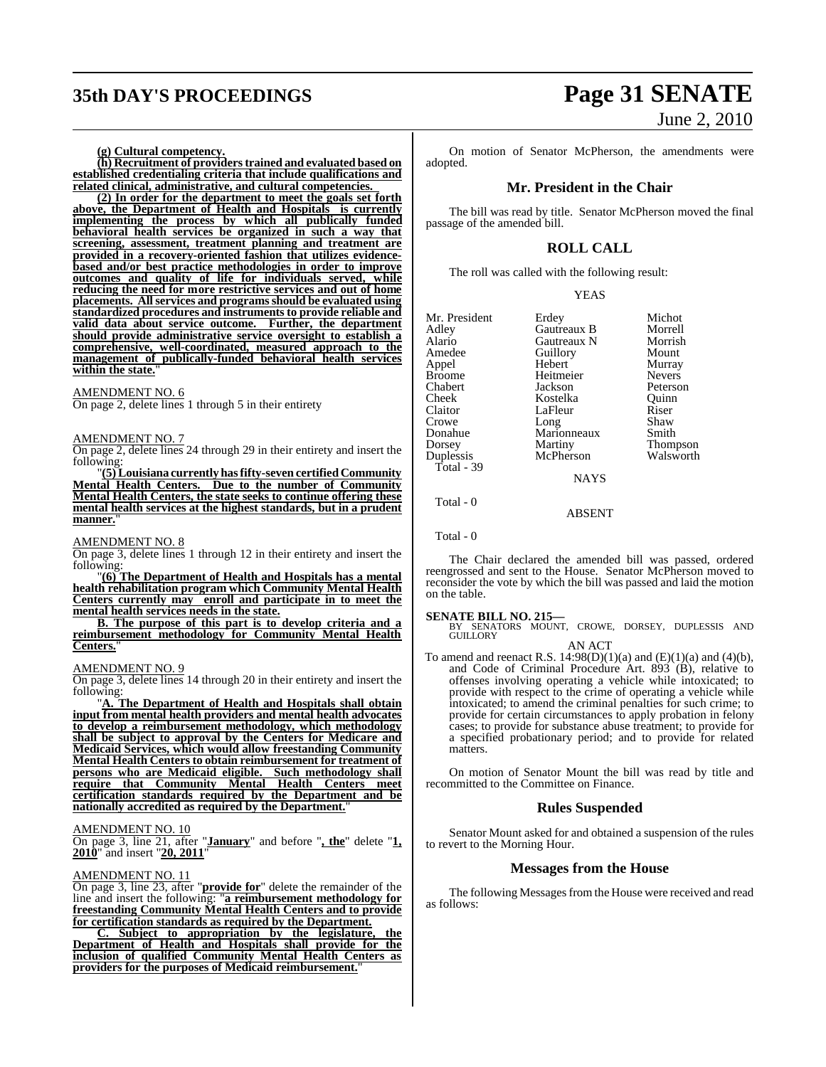## **35th DAY'S PROCEEDINGS Page 31 SENATE**

#### **(g) Cultural competency.**

**(h) Recruitment of providerstrained and evaluated based on established credentialing criteria that include qualifications and related clinical, administrative, and cultural competencies.** 

**(2) In order for the department to meet the goals set forth above, the Department of Health and Hospitals is currently implementing the process by which all publically funded behavioral health services be organized in such a way that screening, assessment, treatment planning and treatment are provided in a recovery-oriented fashion that utilizes evidencebased and/or best practice methodologies in order to improve outcomes and quality of life for individuals served, while reducing the need for more restrictive services and out of home placements. All services and programs should be evaluated using standardized procedures and instruments to provide reliable and valid data about service outcome. Further, the department should provide administrative service oversight to establish a comprehensive, well-coordinated, measured approach to the management of publically-funded behavioral health services within the state.**"

### AMENDMENT NO. 6

On page 2, delete lines 1 through 5 in their entirety

#### AMENDMENT NO. 7

On page 2, delete lines 24 through 29 in their entirety and insert the following:

"**(5)Louisiana currently hasfifty-seven certified Community Mental Health Centers. Due to the number of Community Mental Health Centers, the state seeks to continue offering these mental health services at the highest standards, but in a prudent** manner.

#### AMENDMENT NO. 8

On page 3, delete lines 1 through 12 in their entirety and insert the following:

"**(6) The Department of Health and Hospitals has a mental health rehabilitation program which Community Mental Health Centers currently may enroll and participate in to meet the mental health services needs in the state.**

**B. The purpose of this part is to develop criteria and a reimbursement methodology for Community Mental Health Centers.**"

#### AMENDMENT NO. 9

On page 3, delete lines 14 through 20 in their entirety and insert the following:

"**A. The Department of Health and Hospitals shall obtain input from mental health providers and mental health advocates to develop a reimbursement methodology, which methodology shall be subject to approval by the Centers for Medicare and Medicaid Services, which would allow freestanding Community Mental Health Centers to obtain reimbursement for treatment of persons who are Medicaid eligible. Such methodology shall require that Community Mental Health Centers meet certification standards required by the Department and be nationally accredited as required by the Department.**"

#### AMENDMENT NO. 10

On page 3, line 21, after "**January**" and before "**, the**" delete "**1, 2010**" and insert "**20, 2011**"

#### AMENDMENT NO. 11

On page 3, line 23, after "**provide for**" delete the remainder of the line and insert the following: "**a reimbursement methodology for freestanding Community Mental Health Centers and to provide for certification standards as required by the Department.**

**C. Subject to appropriation by the legislature, the Department of Health and Hospitals shall provide for the inclusion of qualified Community Mental Health Centers as providers for the purposes of Medicaid reimbursement.**"

# June 2, 2010

On motion of Senator McPherson, the amendments were adopted.

#### **Mr. President in the Chair**

The bill was read by title. Senator McPherson moved the final passage of the amended bill.

#### **ROLL CALL**

YEAS

The roll was called with the following result:

| Erdey       | Michot          |
|-------------|-----------------|
| Gautreaux B | Morrell         |
| Gautreaux N | Morrish         |
| Guillory    | Mount           |
| Hebert      | Murray          |
| Heitmeier   | <b>Nevers</b>   |
| Jackson     | Peterson        |
| Kostelka    | Ouinn           |
| LaFleur     | Riser           |
| Long        | Shaw            |
| Marionneaux | Smith           |
| Martiny     | <b>Thompson</b> |
| McPherson   | Walsworth       |
|             |                 |
|             |                 |

NAYS

ABSENT

Total - 0

Total - 0

The Chair declared the amended bill was passed, ordered reengrossed and sent to the House. Senator McPherson moved to reconsider the vote by which the bill was passed and laid the motion on the table.

**SENATE BILL NO. 215—**<br>BY SENATORS MOUNT, CROWE, DORSEY, DUPLESSIS AND GUILLORY AN ACT

To amend and reenact R.S.  $14:98(D)(1)(a)$  and  $(E)(1)(a)$  and  $(4)(b)$ , and Code of Criminal Procedure Art. 893 (B), relative to offenses involving operating a vehicle while intoxicated; to provide with respect to the crime of operating a vehicle while intoxicated; to amend the criminal penalties for such crime; to provide for certain circumstances to apply probation in felony cases; to provide for substance abuse treatment; to provide for a specified probationary period; and to provide for related matters.

On motion of Senator Mount the bill was read by title and recommitted to the Committee on Finance.

#### **Rules Suspended**

Senator Mount asked for and obtained a suspension of the rules to revert to the Morning Hour.

#### **Messages from the House**

The following Messages from the House were received and read as follows: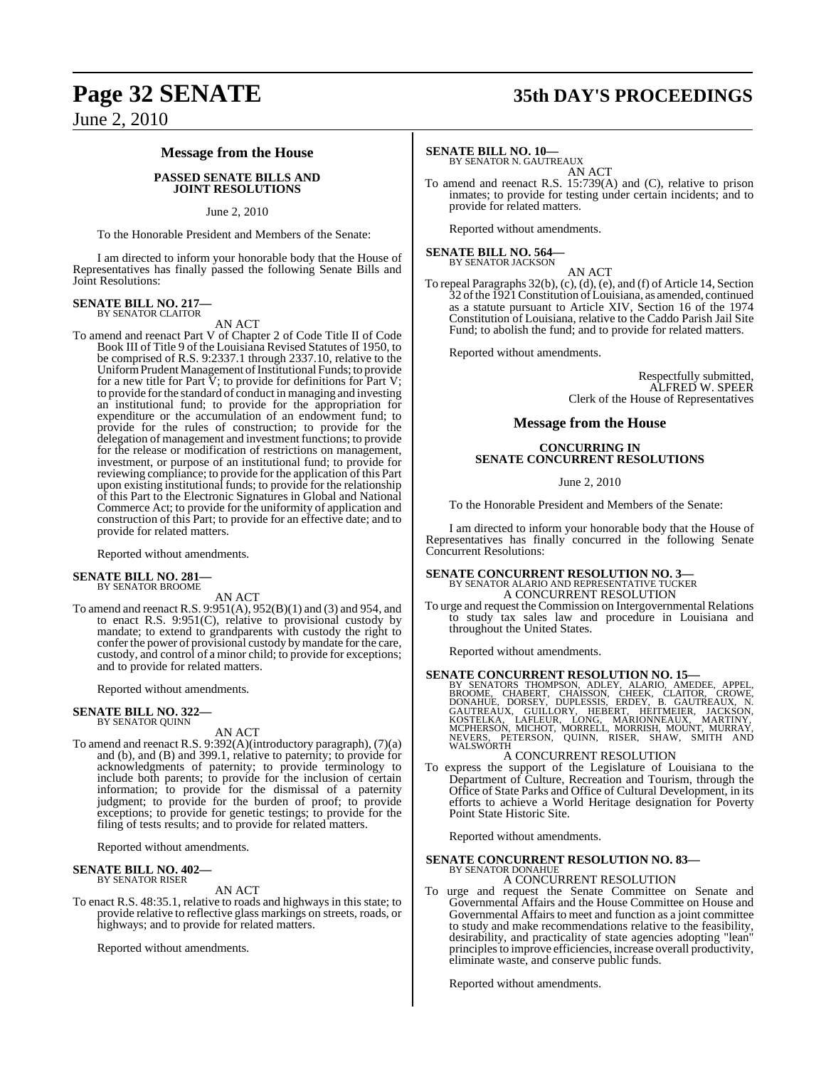### **Message from the House**

#### **PASSED SENATE BILLS AND JOINT RESOLUTIONS**

#### June 2, 2010

To the Honorable President and Members of the Senate:

I am directed to inform your honorable body that the House of Representatives has finally passed the following Senate Bills and Joint Resolutions:

## **SENATE BILL NO. 217—** BY SENATOR CLAITOR

AN ACT

To amend and reenact Part V of Chapter 2 of Code Title II of Code Book III of Title 9 of the Louisiana Revised Statutes of 1950, to be comprised of R.S. 9:2337.1 through 2337.10, relative to the Uniform Prudent Management of Institutional Funds; to provide for a new title for Part V; to provide for definitions for Part V; to provide forthe standard of conduct in managing and investing an institutional fund; to provide for the appropriation for expenditure or the accumulation of an endowment fund; to provide for the rules of construction; to provide for the delegation of management and investment functions; to provide for the release or modification of restrictions on management, investment, or purpose of an institutional fund; to provide for reviewing compliance; to provide for the application of this Part upon existing institutional funds; to provide for the relationship of this Part to the Electronic Signatures in Global and National Commerce Act; to provide for the uniformity of application and construction of this Part; to provide for an effective date; and to provide for related matters.

Reported without amendments.

**SENATE BILL NO. 281—** BY SENATOR BROOME

AN ACT

To amend and reenact R.S. 9:951(A), 952(B)(1) and (3) and 954, and to enact R.S. 9:951(C), relative to provisional custody by mandate; to extend to grandparents with custody the right to confer the power of provisional custody by mandate for the care, custody, and control of a minor child; to provide for exceptions; and to provide for related matters.

Reported without amendments.

## **SENATE BILL NO. 322—** BY SENATOR QUINN

AN ACT

To amend and reenact R.S. 9:392(A)(introductory paragraph), (7)(a) and (b), and (B) and 399.1, relative to paternity; to provide for acknowledgments of paternity; to provide terminology to include both parents; to provide for the inclusion of certain information; to provide for the dismissal of a paternity judgment; to provide for the burden of proof; to provide exceptions; to provide for genetic testings; to provide for the filing of tests results; and to provide for related matters.

Reported without amendments.

#### **SENATE BILL NO. 402—** BY SENATOR RISER

AN ACT

To enact R.S. 48:35.1, relative to roads and highways in this state; to provide relative to reflective glass markings on streets, roads, or highways; and to provide for related matters.

Reported without amendments.

## **Page 32 SENATE 35th DAY'S PROCEEDINGS**

#### **SENATE BILL NO. 10—**

BY SENATOR N. GAUTREAUX AN ACT

To amend and reenact R.S. 15:739(A) and (C), relative to prison inmates; to provide for testing under certain incidents; and to provide for related matters.

Reported without amendments.

#### **SENATE BILL NO. 564—** BY SENATOR JACKSON

AN ACT

To repeal Paragraphs 32(b), (c), (d), (e), and (f) of Article 14, Section 32 ofthe 1921Constitution ofLouisiana, as amended, continued as a statute pursuant to Article XIV, Section 16 of the 1974 Constitution of Louisiana, relative to the Caddo Parish Jail Site Fund; to abolish the fund; and to provide for related matters.

Reported without amendments.

Respectfully submitted, ALFRED W. SPEER Clerk of the House of Representatives

#### **Message from the House**

#### **CONCURRING IN SENATE CONCURRENT RESOLUTIONS**

June 2, 2010

To the Honorable President and Members of the Senate:

I am directed to inform your honorable body that the House of Representatives has finally concurred in the following Senate Concurrent Resolutions:

### **SENATE CONCURRENT RESOLUTION NO. 3—** BY SENATOR ALARIO AND REPRESENTATIVE TUCKER A CONCURRENT RESOLUTION

To urge and request the Commission on Intergovernmental Relations to study tax sales law and procedure in Louisiana and throughout the United States.

Reported without amendments.

SENATE CONCURRENT RESOLUTION NO. 15—<br>BY SENATORS THOMPSON, ADLEY, ALARIO, AMEDEE, APPEL, BROOME, CHABERT, CHAISSON, CHEEK, CLAITOR, CROWE, DONAHUE, DORSEY, DUPLESSIS, ERDEY, B. GAUTREAUX, N.<br>GAUTREAUX, GUILLORY, HEBERT, HE WALSWORTH

#### A CONCURRENT RESOLUTION

To express the support of the Legislature of Louisiana to the Department of Culture, Recreation and Tourism, through the Office of State Parks and Office of Cultural Development, in its efforts to achieve a World Heritage designation for Poverty Point State Historic Site.

Reported without amendments.

# **SENATE CONCURRENT RESOLUTION NO. 83<br>BY SENATOR DONAHUE A CONCURRENT RESOLUTION**

To urge and request the Senate Committee on Senate and Governmental Affairs and the House Committee on House and Governmental Affairs to meet and function as a joint committee to study and make recommendations relative to the feasibility, desirability, and practicality of state agencies adopting "lean" principlesto improve efficiencies, increase overall productivity, eliminate waste, and conserve public funds.

Reported without amendments.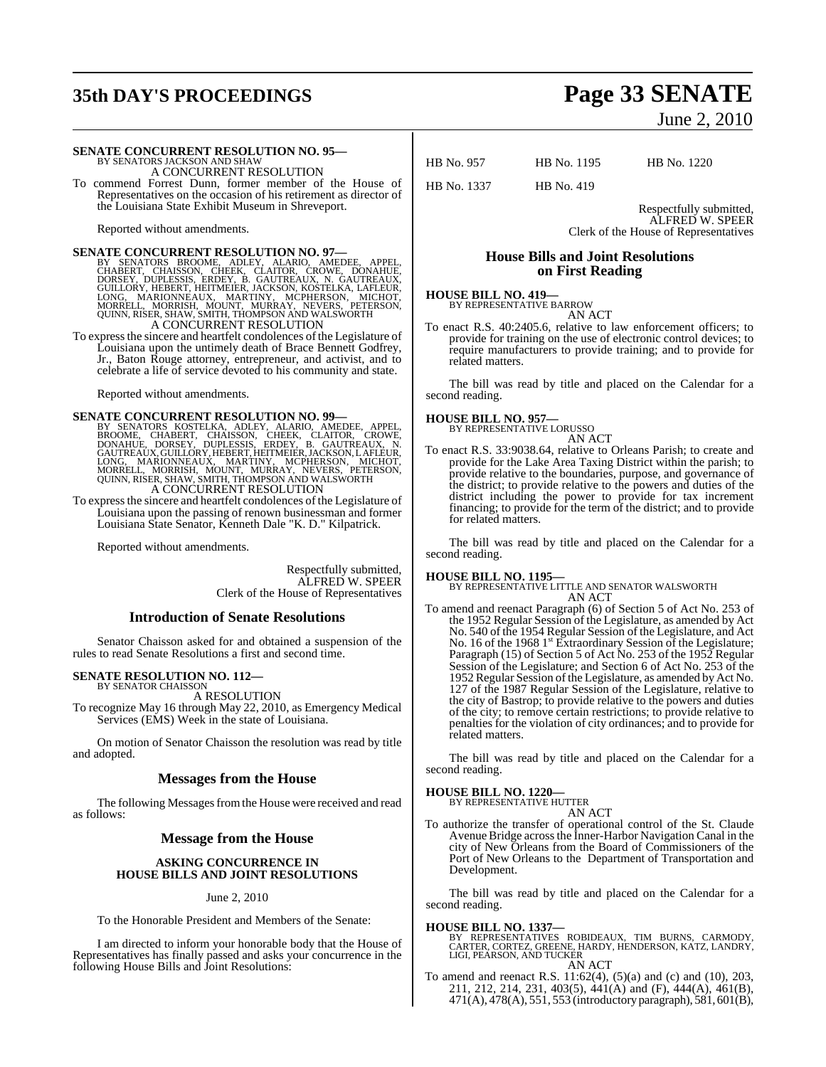## **35th DAY'S PROCEEDINGS Page 33 SENATE**

#### **SENATE CONCURRENT RESOLUTION NO. 95—**

BY SENATORS JACKSON AND SHAW A CONCURRENT RESOLUTION

To commend Forrest Dunn, former member of the House of Representatives on the occasion of his retirement as director of the Louisiana State Exhibit Museum in Shreveport.

Reported without amendments.

SENATE CONCURRENT RESOLUTION NO. 97—<br>
BY SENATORS BROOME, ADLEY, ALARIO, AMEDEE, APPEL,<br>
CHABERT, CHAISSON, CHEEK, CLAITOR, CROWE, DONAHUE,<br>
DORSEY, DUPLESSIS, ERDEY, B. GAUTREAUX, N. GAUTREAUX,<br>
GUILLORY, HEBERT, HEITMEIE

To express the sincere and heartfelt condolences of the Legislature of Louisiana upon the untimely death of Brace Bennett Godfrey, Jr., Baton Rouge attorney, entrepreneur, and activist, and to celebrate a life of service devoted to his community and state.

Reported without amendments.

SENATE CONCURRENT RESOLUTION NO. 99—<br>BY SENATORS KOSTELKA, ADLEY, ALARIO, AMEDEE, APPEL, BROOME, CHABERT, CHAISSON, CHEEK, CLAITOR, CROWE,<br>DONAHUE, DORSEY, DUPLESSIS, ERDEY, B. GAUTREAUX, N.<br>GAUTREAUX, GUILLORY, HEBERT, HE A CONCURRENT RESOLUTION

To expressthe sincere and heartfelt condolences of the Legislature of Louisiana upon the passing of renown businessman and former Louisiana State Senator, Kenneth Dale "K. D." Kilpatrick.

Reported without amendments.

Respectfully submitted, ALFRED W. SPEER Clerk of the House of Representatives

#### **Introduction of Senate Resolutions**

Senator Chaisson asked for and obtained a suspension of the rules to read Senate Resolutions a first and second time.

#### **SENATE RESOLUTION NO. 112—** BY SENATOR CHAISSON

A RESOLUTION To recognize May 16 through May 22, 2010, as Emergency Medical Services (EMS) Week in the state of Louisiana.

On motion of Senator Chaisson the resolution was read by title and adopted.

#### **Messages from the House**

The following Messages from the House were received and read as follows:

#### **Message from the House**

#### **ASKING CONCURRENCE IN HOUSE BILLS AND JOINT RESOLUTIONS**

#### June 2, 2010

To the Honorable President and Members of the Senate:

I am directed to inform your honorable body that the House of Representatives has finally passed and asks your concurrence in the following House Bills and Joint Resolutions:

# June 2, 2010

HB No. 957 HB No. 1195 HB No. 1220

HB No. 1337 HB No. 419

Respectfully submitted, ALFRED W. SPEER Clerk of the House of Representatives

### **House Bills and Joint Resolutions on First Reading**

#### **HOUSE BILL NO. 419—**

BY REPRESENTATIVE BARROW AN ACT

To enact R.S. 40:2405.6, relative to law enforcement officers; to provide for training on the use of electronic control devices; to require manufacturers to provide training; and to provide for related matters.

The bill was read by title and placed on the Calendar for a second reading.

## **HOUSE BILL NO. 957—** BY REPRESENTATIVE LORUSSO

AN ACT

To enact R.S. 33:9038.64, relative to Orleans Parish; to create and provide for the Lake Area Taxing District within the parish; to provide relative to the boundaries, purpose, and governance of the district; to provide relative to the powers and duties of the district including the power to provide for tax increment financing; to provide for the term of the district; and to provide for related matters.

The bill was read by title and placed on the Calendar for a second reading.

#### **HOUSE BILL NO. 1195—**

BY REPRESENTATIVE LITTLE AND SENATOR WALSWORTH AN ACT

To amend and reenact Paragraph (6) of Section 5 of Act No. 253 of the 1952 Regular Session of the Legislature, as amended by Act No. 540 of the 1954 Regular Session of the Legislature, and Act No. 16 of the 1968 1<sup>st</sup> Extraordinary Session of the Legislature; Paragraph (15) of Section 5 of Act No. 253 of the 1952 Regular Session of the Legislature; and Section 6 of Act No. 253 of the 1952Regular Session ofthe Legislature, as amended by Act No. 127 of the 1987 Regular Session of the Legislature, relative to the city of Bastrop; to provide relative to the powers and duties of the city; to remove certain restrictions; to provide relative to penalties for the violation of city ordinances; and to provide for related matters.

The bill was read by title and placed on the Calendar for a second reading.

#### **HOUSE BILL NO. 1220—**

BY REPRESENTATIVE HUTTER AN ACT

To authorize the transfer of operational control of the St. Claude Avenue Bridge acrossthe Inner-Harbor Navigation Canal in the city of New Orleans from the Board of Commissioners of the Port of New Orleans to the Department of Transportation and Development.

The bill was read by title and placed on the Calendar for a second reading.

**HOUSE BILL NO. 1337—**<br>BY REPRESENTATIVES ROBIDEAUX, TIM BURNS, CARMODY,<br>CARTER, CORTEZ, GREENE, HARDY, HENDERSON, KATZ, LANDRY,<br>LIGI, PEARSON, AND TUCKER<br>AN ACT

- 
- To amend and reenact R.S. 11:62(4), (5)(a) and (c) and (10), 203, To amend and reenact R.S. 11:62(4), (5)(a) and (c) and (10), 203, 211, 212, 214, 231, 403(5), 441(A) and (F), 444(A), 461(B), 471(A), 478(A), 551, 553 (introductory paragraph), 581, 601(B),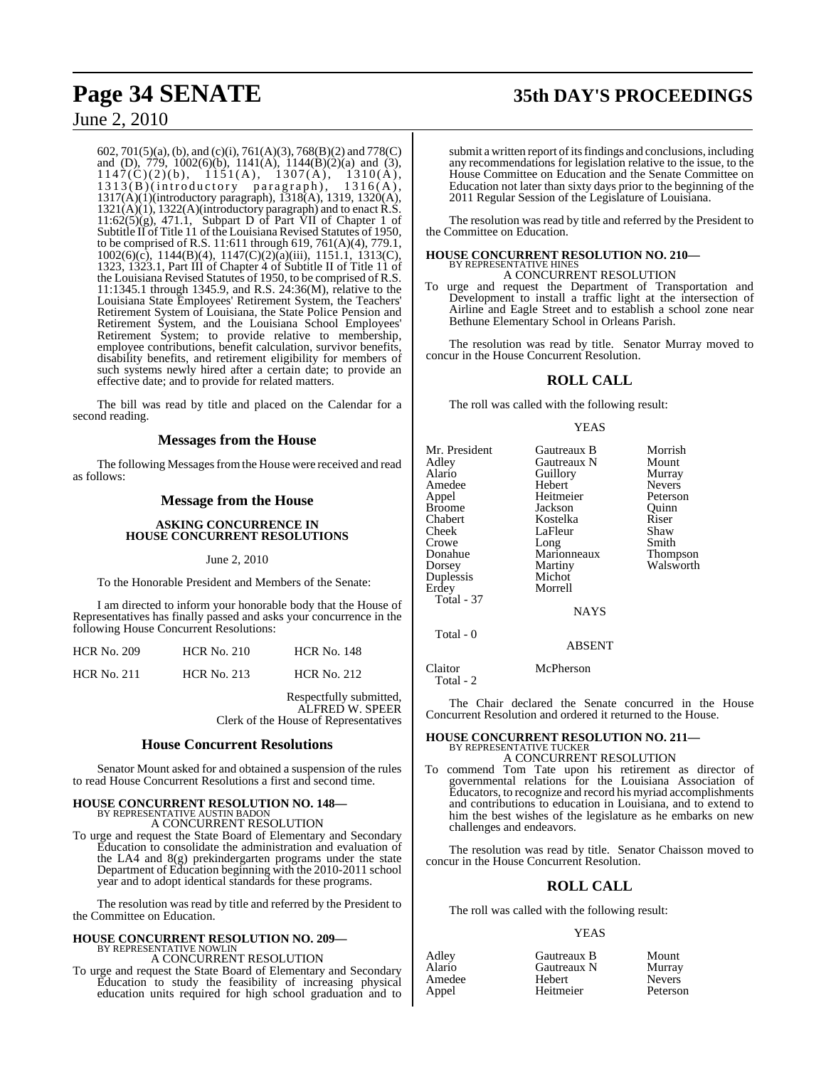## **Page 34 SENATE 35th DAY'S PROCEEDINGS**

### June 2, 2010

602, 701(5)(a), (b), and (c)(i), 761(A)(3), 768(B)(2) and 778(C) and (D), 779, 1002(6)(b), 1141(A), 1144(B)(2)(a) and (3),  $1147(C)(2)(b)$ ,  $1151(A)$ ,  $1307(A)$ ,  $1310(A)$ , 1313(B)(introductory paragraph), 1316(A), 1317(A)(1)(introductory paragraph), 1318(A), 1319, 1320(A), 1321(A)(1), 1322(A)(introductory paragraph) and to enact R.S.  $11:62(5)(g)$ , 471.1, Subpart D of Part VII of Chapter 1 of Subtitle II of Title 11 of the Louisiana Revised Statutes of 1950, to be comprised of R.S. 11:611 through 619, 761(A)(4), 779.1, 1002(6)(c), 1144(B)(4), 1147(C)(2)(a)(iii), 1151.1, 1313(C), 1323, 1323.1, Part III of Chapter 4 of Subtitle II of Title 11 of the Louisiana Revised Statutes of 1950, to be comprised of R.S. 11:1345.1 through 1345.9, and R.S. 24:36(M), relative to the Louisiana State Employees' Retirement System, the Teachers' Retirement System of Louisiana, the State Police Pension and Retirement System, and the Louisiana School Employees' Retirement System; to provide relative to membership, employee contributions, benefit calculation, survivor benefits, disability benefits, and retirement eligibility for members of such systems newly hired after a certain date; to provide an effective date; and to provide for related matters.

The bill was read by title and placed on the Calendar for a second reading.

#### **Messages from the House**

The following Messages from the House were received and read as follows:

#### **Message from the House**

#### **ASKING CONCURRENCE IN HOUSE CONCURRENT RESOLUTIONS**

#### June 2, 2010

To the Honorable President and Members of the Senate:

I am directed to inform your honorable body that the House of Representatives has finally passed and asks your concurrence in the following House Concurrent Resolutions:

| <b>HCR No. 209</b> | <b>HCR No. 210</b> | <b>HCR No. 148</b> |
|--------------------|--------------------|--------------------|
| <b>HCR No. 211</b> | <b>HCR No. 213</b> | <b>HCR No. 212</b> |

Respectfully submitted, ALFRED W. SPEER Clerk of the House of Representatives

#### **House Concurrent Resolutions**

Senator Mount asked for and obtained a suspension of the rules to read House Concurrent Resolutions a first and second time.

#### **HOUSE CONCURRENT RESOLUTION NO. 148—** BY REPRESENTATIVE AUSTIN BADON

A CONCURRENT RESOLUTION

To urge and request the State Board of Elementary and Secondary Education to consolidate the administration and evaluation of the LA4 and 8(g) prekindergarten programs under the state Department of Education beginning with the 2010-2011 school year and to adopt identical standards for these programs.

The resolution was read by title and referred by the President to the Committee on Education.

#### **HOUSE CONCURRENT RESOLUTION NO. 209—** BY REPRESENTATIVE NOWLIN A CONCURRENT RESOLUTION

To urge and request the State Board of Elementary and Secondary Education to study the feasibility of increasing physical education units required for high school graduation and to

submit a written report of its findings and conclusions, including any recommendations for legislation relative to the issue, to the House Committee on Education and the Senate Committee on Education not later than sixty days prior to the beginning of the 2011 Regular Session of the Legislature of Louisiana.

The resolution was read by title and referred by the President to the Committee on Education.

#### **HOUSE CONCURRENT RESOLUTION NO. 210—** BY REPRESENTATIVE HINES

### A CONCURRENT RESOLUTION

To urge and request the Department of Transportation and Development to install a traffic light at the intersection of Airline and Eagle Street and to establish a school zone near Bethune Elementary School in Orleans Parish.

The resolution was read by title. Senator Murray moved to concur in the House Concurrent Resolution.

### **ROLL CALL**

The roll was called with the following result:

#### YEAS

| Mr. President<br>Adley<br>Alario<br>Amedee<br>Appel<br>Broome<br>Chabert<br>Cheek<br>Crowe<br>Donahue<br>Dorsey<br>Duplessis<br>Erdey<br>Total - 37 | Gautreaux B<br>Gautreaux N<br>Guillory<br>Hebert<br>Heitmeier<br>Jackson<br>Kostelka<br>LaFleur<br>Long<br>Marionneaux<br>Martiny<br>Michot<br>Morrell<br><b>NAYS</b> | Morrish<br>Mount<br>Murray<br><b>Nevers</b><br>Peterson<br>Ouinn<br>Riser<br>Shaw<br>Smith<br><b>Thompson</b><br>Walsworth |
|-----------------------------------------------------------------------------------------------------------------------------------------------------|-----------------------------------------------------------------------------------------------------------------------------------------------------------------------|----------------------------------------------------------------------------------------------------------------------------|
| Total - 0                                                                                                                                           |                                                                                                                                                                       |                                                                                                                            |

ABSENT

Claitor McPherson Total - 2

The Chair declared the Senate concurred in the House Concurrent Resolution and ordered it returned to the House.

### **HOUSE CONCURRENT RESOLUTION NO. 211—** BY REPRESENTATIVE TUCKER A CONCURRENT RESOLUTION

To commend Tom Tate upon his retirement as director of governmental relations for the Louisiana Association of Educators, to recognize and record his myriad accomplishments and contributions to education in Louisiana, and to extend to him the best wishes of the legislature as he embarks on new challenges and endeavors.

The resolution was read by title. Senator Chaisson moved to concur in the House Concurrent Resolution.

### **ROLL CALL**

The roll was called with the following result:

#### YEAS

| Adley  | Gautreaux B | Mount         |
|--------|-------------|---------------|
| Alario | Gautreaux N | Murray        |
| Amedee | Hebert      | <b>Nevers</b> |
| Appel  | Heitmeier   | Peterson      |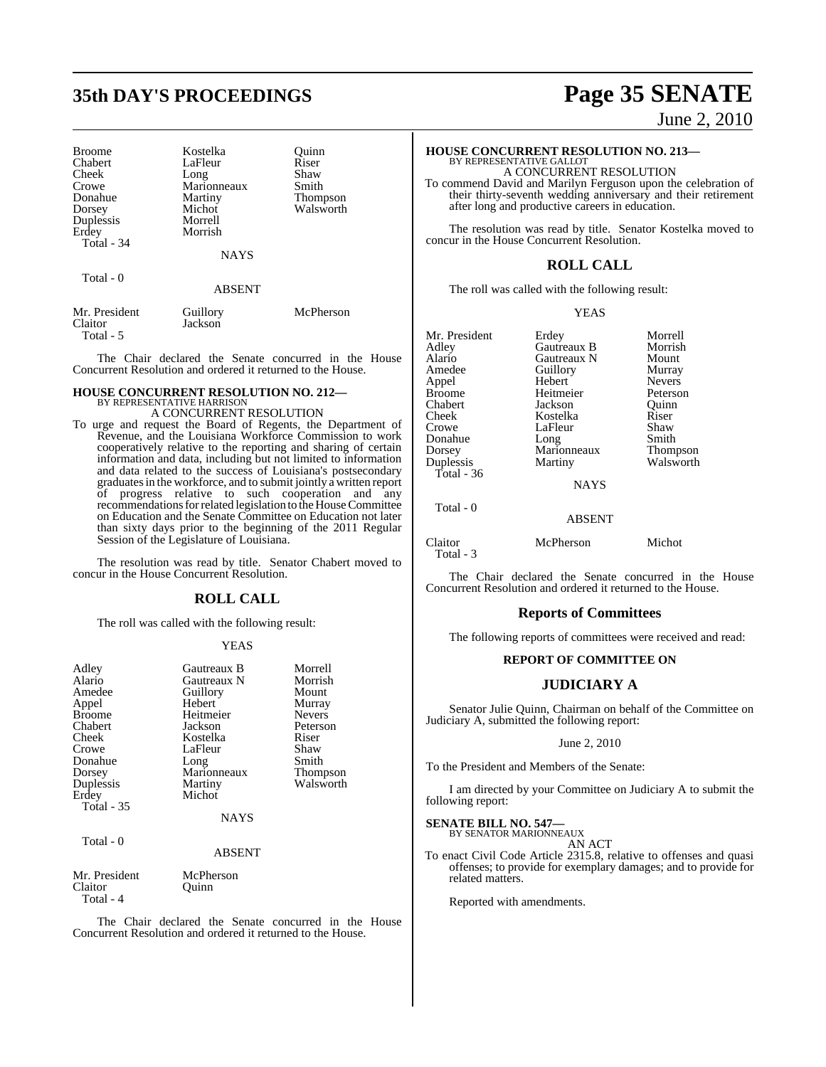## **35th DAY'S PROCEEDINGS Page 35 SENATE**

| <b>Broome</b> | Kostelka      | Ouinn     |
|---------------|---------------|-----------|
| Chabert       | LaFleur       | Riser     |
| Cheek         | Long          | Shaw      |
| Crowe         | Marionneaux   | Smith     |
| Donahue       | Martiny       | Thompson  |
| Dorsey        | Michot        | Walsworth |
| Duplessis     | Morrell       |           |
| Erdey         | Morrish       |           |
| Total - 34    |               |           |
|               | <b>NAYS</b>   |           |
| Total - 0     |               |           |
|               | <b>ABSENT</b> |           |
|               |               |           |

Mr. President Guillory McPherson<br>Claitor Jackson Jackson Total - 5

The Chair declared the Senate concurred in the House Concurrent Resolution and ordered it returned to the House.

#### **HOUSE CONCURRENT RESOLUTION NO. 212—** BY REPRESENTATIVE HARRISON

A CONCURRENT RESOLUTION

To urge and request the Board of Regents, the Department of Revenue, and the Louisiana Workforce Commission to work cooperatively relative to the reporting and sharing of certain information and data, including but not limited to information and data related to the success of Louisiana's postsecondary graduates in the workforce, and to submit jointly a written report of progress relative to such cooperation and any recommendations for related legislation to the House Committee on Education and the Senate Committee on Education not later than sixty days prior to the beginning of the 2011 Regular Session of the Legislature of Louisiana.

The resolution was read by title. Senator Chabert moved to concur in the House Concurrent Resolution.

### **ROLL CALL**

The roll was called with the following result:

#### YEAS

| Adley<br>Alario<br>Amedee<br>Appel<br><b>Broome</b><br>Chabert<br>Cheek<br>Crowe<br>Donahue<br>Dorsey<br>Duplessis<br>Erdey | Gautreaux B<br>Gautreaux N<br>Guillory<br>Hebert<br>Heitmeier<br>Jackson<br>Kostelka<br>LaFleur<br>Long<br>Marionneaux<br>Martiny<br>Michot | Morrell<br>Morrish<br>Mount<br>Murray<br><b>Nevers</b><br>Peterson<br>Riser<br>Shaw<br>Smith<br>Thompson<br>Walsworth |
|-----------------------------------------------------------------------------------------------------------------------------|---------------------------------------------------------------------------------------------------------------------------------------------|-----------------------------------------------------------------------------------------------------------------------|
| <b>Total - 35</b>                                                                                                           | <b>NAYS</b>                                                                                                                                 |                                                                                                                       |
| Total - 0                                                                                                                   | <b>ABSENT</b>                                                                                                                               |                                                                                                                       |
| Mr. President<br>Claitor                                                                                                    | McPherson<br>Ouinn                                                                                                                          |                                                                                                                       |

Total - 4

The Chair declared the Senate concurred in the House Concurrent Resolution and ordered it returned to the House.

June 2, 2010

### **HOUSE CONCURRENT RESOLUTION NO. 213—** BY REPRESENTATIVE GALLOT

A CONCURRENT RESOLUTION

To commend David and Marilyn Ferguson upon the celebration of their thirty-seventh wedding anniversary and their retirement after long and productive careers in education.

The resolution was read by title. Senator Kostelka moved to concur in the House Concurrent Resolution.

### **ROLL CALL**

The roll was called with the following result:

#### YEAS

Mr. President Erdey Morrell<br>Adley Gautreaux B Morrish Adley Gautreaux B Morrish Alario Gautreaux N Mount<br>Amedee Guillory Murray Appel Broome Heitmeier Peterson Chabert Jackson Quinn Cheek Kostelka Riser Donahue Long Smith<br>Dorsey Marionneaux Thompson Dorsey Marionneaux<br>
Duplessis Martiny Total - 36

Total - 0

Amedeu<br>
Amedeu<br>
Amedeu<br>
Amedeu<br>
Nevers LaFleur Shaw<br>Long Smith

Walsworth

NAYS

#### ABSENT

| Claitor   | McPherson | Michot |
|-----------|-----------|--------|
| Total - 3 |           |        |
|           |           |        |

The Chair declared the Senate concurred in the House Concurrent Resolution and ordered it returned to the House.

#### **Reports of Committees**

The following reports of committees were received and read:

#### **REPORT OF COMMITTEE ON**

#### **JUDICIARY A**

Senator Julie Quinn, Chairman on behalf of the Committee on Judiciary A, submitted the following report:

#### June 2, 2010

To the President and Members of the Senate:

I am directed by your Committee on Judiciary A to submit the following report:

### **SENATE BILL NO. 547—** BY SENATOR MARIONNEAUX

AN ACT

To enact Civil Code Article 2315.8, relative to offenses and quasi offenses; to provide for exemplary damages; and to provide for related matters.

Reported with amendments.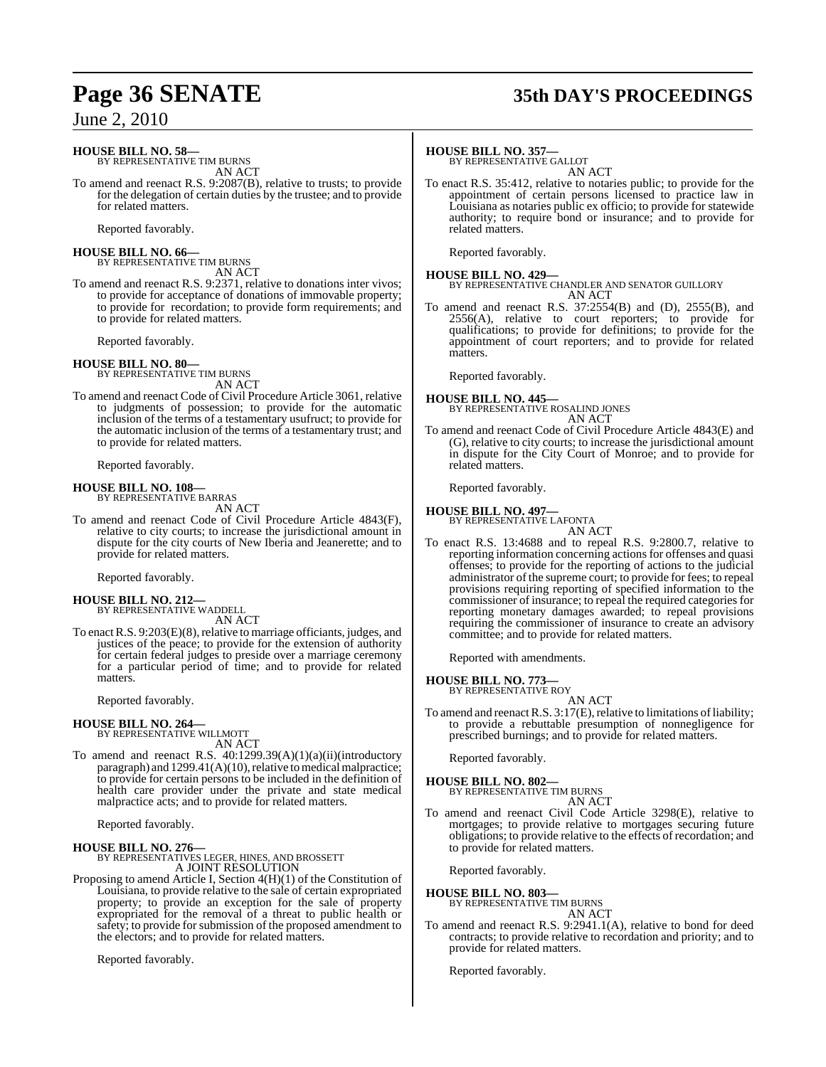### **HOUSE BILL NO. 58—**

BY REPRESENTATIVE TIM BURNS AN ACT

To amend and reenact R.S. 9:2087(B), relative to trusts; to provide for the delegation of certain duties by the trustee; and to provide for related matters.

Reported favorably.

#### **HOUSE BILL NO. 66—** BY REPRESENTATIVE TIM BURNS

AN ACT

To amend and reenact R.S. 9:2371, relative to donations inter vivos; to provide for acceptance of donations of immovable property; to provide for recordation; to provide form requirements; and to provide for related matters.

Reported favorably.

**HOUSE BILL NO. 80—** BY REPRESENTATIVE TIM BURNS AN ACT

To amend and reenact Code of Civil Procedure Article 3061, relative to judgments of possession; to provide for the automatic inclusion of the terms of a testamentary usufruct; to provide for the automatic inclusion of the terms of a testamentary trust; and to provide for related matters.

Reported favorably.

## **HOUSE BILL NO. 108—** BY REPRESENTATIVE BARRAS

AN ACT

To amend and reenact Code of Civil Procedure Article 4843(F), relative to city courts; to increase the jurisdictional amount in dispute for the city courts of New Iberia and Jeanerette; and to provide for related matters.

Reported favorably.

#### **HOUSE BILL NO. 212—**

BY REPRESENTATIVE WADDELL AN ACT

To enact R.S. 9:203(E)(8), relative to marriage officiants, judges, and justices of the peace; to provide for the extension of authority for certain federal judges to preside over a marriage ceremony for a particular period of time; and to provide for related matters.

Reported favorably.

## **HOUSE BILL NO. 264—** BY REPRESENTATIVE WILLMOTT

AN ACT

To amend and reenact R.S.  $40:1299.39(A)(1)(a)(ii)(introductory)$ paragraph) and 1299.41(A)(10), relative to medical malpractice; to provide for certain persons to be included in the definition of health care provider under the private and state medical malpractice acts; and to provide for related matters.

Reported favorably.

#### **HOUSE BILL NO. 276—**

BY REPRESENTATIVES LEGER, HINES, AND BROSSETT A JOINT RESOLUTION

Proposing to amend Article I, Section 4(H)(1) of the Constitution of Louisiana, to provide relative to the sale of certain expropriated property; to provide an exception for the sale of property expropriated for the removal of a threat to public health or safety; to provide for submission of the proposed amendment to the electors; and to provide for related matters.

Reported favorably.

## **Page 36 SENATE 35th DAY'S PROCEEDINGS**

#### **HOUSE BILL NO. 357—**

BY REPRESENTATIVE GALLOT AN ACT

To enact R.S. 35:412, relative to notaries public; to provide for the appointment of certain persons licensed to practice law in Louisiana as notaries public ex officio; to provide for statewide authority; to require bond or insurance; and to provide for related matters.

Reported favorably.

**HOUSE BILL NO. 429—** BY REPRESENTATIVE CHANDLER AND SENATOR GUILLORY AN ACT

To amend and reenact R.S. 37:2554(B) and (D), 2555(B), and  $2556(A)$ , relative to court reporters; to provide for qualifications; to provide for definitions; to provide for the appointment of court reporters; and to provide for related matters.

Reported favorably.

#### **HOUSE BILL NO. 445—** BY REPRESENTATIVE ROSALIND JONES AN ACT

To amend and reenact Code of Civil Procedure Article 4843(E) and (G), relative to city courts; to increase the jurisdictional amount in dispute for the City Court of Monroe; and to provide for related matters.

Reported favorably.

#### **HOUSE BILL NO. 497—** BY REPRESENTATIVE LAFONTA

AN ACT

To enact R.S. 13:4688 and to repeal R.S. 9:2800.7, relative to reporting information concerning actions for offenses and quasi offenses; to provide for the reporting of actions to the judicial administrator of the supreme court; to provide for fees; to repeal provisions requiring reporting of specified information to the commissioner of insurance; to repeal the required categories for reporting monetary damages awarded; to repeal provisions requiring the commissioner of insurance to create an advisory committee; and to provide for related matters.

Reported with amendments.

#### **HOUSE BILL NO. 773—** BY REPRESENTATIVE ROY

AN ACT

To amend and reenact R.S. 3:17(E), relative to limitations of liability; to provide a rebuttable presumption of nonnegligence for prescribed burnings; and to provide for related matters.

Reported favorably.

## **HOUSE BILL NO. 802—** BY REPRESENTATIVE TIM BURNS

AN ACT

To amend and reenact Civil Code Article 3298(E), relative to mortgages; to provide relative to mortgages securing future obligations; to provide relative to the effects of recordation; and to provide for related matters.

Reported favorably.

**HOUSE BILL NO. 803—**

BY REPRESENTATIVE TIM BURNS AN ACT

To amend and reenact R.S. 9:2941.1(A), relative to bond for deed contracts; to provide relative to recordation and priority; and to provide for related matters.

Reported favorably.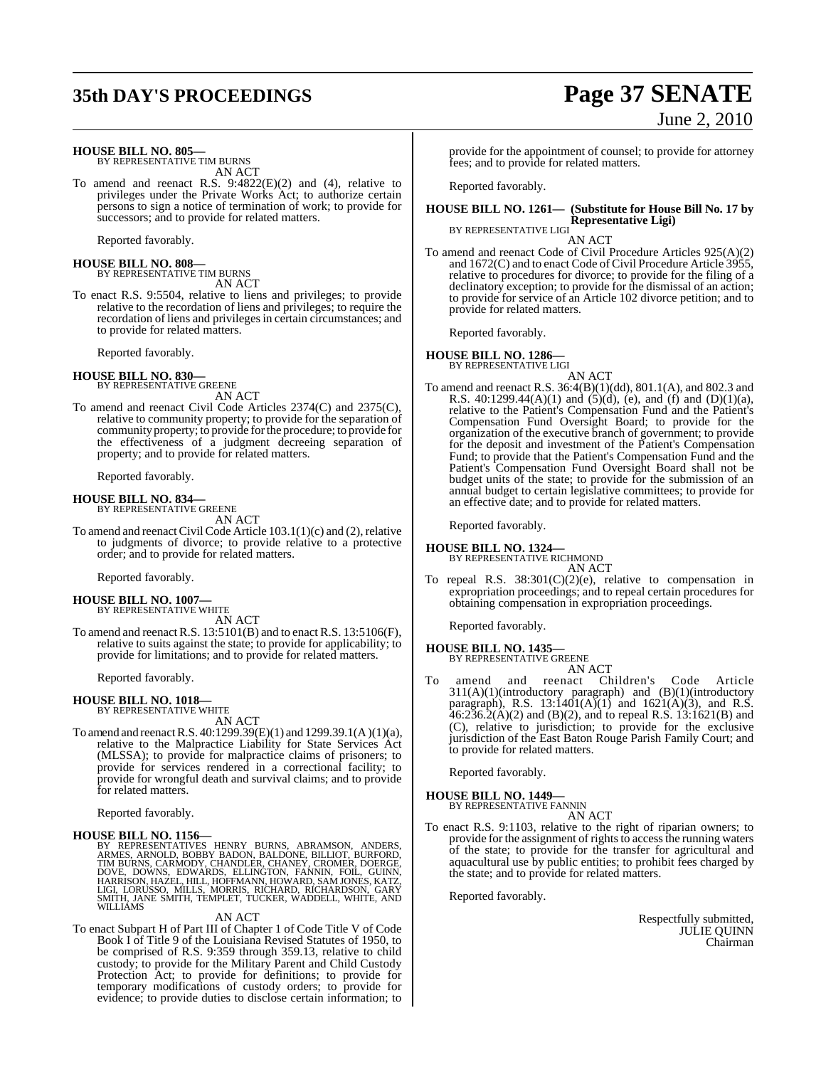## **35th DAY'S PROCEEDINGS Page 37 SENATE**

June 2, 2010

| <b>HOUSE BILL NO. 805-</b><br>BY REPRESENTATIVE TIM BURNS<br>AN ACT                                                                                                                                                                                                                                                         | provide for the appointment of c<br>fees; and to provide for related r                                                                                                                                            |
|-----------------------------------------------------------------------------------------------------------------------------------------------------------------------------------------------------------------------------------------------------------------------------------------------------------------------------|-------------------------------------------------------------------------------------------------------------------------------------------------------------------------------------------------------------------|
| To amend and reenact R.S. $9:4822(E)(2)$ and (4), relative to                                                                                                                                                                                                                                                               | Reported favorably.                                                                                                                                                                                               |
| privileges under the Private Works Act; to authorize certain<br>persons to sign a notice of termination of work; to provide for<br>successors; and to provide for related matters.                                                                                                                                          | HOUSE BILL NO. 1261- (Substi<br><b>Repres</b>                                                                                                                                                                     |
| Reported favorably.                                                                                                                                                                                                                                                                                                         | BY REPRESENTATIVE LIGI<br>AN AC                                                                                                                                                                                   |
| <b>HOUSE BILL NO. 808-</b><br>BY REPRESENTATIVE TIM BURNS<br>AN ACT                                                                                                                                                                                                                                                         | To amend and reenact Code of Civil<br>and $1672(C)$ and to enact Code o<br>relative to procedures for divorc<br>declinatory exception; to provide                                                                 |
| To enact R.S. 9:5504, relative to liens and privileges; to provide<br>relative to the recordation of liens and privileges; to require the<br>recordation of liens and privileges in certain circumstances; and                                                                                                              | to provide for service of an Artic<br>provide for related matters.                                                                                                                                                |
| to provide for related matters.                                                                                                                                                                                                                                                                                             | Reported favorably.                                                                                                                                                                                               |
| Reported favorably.                                                                                                                                                                                                                                                                                                         | <b>HOUSE BILL NO. 1286—</b><br>BY REPRESENTATIVE LIGI                                                                                                                                                             |
| <b>HOUSE BILL NO. 830-</b><br>BY REPRESENTATIVE GREENE                                                                                                                                                                                                                                                                      | AN AC<br>To amend and reenact R.S. $36:4(B)(1)$                                                                                                                                                                   |
| AN ACT<br>To amend and reenact Civil Code Articles 2374(C) and 2375(C),<br>relative to community property; to provide for the separation of<br>community property; to provide for the procedure; to provide for<br>the effectiveness of a judgment decreeing separation of<br>property; and to provide for related matters. | R.S. $40:1299.44(A)(1)$ and $(5)($<br>relative to the Patient's Comper<br>Compensation Fund Oversight<br>organization of the executive bra<br>for the deposit and investment<br>Fund; to provide that the Patient |
| Reported favorably.                                                                                                                                                                                                                                                                                                         | Patient's Compensation Fund (<br>budget units of the state; to pro                                                                                                                                                |
| <b>HOUSE BILL NO. 834-</b><br>BY REPRESENTATIVE GREENE                                                                                                                                                                                                                                                                      | annual budget to certain legislat<br>an effective date; and to provide                                                                                                                                            |
| AN ACT<br>To amend and reenact Civil Code Article $103.1(1)(c)$ and $(2)$ , relative                                                                                                                                                                                                                                        | Reported favorably.                                                                                                                                                                                               |
| to judgments of divorce; to provide relative to a protective<br>order; and to provide for related matters.                                                                                                                                                                                                                  | <b>HOUSE BILL NO. 1324—</b><br>BY REPRESENTATIVE RICHMOND<br>AN AC                                                                                                                                                |
| Reported favorably.                                                                                                                                                                                                                                                                                                         | To repeal R.S. $38:301(C)(2)(e)$ ,                                                                                                                                                                                |
| <b>HOUSE BILL NO. 1007-</b><br>BY REPRESENTATIVE WHITE                                                                                                                                                                                                                                                                      | expropriation proceedings; and t<br>obtaining compensation in expre                                                                                                                                               |
| AN ACT<br>To amend and reenact R.S. $13:5101(B)$ and to enact R.S. $13:5106(F)$ ,                                                                                                                                                                                                                                           | Reported favorably.                                                                                                                                                                                               |
| relative to suits against the state; to provide for applicability; to<br>provide for limitations; and to provide for related matters.                                                                                                                                                                                       | <b>HOUSE BILL NO. 1435—</b><br>BY REPRESENTATIVE GREENE<br>AN AC                                                                                                                                                  |
| Reported favorably.                                                                                                                                                                                                                                                                                                         | To<br>amend<br>and<br>reenact<br>C                                                                                                                                                                                |
| <b>HOUSE BILL NO. 1018-</b><br>BY REPRESENTATIVE WHITE<br>AN ACT                                                                                                                                                                                                                                                            | 311(A)(1)(introductory paragra<br>paragraph), R.S. 13:1401(A)(1<br>$46:236.2(A)(2)$ and $(B)(2)$ , and                                                                                                            |
| To amend and reenact R.S. $40:1299.39(E)(1)$ and $1299.39.1(A)(1)(a)$ ,<br>relative to the Malpractice Liability for State Services Act<br>(MLSSA); to provide for malpractice claims of prisoners; to                                                                                                                      | (C), relative to jurisdiction; t<br>jurisdiction of the East Baton Re<br>to provide for related matters.                                                                                                          |
| provide for services rendered in a correctional facility; to<br>provide for wrongful death and survival claims; and to provide                                                                                                                                                                                              | Reported favorably.                                                                                                                                                                                               |
| for related matters.                                                                                                                                                                                                                                                                                                        | <b>HOUSE BILL NO. 1449-</b><br>BY REPRESENTATIVE FANNIN                                                                                                                                                           |
| Reported favorably.                                                                                                                                                                                                                                                                                                         | AN AC<br>To enact R.S. 9:1103, relative to the                                                                                                                                                                    |
| <b>HOUSE BILL NO. 1156-</b><br>BY REPRESENTATIVES HENRY BURNS, ABRAMSON, ANDERS,<br>ARMES, ARNOLD, BOBBY BADON, BALDONE, BILLIOT, BURFORD,<br>TIM BURNS, CARMODY, CHANDLER, CHANEY, CROMER, DOERGE                                                                                                                          | provide for the assignment of rigi<br>of the state; to provide for the<br>aquacultural use by public entiti                                                                                                       |

ARMES, ARNOLD, BOBBY BADON, BALDONE, BILLIOT, BURFORD,<br>TIM BURNS, CARMODY, CHANDLER, CHANEY, CROMER, DOERGE,<br>DOVE, DOWNS, EDWARDS, ELLINGTON, FANNIN, FOIL, GUINN,<br>HARRISON, HAZEL, HILL, HOFFMANN, HOWARD, SAM JONES, KATZ,<br>L

#### AN ACT

To enact Subpart H of Part III of Chapter 1 of Code Title V of Code Book I of Title 9 of the Louisiana Revised Statutes of 1950, to be comprised of R.S. 9:359 through 359.13, relative to child custody; to provide for the Military Parent and Child Custody Protection Act; to provide for definitions; to provide for temporary modifications of custody orders; to provide for evidence; to provide duties to disclose certain information; to pintment of counsel; to provide for attorney for related matters.

#### $61$ — (Substitute for House Bill No. 17 by **Representative Ligi)**

E LIGI AN ACT

To a code of Civil Procedure Articles  $925(A)(2)$ enact Code of Civil Procedure Article 3955, res for divorce; to provide for the filing of a on; to provide for the dismissal of an action; ce of an Article 102 divorce petition; and to matters.

### **HOUSE BILL NO. 1286—**

BY LIGI AN ACT

S.  $36:4(B)(1)(dd)$ ,  $801.1(A)$ , and  $802.3$  and  $R(A)(1)$  and  $(S)(d)$ , (e), and (f) and (D)(1)(a), ent's Compensation Fund and the Patient's d Oversight Board; to provide for the executive branch of government; to provide investment of the Patient's Compensation Fund; to provide that the Patient's Compensation Fund and the Patient's Compensation Fund Oversight Board shall not be state; to provide for the submission of an ertain legislative committees; to provide for nd to provide for related matters.

 $T_1(C)(2)(e)$ , relative to compensation in edings; and to repeal certain procedures for ation in expropriation proceedings.

To amend and reenact Children's Code Article 311(A)(1)(introductory paragraph) and (B)(1)(introductory  $3:1401(A)(1)$  and  $1621(A)(3)$ , and R.S. 46:236.2(A)(2) and (B)(2), and to repeal R.S. 13:1621(B) and (C), relative to jurisdiction; to provide for the exclusive East Baton Rouge Parish Family Court; and ed matters.

### **HOUSE BILL NO. 1449—**

 $\widetilde{\mathbf{E}}$  FANNIN AN ACT

relative to the right of riparian owners; to gnment of rights to access the running waters ovide for the transfer for agricultural and aquacultural use by public entities; to prohibit fees charged by the state; and to provide for related matters.

Reported favorably.

Respectfully submitted, JULIE QUINN Chairman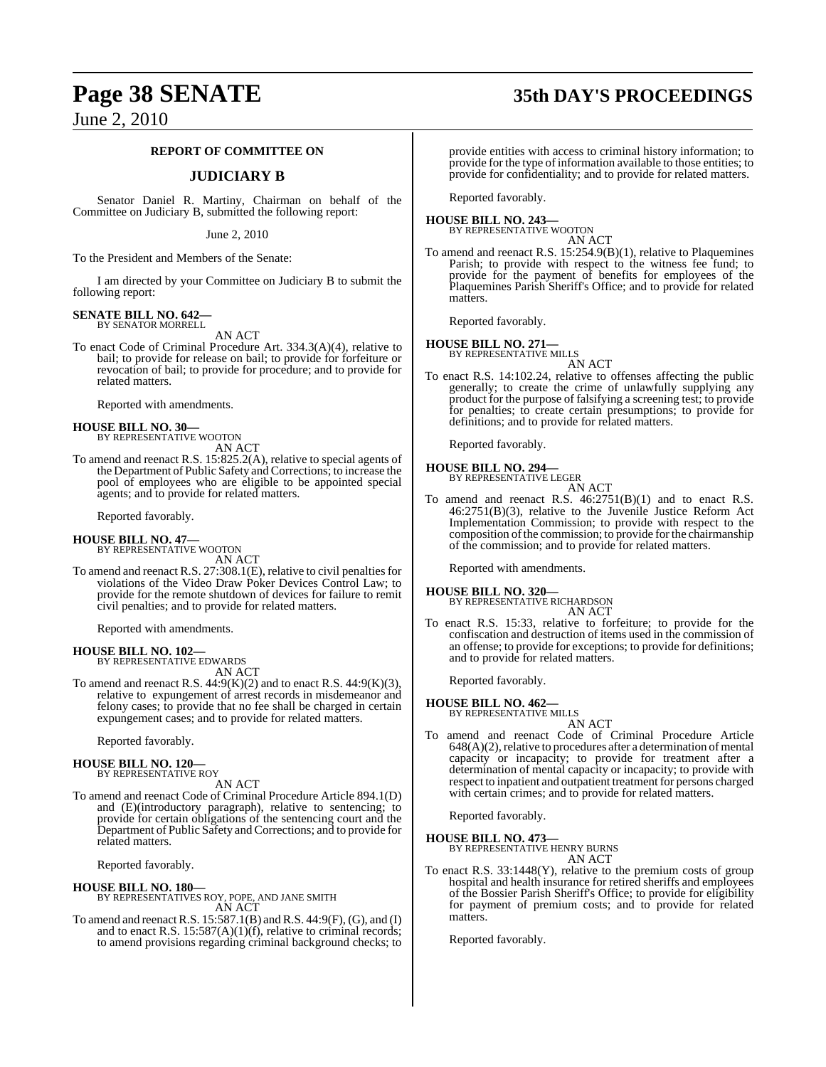#### **REPORT OF COMMITTEE ON**

### **JUDICIARY B**

Senator Daniel R. Martiny, Chairman on behalf of the Committee on Judiciary B, submitted the following report:

June 2, 2010

To the President and Members of the Senate:

I am directed by your Committee on Judiciary B to submit the following report:

#### **SENATE BILL NO. 642—** BY SENATOR MORRELL

AN ACT

To enact Code of Criminal Procedure Art. 334.3(A)(4), relative to bail; to provide for release on bail; to provide for forfeiture or revocation of bail; to provide for procedure; and to provide for related matters.

Reported with amendments.

### **HOUSE BILL NO. 30—** BY REPRESENTATIVE WOOTON

AN ACT

To amend and reenact R.S. 15:825.2(A), relative to special agents of the Department of Public Safety and Corrections; to increase the pool of employees who are eligible to be appointed special agents; and to provide for related matters.

Reported favorably.

### **HOUSE BILL NO. 47—** BY REPRESENTATIVE WOOTON

AN ACT

To amend and reenact R.S.  $27:308.1(E)$ , relative to civil penalties for violations of the Video Draw Poker Devices Control Law; to provide for the remote shutdown of devices for failure to remit civil penalties; and to provide for related matters.

Reported with amendments.

#### **HOUSE BILL NO. 102—**

BY REPRESENTATIVE EDWARDS AN ACT

To amend and reenact R.S.  $44.9(K)(2)$  and to enact R.S.  $44.9(K)(3)$ , relative to expungement of arrest records in misdemeanor and felony cases; to provide that no fee shall be charged in certain expungement cases; and to provide for related matters.

Reported favorably.

#### **HOUSE BILL NO. 120—**

BY REPRESENTATIVE ROY AN ACT

To amend and reenact Code of Criminal Procedure Article 894.1(D) and (E)(introductory paragraph), relative to sentencing; to provide for certain obligations of the sentencing court and the Department of Public Safety and Corrections; and to provide for related matters.

Reported favorably.

**HOUSE BILL NO. 180—** BY REPRESENTATIVES ROY, POPE, AND JANE SMITH AN ACT

To amend and reenactR.S. 15:587.1(B) andR.S. 44:9(F), (G), and (I) and to enact R.S. 15:587(A)(1)(f), relative to criminal records; to amend provisions regarding criminal background checks; to provide entities with access to criminal history information; to

provide for the type of information available to those entities; to provide for confidentiality; and to provide for related matters.

Reported favorably.

#### **HOUSE BILL NO. 243—** BY REPRESENTATIVE WOOTON

AN ACT

To amend and reenact R.S. 15:254.9(B)(1), relative to Plaquemines Parish; to provide with respect to the witness fee fund; to provide for the payment of benefits for employees of the Plaquemines Parish Sheriff's Office; and to provide for related matters.

Reported favorably.

#### **HOUSE BILL NO. 271** BY REPRESENTATIVE MILLS

AN ACT

To enact R.S. 14:102.24, relative to offenses affecting the public generally; to create the crime of unlawfully supplying any product for the purpose of falsifying a screening test; to provide for penalties; to create certain presumptions; to provide for definitions; and to provide for related matters.

Reported favorably.

### **HOUSE BILL NO. 294—**

BY REPRESENTATIVE LEGER AN ACT

To amend and reenact R.S. 46:2751(B)(1) and to enact R.S. 46:2751(B)(3), relative to the Juvenile Justice Reform Act Implementation Commission; to provide with respect to the composition ofthe commission; to provide for the chairmanship of the commission; and to provide for related matters.

Reported with amendments.

### **HOUSE BILL NO. 320—** BY REPRESENTATIVE RICHARDSON

AN ACT

To enact R.S. 15:33, relative to forfeiture; to provide for the confiscation and destruction of items used in the commission of an offense; to provide for exceptions; to provide for definitions; and to provide for related matters.

Reported favorably.

#### **HOUSE BILL NO. 462—**

BY REPRESENTATIVE MILLS AN ACT

To amend and reenact Code of Criminal Procedure Article  $648(A)(2)$ , relative to procedures after a determination of mental capacity or incapacity; to provide for treatment after a determination of mental capacity or incapacity; to provide with respect to inpatient and outpatient treatment for persons charged with certain crimes; and to provide for related matters.

Reported favorably.

**HOUSE BILL NO. 473—**

BY REPRESENTATIVE HENRY BURNS

AN ACT

To enact R.S. 33:1448(Y), relative to the premium costs of group hospital and health insurance for retired sheriffs and employees of the Bossier Parish Sheriff's Office; to provide for eligibility for payment of premium costs; and to provide for related matters.

Reported favorably.

**Page 38 SENATE 35th DAY'S PROCEEDINGS**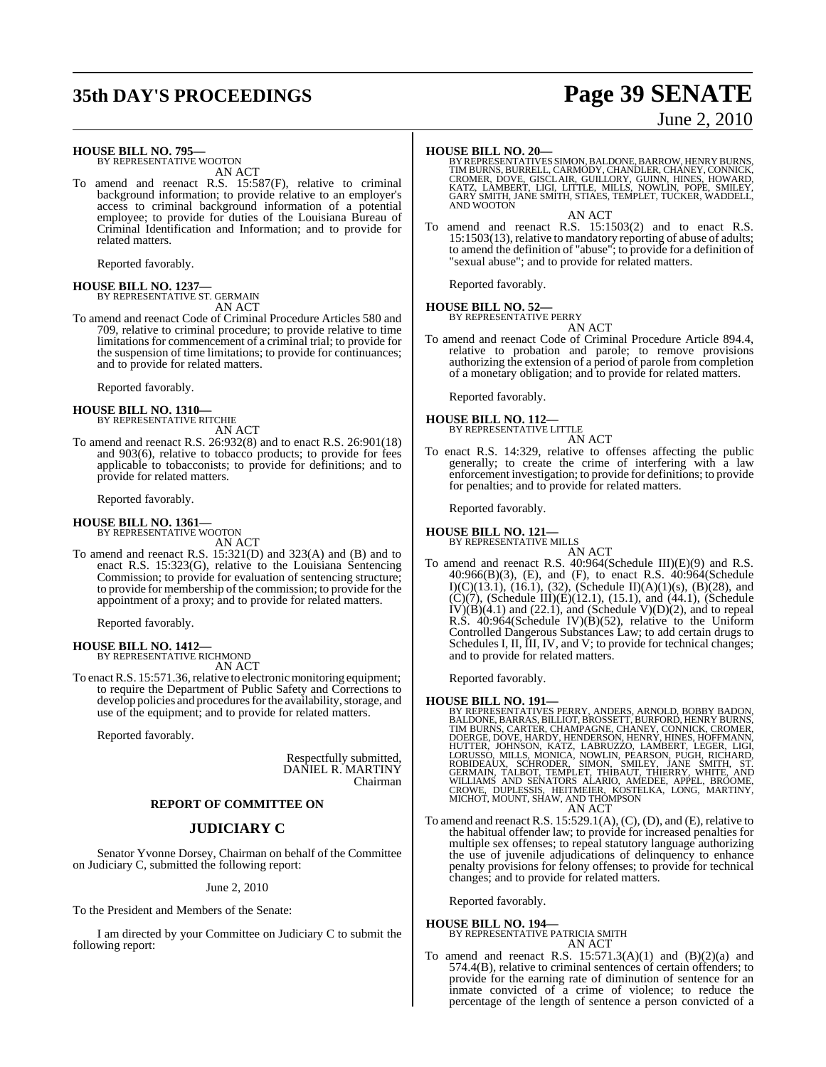## **35th DAY'S PROCEEDINGS Page 39 SENATE**

### June 2, 2010

**HOUSE BILL NO. 795—**

BY REPRESENTATIVE WOOTON AN ACT

To amend and reenact R.S. 15:587(F), relative to criminal background information; to provide relative to an employer's access to criminal background information of a potential employee; to provide for duties of the Louisiana Bureau of Criminal Identification and Information; and to provide for related matters.

Reported favorably.

#### **HOUSE BILL NO. 1237—** BY REPRESENTATIVE ST. GERMAIN AN ACT

To amend and reenact Code of Criminal Procedure Articles 580 and 709, relative to criminal procedure; to provide relative to time limitations for commencement of a criminal trial; to provide for the suspension of time limitations; to provide for continuances; and to provide for related matters.

Reported favorably.

### **HOUSE BILL NO. 1310—** BY REPRESENTATIVE RITCHIE

AN ACT

To amend and reenact R.S. 26:932(8) and to enact R.S. 26:901(18) and 903(6), relative to tobacco products; to provide for fees applicable to tobacconists; to provide for definitions; and to provide for related matters.

Reported favorably.

#### **HOUSE BILL NO. 1361—**

BY REPRESENTATIVE WOOTON AN ACT

To amend and reenact R.S. 15:321(D) and 323(A) and (B) and to enact R.S. 15:323(G), relative to the Louisiana Sentencing Commission; to provide for evaluation of sentencing structure; to provide for membership of the commission; to provide for the appointment of a proxy; and to provide for related matters.

Reported favorably.

## **HOUSE BILL NO. 1412—** BY REPRESENTATIVE RICHMOND

AN ACT

To enact R.S. 15:571.36, relative to electronic monitoring equipment; to require the Department of Public Safety and Corrections to develop policies and procedures for the availability, storage, and use of the equipment; and to provide for related matters.

Reported favorably.

Respectfully submitted, DANIEL R. MARTINY Chairman

#### **REPORT OF COMMITTEE ON**

#### **JUDICIARY C**

Senator Yvonne Dorsey, Chairman on behalf of the Committee on Judiciary C, submitted the following report:

#### June 2, 2010

To the President and Members of the Senate:

I am directed by your Committee on Judiciary C to submit the following report:

**HOUSE BILL NO. 20—**<br>BY REPRESENTATIVES SIMON, BALDONE, BARROW, HENRY BURNS, TIM BURNS, BURRELL, CARMODY, CHANDLER, CHANEY, CONNICK,<br>CROMER, DOVE, GISCLAIR, GUILLORY, GUINN, HINES, HOWARD,<br>KATZ, LAMBERT, LIGI, LITTLE, MILL AND WOOTON

AN ACT

To amend and reenact R.S. 15:1503(2) and to enact R.S. 15:1503(13), relative to mandatory reporting of abuse of adults; to amend the definition of "abuse"; to provide for a definition of "sexual abuse"; and to provide for related matters.

Reported favorably.

## **HOUSE BILL NO. 52—** BY REPRESENTATIVE PERRY

AN ACT

To amend and reenact Code of Criminal Procedure Article 894.4, relative to probation and parole; to remove provisions authorizing the extension of a period of parole from completion of a monetary obligation; and to provide for related matters.

Reported favorably.

**HOUSE BILL NO. 112—** BY REPRESENTATIVE LITTLE

- AN ACT
- To enact R.S. 14:329, relative to offenses affecting the public generally; to create the crime of interfering with a law enforcement investigation; to provide for definitions; to provide for penalties; and to provide for related matters.

Reported favorably.

## **HOUSE BILL NO. 121—** BY REPRESENTATIVE MILLS

AN ACT

To amend and reenact R.S. 40:964(Schedule III)(E)(9) and R.S. 40:966(B)(3), (E), and (F), to enact R.S. 40:964(Schedule I)(C)(13.1), (16.1), (32), (Schedule II)(A)(1)(s), (B)(28), and  $(C)(7)$ , (Schedule III) $(E)(12.1)$ , (15.1), and (44.1), (Schedule  $IV(B)(4.1)$  and  $(22.1)$ , and  $(Schedule V)(D)(2)$ , and to repeal R.S. 40:964(Schedule IV)(B)(52), relative to the Uniform Controlled Dangerous Substances Law; to add certain drugs to Schedules I, II, III, IV, and V; to provide for technical changes; and to provide for related matters.

Reported favorably.

### **HOUSE BILL NO. 191—**

BY REPRESENTATIVES PERRY, ANDERS, ARNOLD, BOBBY BADON,<br>BALDONE, BARRAS, BILLIOT, BROSSETT, BURFORD, HENRY BURNS,<br>TIM BURNS, CARTER, CHAMPAGNE, CHANEY, CONNICK, CROMER,<br>DOERGE, DOVE, HARDY, HENDERSON, HENRY, HINES, HOFFMANN HUTTER, JOHNSON, KATZ, LABRUZZO, LAMBERT, LEGER, LIGI,<br>LORUSSO, MILLS, MONICA, NOWLIN, PEARSON, PUGH, RICHARD,<br>ROBIDEAUX, SCHRODER, SIMON, SMILEY, JANE SMITH, ST.<br>GERMAIN, TALBOT, TEMPLET, THIBAUT, THIERRY, WHITE, AND<br>WILL AN ACT

To amend and reenact R.S. 15:529.1(A), (C), (D), and (E), relative to the habitual offender law; to provide for increased penalties for multiple sex offenses; to repeal statutory language authorizing the use of juvenile adjudications of delinquency to enhance penalty provisions for felony offenses; to provide for technical changes; and to provide for related matters.

Reported favorably.

#### **HOUSE BILL NO. 194—** BY REPRESENTATIVE PATRICIA SMITH

AN ACT

To amend and reenact R.S.  $15:571.3(A)(1)$  and  $(B)(2)(a)$  and 574.4(B), relative to criminal sentences of certain offenders; to provide for the earning rate of diminution of sentence for an inmate convicted of a crime of violence; to reduce the percentage of the length of sentence a person convicted of a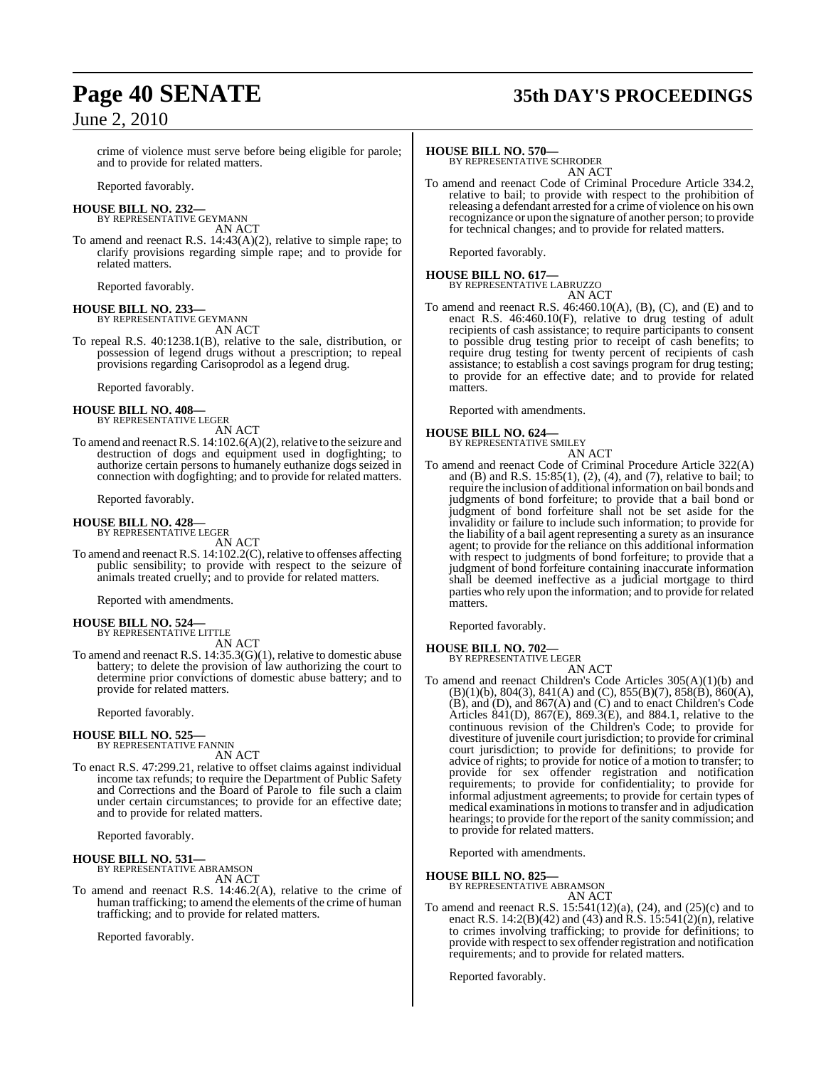## **Page 40 SENATE 35th DAY'S PROCEEDINGS**

crime of violence must serve before being eligible for parole; and to provide for related matters.

Reported favorably.

#### **HOUSE BILL NO. 232—** BY REPRESENTATIVE GEYMANN

AN ACT

To amend and reenact R.S. 14:43(A)(2), relative to simple rape; to clarify provisions regarding simple rape; and to provide for related matters.

Reported favorably.

#### **HOUSE BILL NO. 233—** BY REPRESENTATIVE GEYMANN

AN ACT To repeal R.S. 40:1238.1(B), relative to the sale, distribution, or possession of legend drugs without a prescription; to repeal provisions regarding Carisoprodol as a legend drug.

Reported favorably.

### **HOUSE BILL NO. 408—** BY REPRESENTATIVE LEGER

AN ACT

To amend and reenact R.S. 14:102.6(A)(2), relative to the seizure and destruction of dogs and equipment used in dogfighting; to authorize certain persons to humanely euthanize dogs seized in connection with dogfighting; and to provide for related matters.

Reported favorably.

#### **HOUSE BILL NO. 428—** BY REPRESENTATIVE LEGER

AN ACT

To amend and reenact R.S. 14:102.2(C), relative to offenses affecting public sensibility; to provide with respect to the seizure of animals treated cruelly; and to provide for related matters.

Reported with amendments.

#### **HOUSE BILL NO. 524—** BY REPRESENTATIVE LITTLE

AN ACT

To amend and reenact R.S. 14:35.3(G)(1), relative to domestic abuse battery; to delete the provision of law authorizing the court to determine prior convictions of domestic abuse battery; and to provide for related matters.

Reported favorably.

#### **HOUSE BILL NO. 525—**

BY REPRESENTATIVE FANNIN AN ACT

To enact R.S. 47:299.21, relative to offset claims against individual income tax refunds; to require the Department of Public Safety and Corrections and the Board of Parole to file such a claim under certain circumstances; to provide for an effective date; and to provide for related matters.

Reported favorably.

## **HOUSE BILL NO. 531—** BY REPRESENTATIVE ABRAMSON

AN ACT

To amend and reenact R.S. 14:46.2(A), relative to the crime of human trafficking; to amend the elements of the crime of human trafficking; and to provide for related matters.

Reported favorably.

### **HOUSE BILL NO. 570—**

BY REPRESENTATIVE SCHRODER AN ACT

To amend and reenact Code of Criminal Procedure Article 334.2, relative to bail; to provide with respect to the prohibition of releasing a defendant arrested for a crime of violence on his own recognizance or upon the signature of another person; to provide for technical changes; and to provide for related matters.

Reported favorably.

## **HOUSE BILL NO. 617—** BY REPRESENTATIVE LABRUZZO

AN ACT

To amend and reenact R.S. 46:460.10(A), (B), (C), and (E) and to enact R.S. 46:460.10(F), relative to drug testing of adult recipients of cash assistance; to require participants to consent to possible drug testing prior to receipt of cash benefits; to require drug testing for twenty percent of recipients of cash assistance; to establish a cost savings program for drug testing; to provide for an effective date; and to provide for related matters.

Reported with amendments.

#### **HOUSE BILL NO. 624—**

BY REPRESENTATIVE SMILEY AN ACT

To amend and reenact Code of Criminal Procedure Article 322(A) and (B) and R.S. 15:85(1), (2), (4), and (7), relative to bail; to require the inclusion of additional information on bail bonds and judgments of bond forfeiture; to provide that a bail bond or judgment of bond forfeiture shall not be set aside for the invalidity or failure to include such information; to provide for the liability of a bail agent representing a surety as an insurance agent; to provide for the reliance on this additional information with respect to judgments of bond forfeiture; to provide that a judgment of bond forfeiture containing inaccurate information shall be deemed ineffective as a judicial mortgage to third parties who rely upon the information; and to provide for related matters.

Reported favorably.

#### **HOUSE BILL NO. 702—** BY REPRESENTATIVE LEGER

AN ACT

To amend and reenact Children's Code Articles 305(A)(1)(b) and (B)(1)(b), 804(3), 841(A) and (C), 855(B)(7), 858(B), 860(A), (B), and (D), and 867(A) and (C) and to enact Children's Code Articles 841(D), 867(E), 869.3(E), and 884.1, relative to the continuous revision of the Children's Code; to provide for divestiture of juvenile court jurisdiction; to provide for criminal court jurisdiction; to provide for definitions; to provide for advice of rights; to provide for notice of a motion to transfer; to provide for sex offender registration and notification requirements; to provide for confidentiality; to provide for informal adjustment agreements; to provide for certain types of medical examinationsin motionsto transfer and in adjudication hearings; to provide for the report of the sanity commission; and to provide for related matters.

Reported with amendments.

**HOUSE BILL NO. 825—** BY REPRESENTATIVE ABRAMSON AN ACT

To amend and reenact R.S. 15:541(12)(a), (24), and (25)(c) and to enact R.S. 14:2(B)(42) and (43) and R.S. 15:541(2)(n), relative to crimes involving trafficking; to provide for definitions; to provide with respect to sex offender registration and notification requirements; and to provide for related matters.

Reported favorably.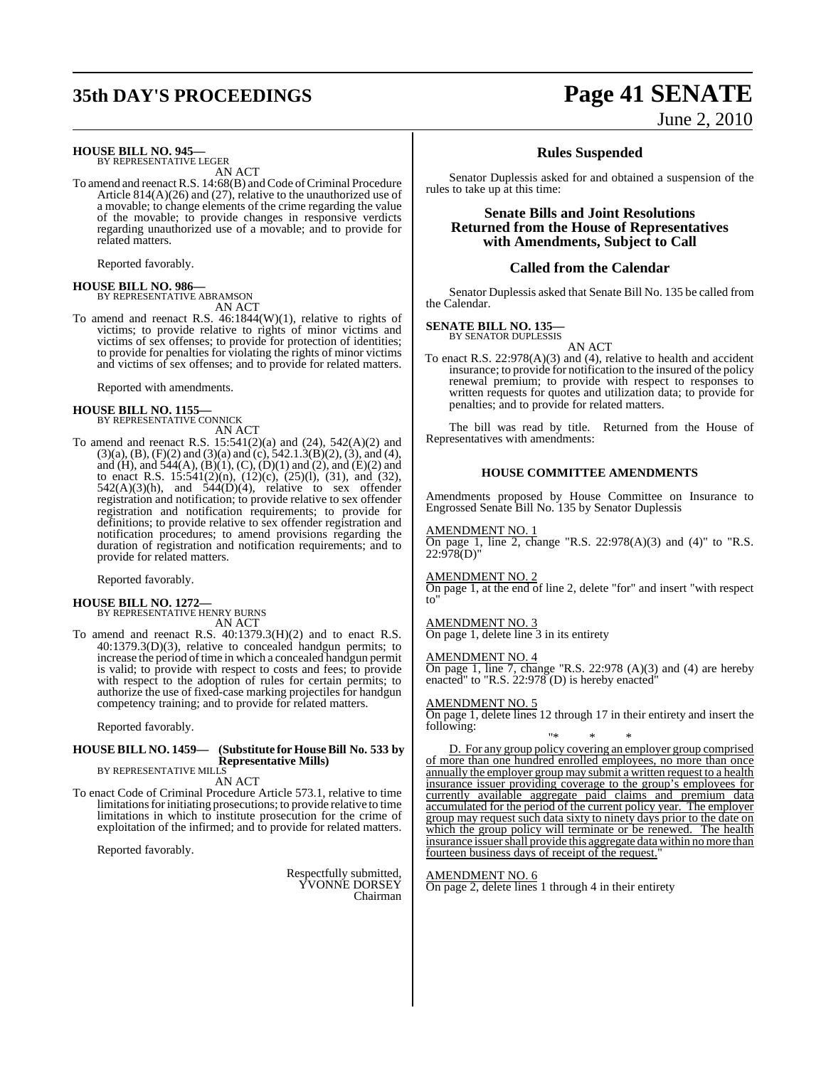## **35th DAY'S PROCEEDINGS Page 41 SENATE**

### **HOUSE BILL NO. 945—** BY REPRESENTATIVE LEGER

AN ACT

To amend and reenact R.S. 14:68(B) and Code of Criminal Procedure Article 814(A)(26) and (27), relative to the unauthorized use of a movable; to change elements of the crime regarding the value of the movable; to provide changes in responsive verdicts regarding unauthorized use of a movable; and to provide for related matters.

Reported favorably.

**HOUSE BILL NO. 986—** BY REPRESENTATIVE ABRAMSON

AN ACT

To amend and reenact R.S. 46:1844(W)(1), relative to rights of victims; to provide relative to rights of minor victims and victims of sex offenses; to provide for protection of identities; to provide for penalties for violating the rights of minor victims and victims of sex offenses; and to provide for related matters.

Reported with amendments.

## **HOUSE BILL NO. 1155—** BY REPRESENTATIVE CONNICK

AN ACT

To amend and reenact R.S. 15:541(2)(a) and (24), 542(A)(2) and  $(3)(a)$ ,  $(B)$ ,  $(F)(2)$  and  $(3)(a)$  and  $(c)$ ,  $542.1.3(B)(2)$ ,  $(3)$ , and  $(4)$ , and (H), and  $544(A)$ ,  $(B)(1)$ ,  $(C)$ ,  $(D)(1)$  and  $(2)$ , and  $(E)(2)$  and to enact R.S. 15:541(2)(n), (12)(c), (25)(l), (31), and (32),  $542(A)(3)(h)$ , and  $544(D)(4)$ , relative to sex offender registration and notification; to provide relative to sex offender registration and notification requirements; to provide for definitions; to provide relative to sex offender registration and notification procedures; to amend provisions regarding the duration of registration and notification requirements; and to provide for related matters.

Reported favorably.

### **HOUSE BILL NO. 1272—** BY REPRESENTATIVE HENRY BURNS

AN ACT

To amend and reenact R.S. 40:1379.3(H)(2) and to enact R.S. 40:1379.3(D)(3), relative to concealed handgun permits; to increase the period of time in which a concealed handgun permit is valid; to provide with respect to costs and fees; to provide with respect to the adoption of rules for certain permits; to authorize the use of fixed-case marking projectiles for handgun competency training; and to provide for related matters.

Reported favorably.

#### **HOUSE BILL NO. 1459— (Substitute for HouseBill No. 533 by Representative Mills)** BY REPRESENTATIVE MILLS

AN ACT

To enact Code of Criminal Procedure Article 573.1, relative to time limitations for initiating prosecutions; to provide relative to time limitations in which to institute prosecution for the crime of exploitation of the infirmed; and to provide for related matters.

Reported favorably.

Respectfully submitted, YVONNE DORSEY Chairman

# June 2, 2010

### **Rules Suspended**

Senator Duplessis asked for and obtained a suspension of the rules to take up at this time:

### **Senate Bills and Joint Resolutions Returned from the House of Representatives with Amendments, Subject to Call**

#### **Called from the Calendar**

Senator Duplessis asked that Senate Bill No. 135 be called from the Calendar.

#### **SENATE BILL NO. 135—**

BY SENATOR DUPLESSIS

AN ACT To enact R.S. 22:978(A)(3) and (4), relative to health and accident insurance; to provide for notification to the insured of the policy renewal premium; to provide with respect to responses to written requests for quotes and utilization data; to provide for penalties; and to provide for related matters.

The bill was read by title. Returned from the House of Representatives with amendments:

#### **HOUSE COMMITTEE AMENDMENTS**

Amendments proposed by House Committee on Insurance to Engrossed Senate Bill No. 135 by Senator Duplessis

#### AMENDMENT NO. 1

On page 1, line 2, change "R.S. 22:978(A)(3) and (4)" to "R.S. 22:978(D)"

#### AMENDMENT NO. 2

On page 1, at the end of line 2, delete "for" and insert "with respect to"

#### AMENDMENT NO. 3

On page 1, delete line 3 in its entirety

#### AMENDMENT NO. 4

On page 1, line 7, change "R.S. 22:978 (A)(3) and (4) are hereby enacted" to "R.S. 22:978 (D) is hereby enacted"

#### AMENDMENT NO. 5

On page 1, delete lines 12 through 17 in their entirety and insert the following:

"\* \* \* D. For any group policy covering an employer group comprised of more than one hundred enrolled employees, no more than once annually the employer group may submit a written request to a health insurance issuer providing coverage to the group's employees for currently available aggregate paid claims and premium data accumulated for the period of the current policy year. The employer group may request such data sixty to ninety days prior to the date on which the group policy will terminate or be renewed. The health insurance issuer shall provide this aggregate data within no more than fourteen business days of receipt of the request."

#### AMENDMENT NO. 6

On page 2, delete lines 1 through 4 in their entirety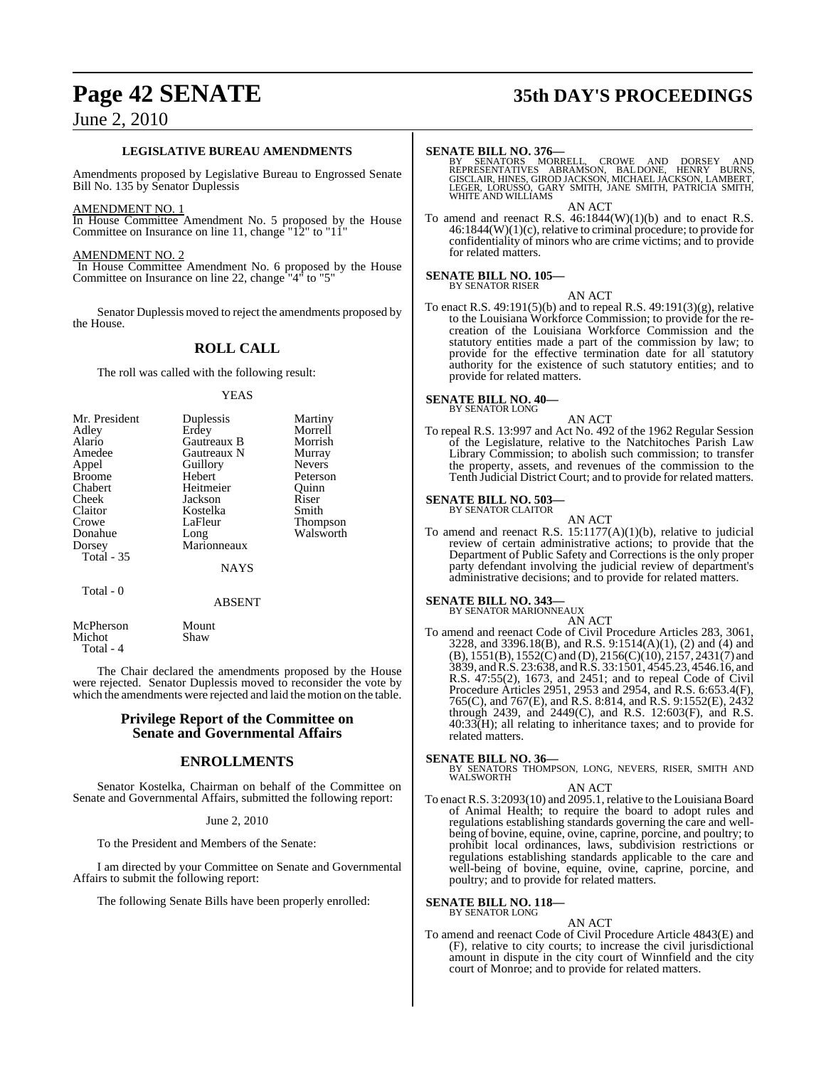#### **LEGISLATIVE BUREAU AMENDMENTS**

Amendments proposed by Legislative Bureau to Engrossed Senate Bill No. 135 by Senator Duplessis

#### AMENDMENT NO. 1

In House Committee Amendment No. 5 proposed by the House Committee on Insurance on line 11, change "12" to "11"

#### AMENDMENT NO. 2

In House Committee Amendment No. 6 proposed by the House Committee on Insurance on line 22, change "4" to "5"

Senator Duplessis moved to reject the amendments proposed by the House.

### **ROLL CALL**

The roll was called with the following result:

#### YEAS

| Mr. President     | Duplessis   | Martiny         |
|-------------------|-------------|-----------------|
| Adley             | Erdey       | Morrell         |
| Alario            | Gautreaux B | Morrish         |
| Amedee            | Gautreaux N | Murray          |
| Appel             | Guillory    | <b>Nevers</b>   |
| <b>Broome</b>     | Hebert      | Peterson        |
| Chabert           | Heitmeier   | Ouinn           |
| Cheek             | Jackson     | Riser           |
| Claitor           | Kostelka    | Smith           |
| Crowe             | LaFleur     | <b>Thompson</b> |
| Donahue           | Long        | Walsworth       |
| Dorsey            | Marionneaux |                 |
| <b>Total - 35</b> |             |                 |
|                   | NAYS        |                 |

Total - 0

McPherson Mount<br>Michot Shaw

Michot Total - 4

The Chair declared the amendments proposed by the House were rejected. Senator Duplessis moved to reconsider the vote by which the amendments were rejected and laid the motion on the table.

ABSENT

### **Privilege Report of the Committee on Senate and Governmental Affairs**

#### **ENROLLMENTS**

Senator Kostelka, Chairman on behalf of the Committee on Senate and Governmental Affairs, submitted the following report:

#### June 2, 2010

To the President and Members of the Senate:

I am directed by your Committee on Senate and Governmental Affairs to submit the following report:

The following Senate Bills have been properly enrolled:

## **Page 42 SENATE 35th DAY'S PROCEEDINGS**

#### **SENATE BILL NO. 376—**

BY SENATORS MORRELL, CROWE AND DORSEY AND<br>REPRESENTATIVES ABRAMSON, BALDONE, HENRY BURNS,<br>GISCLAIR,HINES,GIRODJACKSON,MICHAELJACKSON,LAMBERT, LEGER, LORUSSO, GARY SMITH, JANE SMITH, PATRICIA SMITH, WHITE AND WILLIAMS AN ACT

To amend and reenact R.S.  $46:1844(W)(1)(b)$  and to enact R.S. 46:1844(W)(1)(c), relative to criminal procedure; to provide for confidentiality of minors who are crime victims; and to provide for related matters.

#### **SENATE BILL NO. 105—** BY SENATOR RISER

AN ACT

To enact R.S. 49:191(5)(b) and to repeal R.S. 49:191(3)(g), relative to the Louisiana Workforce Commission; to provide for the recreation of the Louisiana Workforce Commission and the statutory entities made a part of the commission by law; to provide for the effective termination date for all statutory authority for the existence of such statutory entities; and to provide for related matters.

#### **SENATE BILL NO. 40—** BY SENATOR LONG

AN ACT

To repeal R.S. 13:997 and Act No. 492 of the 1962 Regular Session of the Legislature, relative to the Natchitoches Parish Law Library Commission; to abolish such commission; to transfer the property, assets, and revenues of the commission to the Tenth Judicial District Court; and to provide for related matters.

## **SENATE BILL NO. 503—** BY SENATOR CLAITOR

AN ACT To amend and reenact R.S. 15:1177(A)(1)(b), relative to judicial review of certain administrative actions; to provide that the Department of Public Safety and Corrections is the only proper party defendant involving the judicial review of department's administrative decisions; and to provide for related matters.

#### **SENATE BILL NO. 343—**

BY SENATOR MARIONNEAUX

AN ACT To amend and reenact Code of Civil Procedure Articles 283, 3061, 3228, and 3396.18(B), and R.S. 9:1514(A)(1), (2) and (4) and (B), 1551(B), 1552(C) and (D), 2156(C)(10), 2157, 2431(7) and 3839, andR.S. 23:638, andR.S. 33:1501, 4545.23, 4546.16, and R.S. 47:55(2), 1673, and 2451; and to repeal Code of Civil Procedure Articles 2951, 2953 and 2954, and R.S. 6:653.4(F), 765(C), and 767(E), and R.S. 8:814, and R.S. 9:1552(E), 2432 through 2439, and 2449(C), and R.S. 12:603(F), and R.S. 40:33(H); all relating to inheritance taxes; and to provide for related matters.

- **SENATE BILL NO. 36—** BY SENATORS THOMPSON, LONG, NEVERS, RISER, SMITH AND WALSWORTH AN ACT
- To enact R.S. 3:2093(10) and 2095.1, relative to the Louisiana Board of Animal Health; to require the board to adopt rules and regulations establishing standards governing the care and wellbeing of bovine, equine, ovine, caprine, porcine, and poultry; to prohibit local ordinances, laws, subdivision restrictions or regulations establishing standards applicable to the care and well-being of bovine, equine, ovine, caprine, porcine, and poultry; and to provide for related matters.

### **SENATE BILL NO. 118—**

BY SENATOR LONG

AN ACT To amend and reenact Code of Civil Procedure Article 4843(E) and (F), relative to city courts; to increase the civil jurisdictional amount in dispute in the city court of Winnfield and the city court of Monroe; and to provide for related matters.